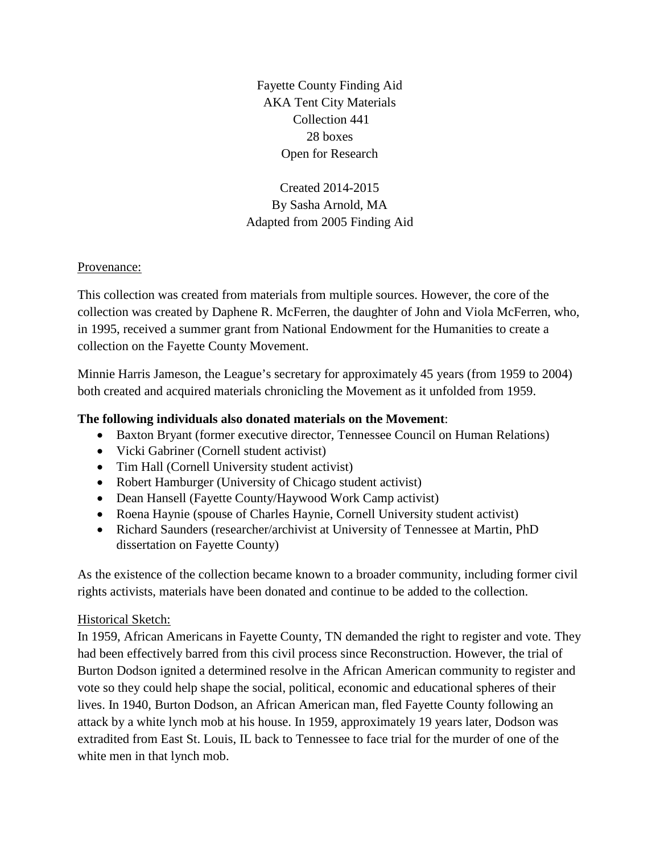Fayette County Finding Aid AKA Tent City Materials Collection 441 28 boxes Open for Research

Created 2014-2015 By Sasha Arnold, MA Adapted from 2005 Finding Aid

#### Provenance:

This collection was created from materials from multiple sources. However, the core of the collection was created by Daphene R. McFerren, the daughter of John and Viola McFerren, who, in 1995, received a summer grant from National Endowment for the Humanities to create a collection on the Fayette County Movement.

Minnie Harris Jameson, the League's secretary for approximately 45 years (from 1959 to 2004) both created and acquired materials chronicling the Movement as it unfolded from 1959.

## **The following individuals also donated materials on the Movement**:

- Baxton Bryant (former executive director, Tennessee Council on Human Relations)
- Vicki Gabriner (Cornell student activist)
- Tim Hall (Cornell University student activist)
- Robert Hamburger (University of Chicago student activist)
- Dean Hansell (Fayette County/Haywood Work Camp activist)
- Roena Haynie (spouse of Charles Haynie, Cornell University student activist)
- Richard Saunders (researcher/archivist at University of Tennessee at Martin, PhD dissertation on Fayette County)

As the existence of the collection became known to a broader community, including former civil rights activists, materials have been donated and continue to be added to the collection.

## Historical Sketch:

In 1959, African Americans in Fayette County, TN demanded the right to register and vote. They had been effectively barred from this civil process since Reconstruction. However, the trial of Burton Dodson ignited a determined resolve in the African American community to register and vote so they could help shape the social, political, economic and educational spheres of their lives. In 1940, Burton Dodson, an African American man, fled Fayette County following an attack by a white lynch mob at his house. In 1959, approximately 19 years later, Dodson was extradited from East St. Louis, IL back to Tennessee to face trial for the murder of one of the white men in that lynch mob.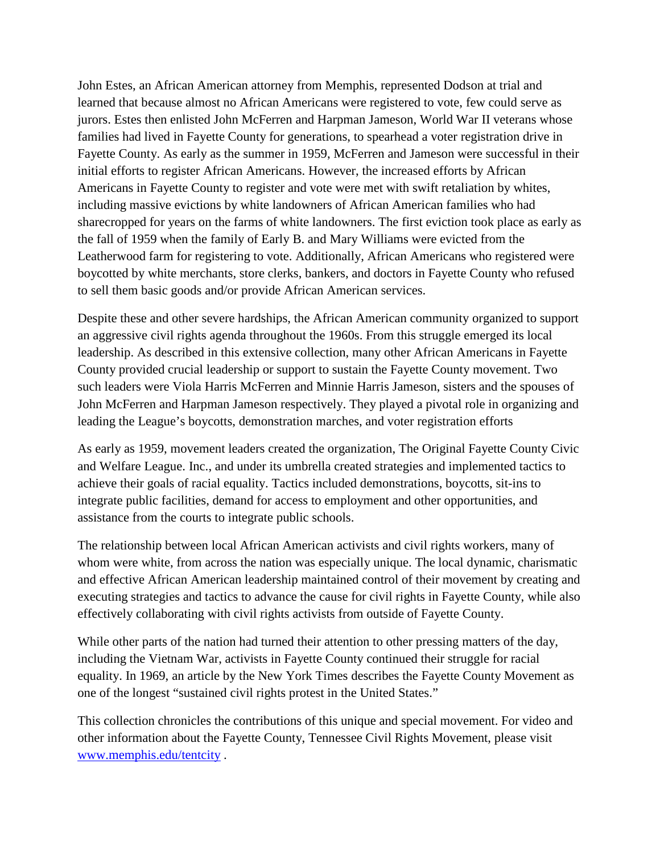John Estes, an African American attorney from Memphis, represented Dodson at trial and learned that because almost no African Americans were registered to vote, few could serve as jurors. Estes then enlisted John McFerren and Harpman Jameson, World War II veterans whose families had lived in Fayette County for generations, to spearhead a voter registration drive in Fayette County. As early as the summer in 1959, McFerren and Jameson were successful in their initial efforts to register African Americans. However, the increased efforts by African Americans in Fayette County to register and vote were met with swift retaliation by whites, including massive evictions by white landowners of African American families who had sharecropped for years on the farms of white landowners. The first eviction took place as early as the fall of 1959 when the family of Early B. and Mary Williams were evicted from the Leatherwood farm for registering to vote. Additionally, African Americans who registered were boycotted by white merchants, store clerks, bankers, and doctors in Fayette County who refused to sell them basic goods and/or provide African American services.

Despite these and other severe hardships, the African American community organized to support an aggressive civil rights agenda throughout the 1960s. From this struggle emerged its local leadership. As described in this extensive collection, many other African Americans in Fayette County provided crucial leadership or support to sustain the Fayette County movement. Two such leaders were Viola Harris McFerren and Minnie Harris Jameson, sisters and the spouses of John McFerren and Harpman Jameson respectively. They played a pivotal role in organizing and leading the League's boycotts, demonstration marches, and voter registration efforts

As early as 1959, movement leaders created the organization, The Original Fayette County Civic and Welfare League. Inc., and under its umbrella created strategies and implemented tactics to achieve their goals of racial equality. Tactics included demonstrations, boycotts, sit-ins to integrate public facilities, demand for access to employment and other opportunities, and assistance from the courts to integrate public schools.

The relationship between local African American activists and civil rights workers, many of whom were white, from across the nation was especially unique. The local dynamic, charismatic and effective African American leadership maintained control of their movement by creating and executing strategies and tactics to advance the cause for civil rights in Fayette County, while also effectively collaborating with civil rights activists from outside of Fayette County.

While other parts of the nation had turned their attention to other pressing matters of the day, including the Vietnam War, activists in Fayette County continued their struggle for racial equality. In 1969, an article by the New York Times describes the Fayette County Movement as one of the longest "sustained civil rights protest in the United States."

This collection chronicles the contributions of this unique and special movement. For video and other information about the Fayette County, Tennessee Civil Rights Movement, please visit [www.memphis.edu/tentcity](http://www.memphis.edu/tentcity) .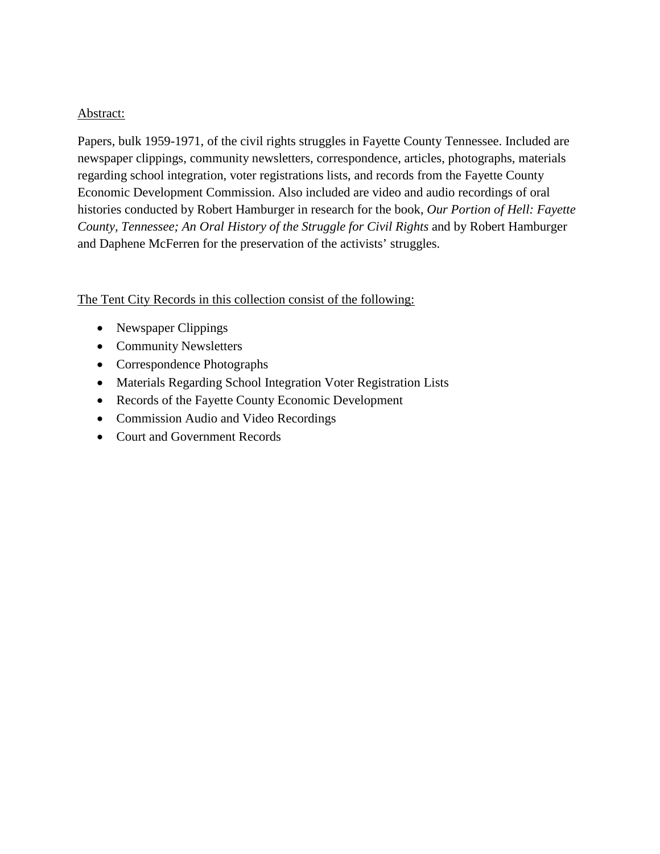#### Abstract:

Papers, bulk 1959-1971, of the civil rights struggles in Fayette County Tennessee. Included are newspaper clippings, community newsletters, correspondence, articles, photographs, materials regarding school integration, voter registrations lists, and records from the Fayette County Economic Development Commission. Also included are video and audio recordings of oral histories conducted by Robert Hamburger in research for the book, *Our Portion of Hell: Fayette County, Tennessee; An Oral History of the Struggle for Civil Rights* and by Robert Hamburger and Daphene McFerren for the preservation of the activists' struggles.

The Tent City Records in this collection consist of the following:

- Newspaper Clippings
- Community Newsletters
- Correspondence Photographs
- Materials Regarding School Integration Voter Registration Lists
- Records of the Fayette County Economic Development
- Commission Audio and Video Recordings
- Court and Government Records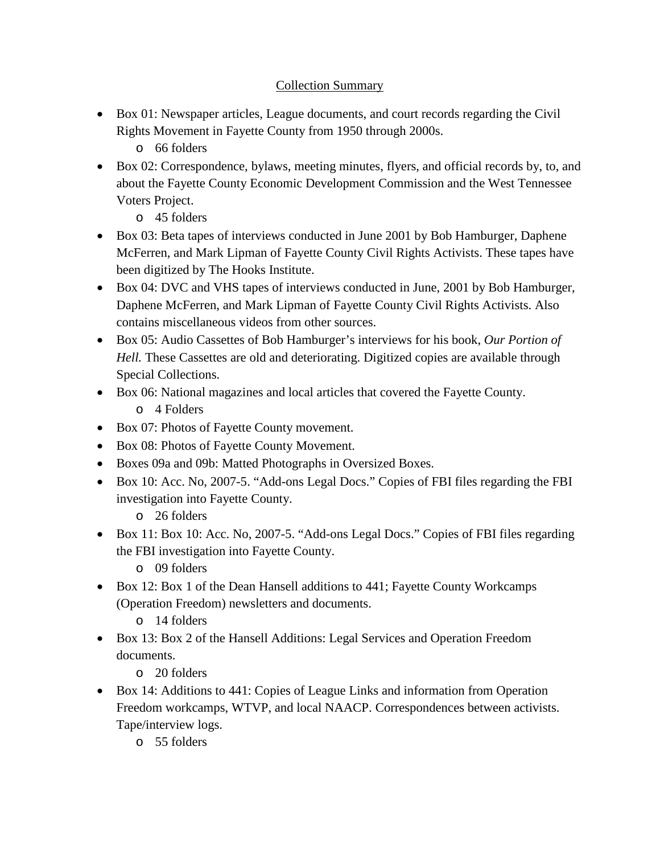# Collection Summary

- Box 01: Newspaper articles, League documents, and court records regarding the Civil Rights Movement in Fayette County from 1950 through 2000s.
	- o 66 folders
- Box 02: Correspondence, bylaws, meeting minutes, flyers, and official records by, to, and about the Fayette County Economic Development Commission and the West Tennessee Voters Project.
	- o 45 folders
- Box 03: Beta tapes of interviews conducted in June 2001 by Bob Hamburger, Daphene McFerren, and Mark Lipman of Fayette County Civil Rights Activists. These tapes have been digitized by The Hooks Institute.
- Box 04: DVC and VHS tapes of interviews conducted in June, 2001 by Bob Hamburger, Daphene McFerren, and Mark Lipman of Fayette County Civil Rights Activists. Also contains miscellaneous videos from other sources.
- Box 05: Audio Cassettes of Bob Hamburger's interviews for his book, *Our Portion of Hell.* These Cassettes are old and deteriorating. Digitized copies are available through Special Collections.
- Box 06: National magazines and local articles that covered the Fayette County.
	- o 4 Folders
- Box 07: Photos of Fayette County movement.
- Box 08: Photos of Fayette County Movement.
- Boxes 09a and 09b: Matted Photographs in Oversized Boxes.
- Box 10: Acc. No, 2007-5. "Add-ons Legal Docs." Copies of FBI files regarding the FBI investigation into Fayette County.
	- o 26 folders
- Box 11: Box 10: Acc. No, 2007-5. "Add-ons Legal Docs." Copies of FBI files regarding the FBI investigation into Fayette County.
	- o 09 folders
- Box 12: Box 1 of the Dean Hansell additions to 441; Fayette County Workcamps (Operation Freedom) newsletters and documents.
	- o 14 folders
- Box 13: Box 2 of the Hansell Additions: Legal Services and Operation Freedom documents.
	- o 20 folders
- Box 14: Additions to 441: Copies of League Links and information from Operation Freedom workcamps, WTVP, and local NAACP. Correspondences between activists. Tape/interview logs.
	- o 55 folders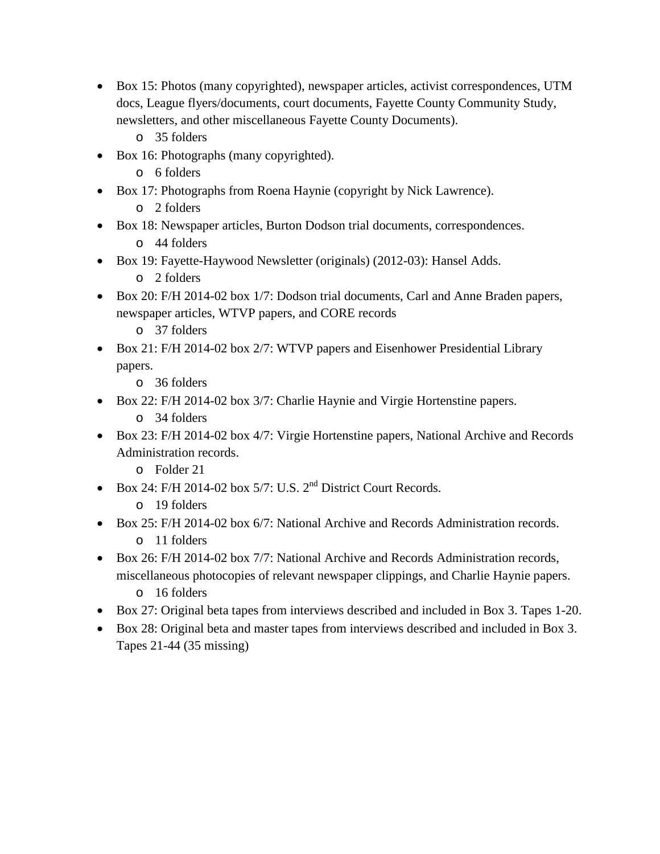- Box 15: Photos (many copyrighted), newspaper articles, activist correspondences, UTM docs, League flyers/documents, court documents, Fayette County Community Study, newsletters, and other miscellaneous Fayette County Documents).
	- o 35 folders
- Box 16: Photographs (many copyrighted).
	- o 6 folders
- Box 17: Photographs from Roena Haynie (copyright by Nick Lawrence).
	- o 2 folders
- Box 18: Newspaper articles, Burton Dodson trial documents, correspondences.
	- o 44 folders
- Box 19: Fayette-Haywood Newsletter (originals) (2012-03): Hansel Adds.
	- o 2 folders
- Box 20: F/H 2014-02 box 1/7: Dodson trial documents, Carl and Anne Braden papers, newspaper articles, WTVP papers, and CORE records
	- o 37 folders
- Box 21: F/H 2014-02 box 2/7: WTVP papers and Eisenhower Presidential Library papers.
	- o 36 folders
- Box 22: F/H 2014-02 box 3/7: Charlie Haynie and Virgie Hortenstine papers.
	- o 34 folders
- Box 23: F/H 2014-02 box 4/7: Virgie Hortenstine papers, National Archive and Records Administration records.
	- o Folder 21
- Box 24: F/H 2014-02 box 5/7: U.S.  $2<sup>nd</sup>$  District Court Records.
	- o 19 folders
- Box 25: F/H 2014-02 box 6/7: National Archive and Records Administration records. o 11 folders
- Box 26: F/H 2014-02 box 7/7: National Archive and Records Administration records, miscellaneous photocopies of relevant newspaper clippings, and Charlie Haynie papers. o 16 folders
- Box 27: Original beta tapes from interviews described and included in Box 3. Tapes 1-20.
- Box 28: Original beta and master tapes from interviews described and included in Box 3. Tapes 21-44 (35 missing)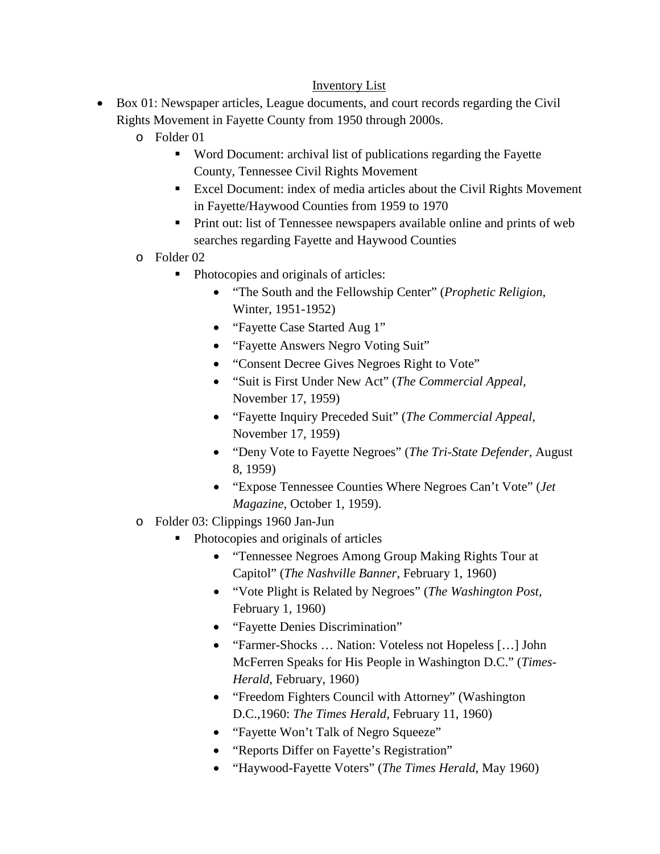## Inventory List

- Box 01: Newspaper articles, League documents, and court records regarding the Civil Rights Movement in Fayette County from 1950 through 2000s.
	- o Folder 01
		- Word Document: archival list of publications regarding the Fayette County, Tennessee Civil Rights Movement
		- Excel Document: index of media articles about the Civil Rights Movement in Fayette/Haywood Counties from 1959 to 1970
		- **Print out: list of Tennessee newspapers available online and prints of web** searches regarding Fayette and Haywood Counties
	- o Folder 02
		- Photocopies and originals of articles:
			- "The South and the Fellowship Center" (*Prophetic Religion,* Winter, 1951-1952)
			- "Fayette Case Started Aug 1"
			- "Fayette Answers Negro Voting Suit"
			- "Consent Decree Gives Negroes Right to Vote"
			- "Suit is First Under New Act" (*The Commercial Appeal,*  November 17, 1959)
			- "Fayette Inquiry Preceded Suit" (*The Commercial Appeal,*  November 17, 1959)
			- "Deny Vote to Fayette Negroes" (*The Tri-State Defender,* August 8, 1959)
			- "Expose Tennessee Counties Where Negroes Can't Vote" (*Jet Magazine,* October 1, 1959).
	- o Folder 03: Clippings 1960 Jan-Jun
		- Photocopies and originals of articles
			- "Tennessee Negroes Among Group Making Rights Tour at Capitol" (*The Nashville Banner,* February 1, 1960)
			- "Vote Plight is Related by Negroes" (*The Washington Post,*  February 1, 1960)
			- "Fayette Denies Discrimination"
			- "Farmer-Shocks ... Nation: Voteless not Hopeless [...] John McFerren Speaks for His People in Washington D.C." (*Times-Herald,* February, 1960)
			- "Freedom Fighters Council with Attorney" (Washington D.C.,1960: *The Times Herald,* February 11, 1960)
			- "Fayette Won't Talk of Negro Squeeze"
			- "Reports Differ on Fayette's Registration"
			- "Haywood-Fayette Voters" (*The Times Herald,* May 1960)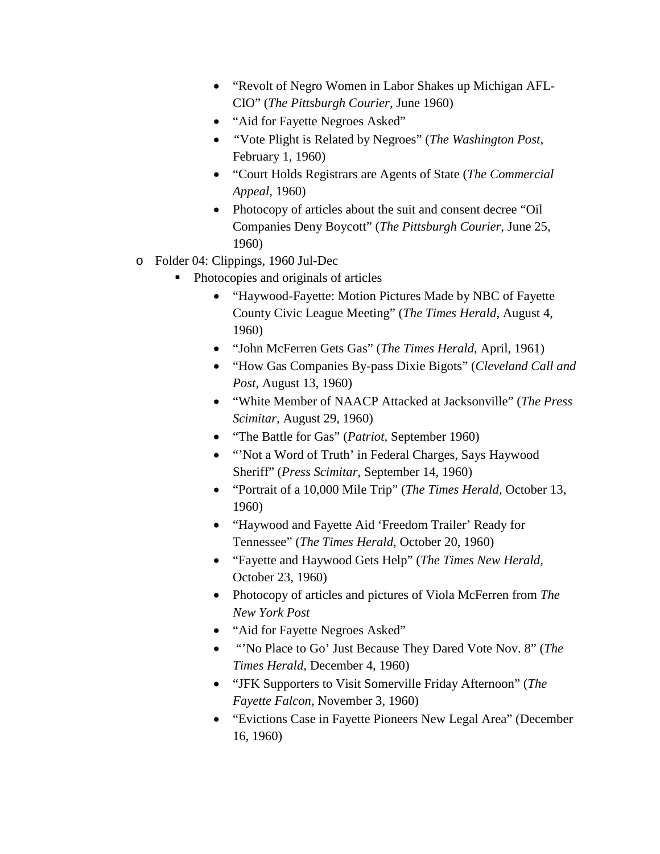- "Revolt of Negro Women in Labor Shakes up Michigan AFL-CIO" (*The Pittsburgh Courier,* June 1960)
- "Aid for Fayette Negroes Asked"
- *"*Vote Plight is Related by Negroes" (*The Washington Post,*  February 1, 1960)
- "Court Holds Registrars are Agents of State (*The Commercial Appeal,* 1960)
- Photocopy of articles about the suit and consent decree "Oil" Companies Deny Boycott" (*The Pittsburgh Courier,* June 25, 1960)
- o Folder 04: Clippings, 1960 Jul-Dec
	- Photocopies and originals of articles
		- "Haywood-Fayette: Motion Pictures Made by NBC of Fayette County Civic League Meeting" (*The Times Herald,* August 4, 1960)
		- "John McFerren Gets Gas" (*The Times Herald,* April, 1961)
		- "How Gas Companies By-pass Dixie Bigots" (*Cleveland Call and Post,* August 13, 1960)
		- "White Member of NAACP Attacked at Jacksonville" (*The Press Scimitar,* August 29, 1960)
		- "The Battle for Gas" (*Patriot,* September 1960)
		- "'Not a Word of Truth' in Federal Charges, Says Haywood Sheriff" (*Press Scimitar,* September 14, 1960)
		- "Portrait of a 10,000 Mile Trip" (*The Times Herald,* October 13, 1960)
		- "Haywood and Fayette Aid 'Freedom Trailer' Ready for Tennessee" (*The Times Herald,* October 20, 1960)
		- "Fayette and Haywood Gets Help" (*The Times New Herald,*  October 23, 1960)
		- Photocopy of articles and pictures of Viola McFerren from *The New York Post*
		- "Aid for Fayette Negroes Asked"
		- "'No Place to Go' Just Because They Dared Vote Nov. 8" (*The Times Herald,* December 4, 1960)
		- "JFK Supporters to Visit Somerville Friday Afternoon" (*The Fayette Falcon,* November 3, 1960)
		- "Evictions Case in Fayette Pioneers New Legal Area" (December 16, 1960)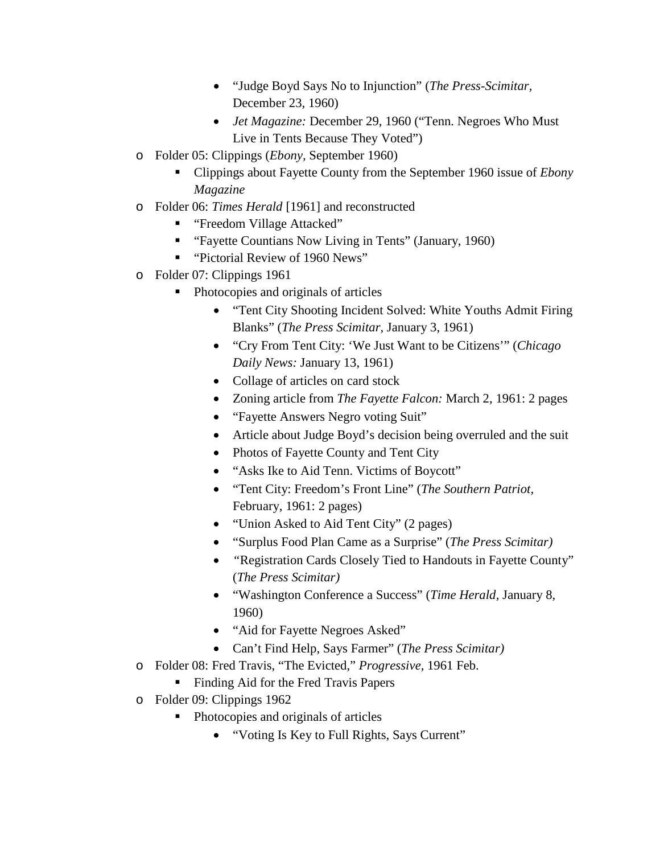- "Judge Boyd Says No to Injunction" (*The Press-Scimitar,*  December 23, 1960)
- *Jet Magazine:* December 29, 1960 ("Tenn. Negroes Who Must Live in Tents Because They Voted")
- o Folder 05: Clippings (*Ebony,* September 1960)
	- Clippings about Fayette County from the September 1960 issue of *Ebony Magazine*
- o Folder 06: *Times Herald* [1961] and reconstructed
	- "Freedom Village Attacked"
	- "Fayette Countians Now Living in Tents" (January, 1960)
	- "Pictorial Review of 1960 News"
- o Folder 07: Clippings 1961
	- Photocopies and originals of articles
		- "Tent City Shooting Incident Solved: White Youths Admit Firing Blanks" (*The Press Scimitar,* January 3, 1961)
		- "Cry From Tent City: 'We Just Want to be Citizens'" (*Chicago Daily News:* January 13, 1961)
		- Collage of articles on card stock
		- Zoning article from *The Fayette Falcon:* March 2, 1961: 2 pages
		- "Fayette Answers Negro voting Suit"
		- Article about Judge Boyd's decision being overruled and the suit
		- Photos of Fayette County and Tent City
		- "Asks Ike to Aid Tenn. Victims of Boycott"
		- "Tent City: Freedom's Front Line" (*The Southern Patriot,*  February, 1961: 2 pages)
		- "Union Asked to Aid Tent City" (2 pages)
		- "Surplus Food Plan Came as a Surprise" (*The Press Scimitar)*
		- *"*Registration Cards Closely Tied to Handouts in Fayette County" (*The Press Scimitar)*
		- "Washington Conference a Success" (*Time Herald,* January 8, 1960)
		- "Aid for Fayette Negroes Asked"
		- Can't Find Help, Says Farmer" (*The Press Scimitar)*
- o Folder 08: Fred Travis, "The Evicted," *Progressive,* 1961 Feb.
	- Finding Aid for the Fred Travis Papers
- o Folder 09: Clippings 1962
	- Photocopies and originals of articles
		- "Voting Is Key to Full Rights, Says Current"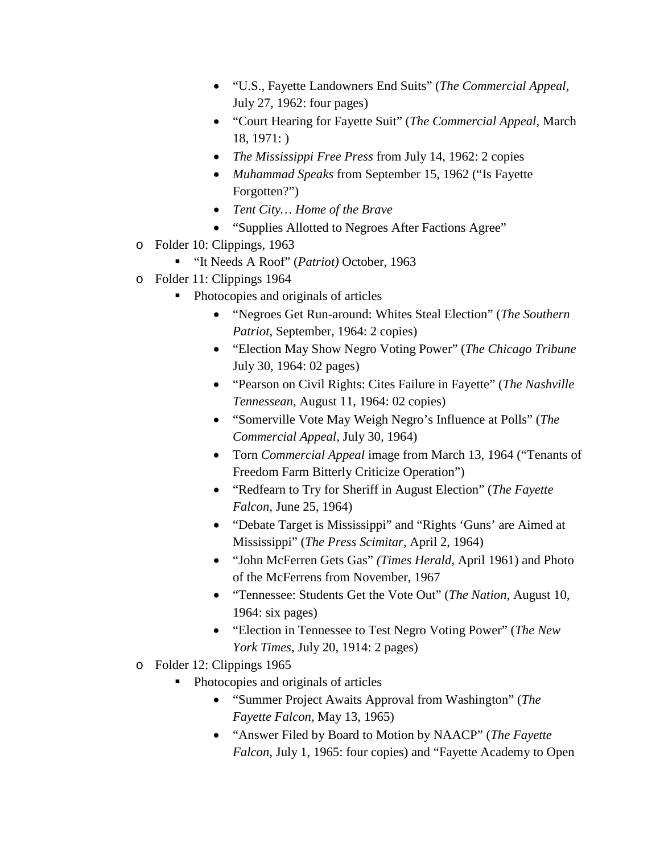- "U.S., Fayette Landowners End Suits" (*The Commercial Appeal,*  July 27, 1962: four pages)
- "Court Hearing for Fayette Suit" (*The Commercial Appeal,* March 18, 1971: )
- *The Mississippi Free Press* from July 14, 1962: 2 copies
- *Muhammad Speaks* from September 15, 1962 ("Is Fayette Forgotten?")
- *Tent City… Home of the Brave*
- "Supplies Allotted to Negroes After Factions Agree"
- o Folder 10: Clippings, 1963
	- "It Needs A Roof" (*Patriot)* October, 1963
- o Folder 11: Clippings 1964
	- Photocopies and originals of articles
		- "Negroes Get Run-around: Whites Steal Election" (*The Southern Patriot,* September, 1964: 2 copies)
		- "Election May Show Negro Voting Power" (*The Chicago Tribune* July 30, 1964: 02 pages)
		- "Pearson on Civil Rights: Cites Failure in Fayette" (*The Nashville Tennessean,* August 11, 1964: 02 copies)
		- "Somerville Vote May Weigh Negro's Influence at Polls" (*The Commercial Appeal,* July 30, 1964)
		- Torn *Commercial Appeal* image from March 13, 1964 ("Tenants of Freedom Farm Bitterly Criticize Operation")
		- "Redfearn to Try for Sheriff in August Election" (*The Fayette Falcon,* June 25, 1964)
		- "Debate Target is Mississippi" and "Rights 'Guns' are Aimed at Mississippi" (*The Press Scimitar,* April 2, 1964)
		- "John McFerren Gets Gas" *(Times Herald,* April 1961) and Photo of the McFerrens from November, 1967
		- "Tennessee: Students Get the Vote Out" (*The Nation,* August 10, 1964: six pages)
		- "Election in Tennessee to Test Negro Voting Power" (*The New York Times,* July 20, 1914: 2 pages)
- o Folder 12: Clippings 1965
	- Photocopies and originals of articles
		- "Summer Project Awaits Approval from Washington" (*The Fayette Falcon,* May 13, 1965)
		- "Answer Filed by Board to Motion by NAACP" (*The Fayette Falcon,* July 1, 1965: four copies) and "Fayette Academy to Open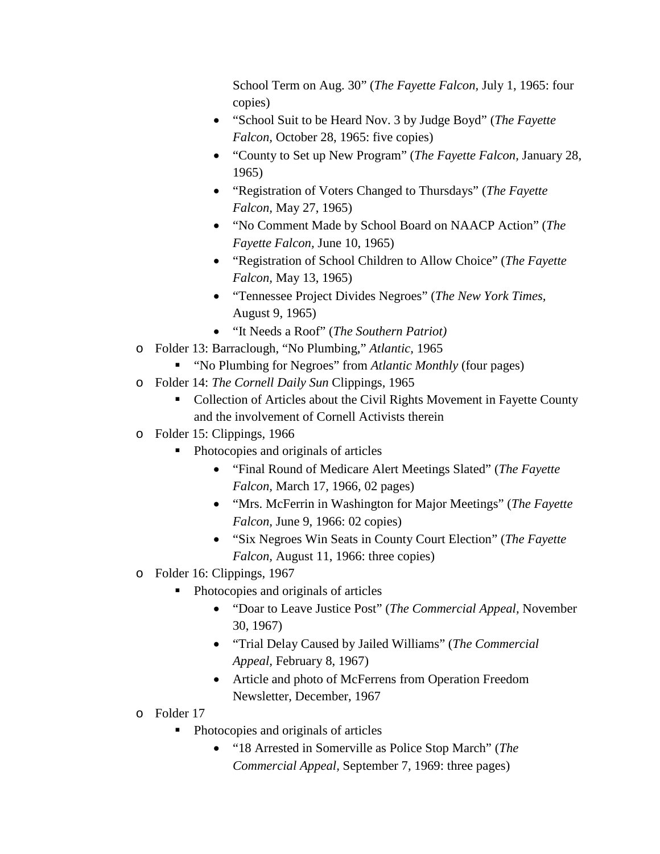School Term on Aug. 30" (*The Fayette Falcon,* July 1, 1965: four copies)

- "School Suit to be Heard Nov. 3 by Judge Boyd" (*The Fayette Falcon,* October 28, 1965: five copies)
- "County to Set up New Program" (*The Fayette Falcon,* January 28, 1965)
- "Registration of Voters Changed to Thursdays" (*The Fayette Falcon,* May 27, 1965)
- "No Comment Made by School Board on NAACP Action" (*The Fayette Falcon,* June 10, 1965)
- "Registration of School Children to Allow Choice" (*The Fayette Falcon,* May 13, 1965)
- "Tennessee Project Divides Negroes" (*The New York Times,*  August 9, 1965)
- "It Needs a Roof" (*The Southern Patriot)*
- o Folder 13: Barraclough, "No Plumbing," *Atlantic,* 1965
	- "No Plumbing for Negroes" from *Atlantic Monthly* (four pages)
- o Folder 14: *The Cornell Daily Sun* Clippings, 1965
	- Collection of Articles about the Civil Rights Movement in Fayette County and the involvement of Cornell Activists therein
- o Folder 15: Clippings, 1966
	- Photocopies and originals of articles
		- "Final Round of Medicare Alert Meetings Slated" (*The Fayette Falcon,* March 17, 1966, 02 pages)
		- "Mrs. McFerrin in Washington for Major Meetings" (*The Fayette Falcon,* June 9, 1966: 02 copies)
		- "Six Negroes Win Seats in County Court Election" (*The Fayette Falcon,* August 11, 1966: three copies)
- o Folder 16: Clippings, 1967
	- Photocopies and originals of articles
		- "Doar to Leave Justice Post" (*The Commercial Appeal,* November 30, 1967)
		- "Trial Delay Caused by Jailed Williams" (*The Commercial Appeal,* February 8, 1967)
		- Article and photo of McFerrens from Operation Freedom Newsletter, December, 1967
- o Folder 17
	- Photocopies and originals of articles
		- "18 Arrested in Somerville as Police Stop March" (*The Commercial Appeal,* September 7, 1969: three pages)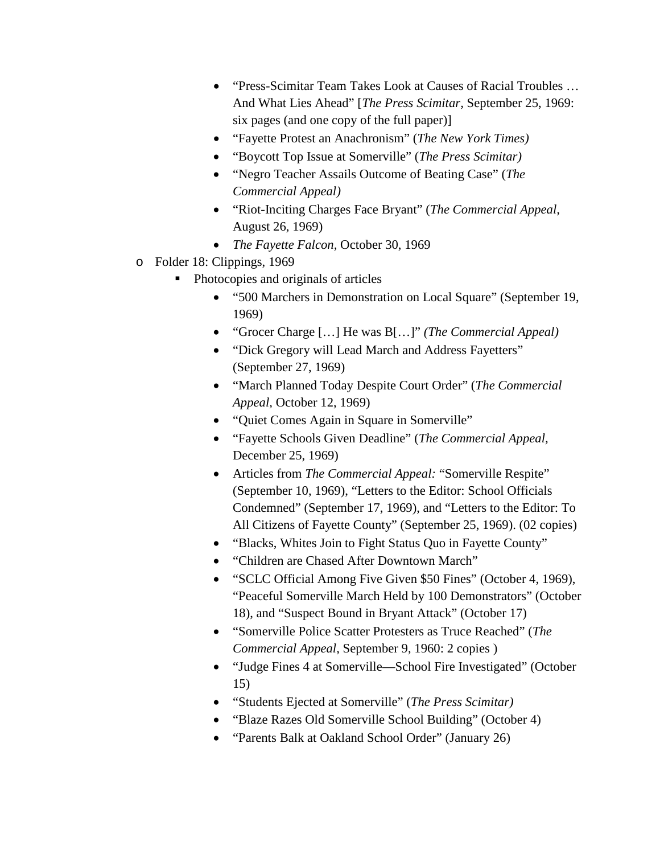- "Press-Scimitar Team Takes Look at Causes of Racial Troubles … And What Lies Ahead" [*The Press Scimitar,* September 25, 1969: six pages (and one copy of the full paper)]
- "Fayette Protest an Anachronism" (*The New York Times)*
- "Boycott Top Issue at Somerville" (*The Press Scimitar)*
- "Negro Teacher Assails Outcome of Beating Case" (*The Commercial Appeal)*
- "Riot-Inciting Charges Face Bryant" (*The Commercial Appeal,*  August 26, 1969)
- *The Fayette Falcon,* October 30, 1969
- o Folder 18: Clippings, 1969
	- Photocopies and originals of articles
		- "500 Marchers in Demonstration on Local Square" (September 19, 1969)
		- "Grocer Charge […] He was B[…]" *(The Commercial Appeal)*
		- "Dick Gregory will Lead March and Address Fayetters" (September 27, 1969)
		- "March Planned Today Despite Court Order" (*The Commercial Appeal,* October 12, 1969)
		- "Quiet Comes Again in Square in Somerville"
		- "Fayette Schools Given Deadline" (*The Commercial Appeal,*  December 25, 1969)
		- Articles from *The Commercial Appeal:* "Somerville Respite" (September 10, 1969), "Letters to the Editor: School Officials Condemned" (September 17, 1969), and "Letters to the Editor: To All Citizens of Fayette County" (September 25, 1969). (02 copies)
		- "Blacks, Whites Join to Fight Status Quo in Fayette County"
		- "Children are Chased After Downtown March"
		- "SCLC Official Among Five Given \$50 Fines" (October 4, 1969), "Peaceful Somerville March Held by 100 Demonstrators" (October 18), and "Suspect Bound in Bryant Attack" (October 17)
		- "Somerville Police Scatter Protesters as Truce Reached" (*The Commercial Appeal,* September 9, 1960: 2 copies )
		- "Judge Fines 4 at Somerville—School Fire Investigated" (October 15)
		- "Students Ejected at Somerville" (*The Press Scimitar)*
		- "Blaze Razes Old Somerville School Building" (October 4)
		- "Parents Balk at Oakland School Order" (January 26)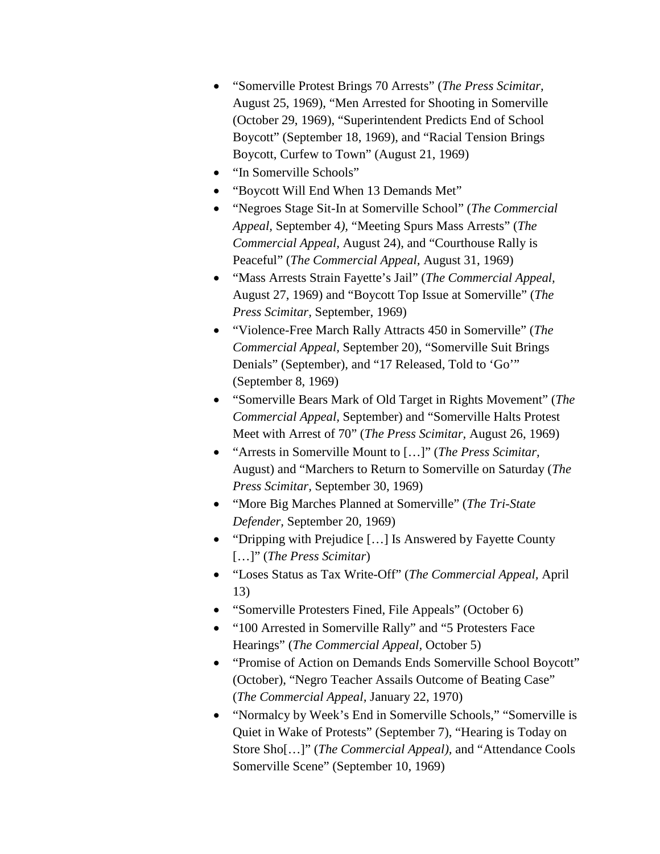- "Somerville Protest Brings 70 Arrests" (*The Press Scimitar,*  August 25, 1969), "Men Arrested for Shooting in Somerville (October 29, 1969), "Superintendent Predicts End of School Boycott" (September 18, 1969), and "Racial Tension Brings Boycott, Curfew to Town" (August 21, 1969)
- "In Somerville Schools"
- "Boycott Will End When 13 Demands Met"
- "Negroes Stage Sit-In at Somerville School" (*The Commercial Appeal,* September 4*),* "Meeting Spurs Mass Arrests" (*The Commercial Appeal,* August 24), and "Courthouse Rally is Peaceful" (*The Commercial Appeal,* August 31, 1969)
- "Mass Arrests Strain Fayette's Jail" (*The Commercial Appeal,*  August 27, 1969) and "Boycott Top Issue at Somerville" (*The Press Scimitar,* September, 1969)
- "Violence-Free March Rally Attracts 450 in Somerville" (*The Commercial Appeal,* September 20), "Somerville Suit Brings Denials" (September), and "17 Released, Told to 'Go'" (September 8, 1969)
- "Somerville Bears Mark of Old Target in Rights Movement" (*The Commercial Appeal,* September) and "Somerville Halts Protest Meet with Arrest of 70" (*The Press Scimitar,* August 26, 1969)
- "Arrests in Somerville Mount to […]" (*The Press Scimitar,*  August) and "Marchers to Return to Somerville on Saturday (*The Press Scimitar,* September 30, 1969)
- "More Big Marches Planned at Somerville" (*The Tri-State Defender,* September 20, 1969)
- "Dripping with Prejudice [...] Is Answered by Fayette County […]" (*The Press Scimitar*)
- "Loses Status as Tax Write-Off" (*The Commercial Appeal,* April 13)
- "Somerville Protesters Fined, File Appeals" (October 6)
- "100 Arrested in Somerville Rally" and "5 Protesters Face Hearings" (*The Commercial Appeal,* October 5)
- "Promise of Action on Demands Ends Somerville School Boycott" (October), "Negro Teacher Assails Outcome of Beating Case" (*The Commercial Appeal,* January 22, 1970)
- "Normalcy by Week's End in Somerville Schools," "Somerville is Quiet in Wake of Protests" (September 7), "Hearing is Today on Store Sho[…]" (*The Commercial Appeal),* and "Attendance Cools Somerville Scene" (September 10, 1969)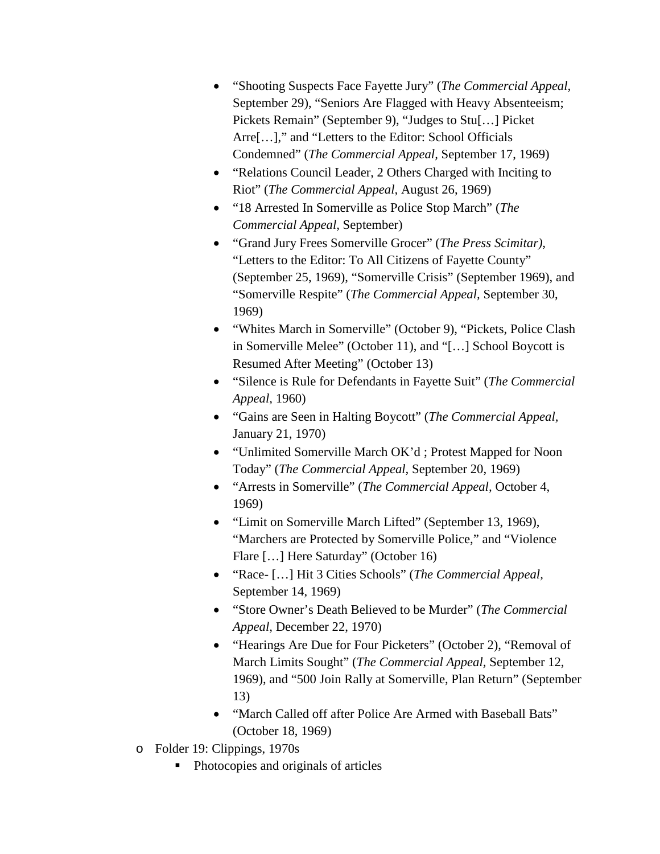- "Shooting Suspects Face Fayette Jury" (*The Commercial Appeal,*  September 29), "Seniors Are Flagged with Heavy Absenteeism; Pickets Remain" (September 9), "Judges to Stu[…] Picket Arre[…]," and "Letters to the Editor: School Officials Condemned" (*The Commercial Appeal,* September 17, 1969)
- "Relations Council Leader, 2 Others Charged with Inciting to Riot" (*The Commercial Appeal,* August 26, 1969)
- "18 Arrested In Somerville as Police Stop March" (*The Commercial Appeal,* September)
- "Grand Jury Frees Somerville Grocer" (*The Press Scimitar),*  "Letters to the Editor: To All Citizens of Fayette County" (September 25, 1969), "Somerville Crisis" (September 1969), and "Somerville Respite" (*The Commercial Appeal,* September 30, 1969)
- "Whites March in Somerville" (October 9), "Pickets, Police Clash in Somerville Melee" (October 11), and "[…] School Boycott is Resumed After Meeting" (October 13)
- "Silence is Rule for Defendants in Fayette Suit" (*The Commercial Appeal,* 1960)
- "Gains are Seen in Halting Boycott" (*The Commercial Appeal,*  January 21, 1970)
- "Unlimited Somerville March OK'd ; Protest Mapped for Noon Today" (*The Commercial Appeal,* September 20, 1969)
- "Arrests in Somerville" (*The Commercial Appeal,* October 4, 1969)
- "Limit on Somerville March Lifted" (September 13, 1969), "Marchers are Protected by Somerville Police," and "Violence Flare […] Here Saturday" (October 16)
- "Race- […] Hit 3 Cities Schools" (*The Commercial Appeal,*  September 14, 1969)
- "Store Owner's Death Believed to be Murder" (*The Commercial Appeal,* December 22, 1970)
- "Hearings Are Due for Four Picketers" (October 2), "Removal of March Limits Sought" (*The Commercial Appeal,* September 12, 1969), and "500 Join Rally at Somerville, Plan Return" (September 13)
- "March Called off after Police Are Armed with Baseball Bats" (October 18, 1969)
- o Folder 19: Clippings, 1970s
	- Photocopies and originals of articles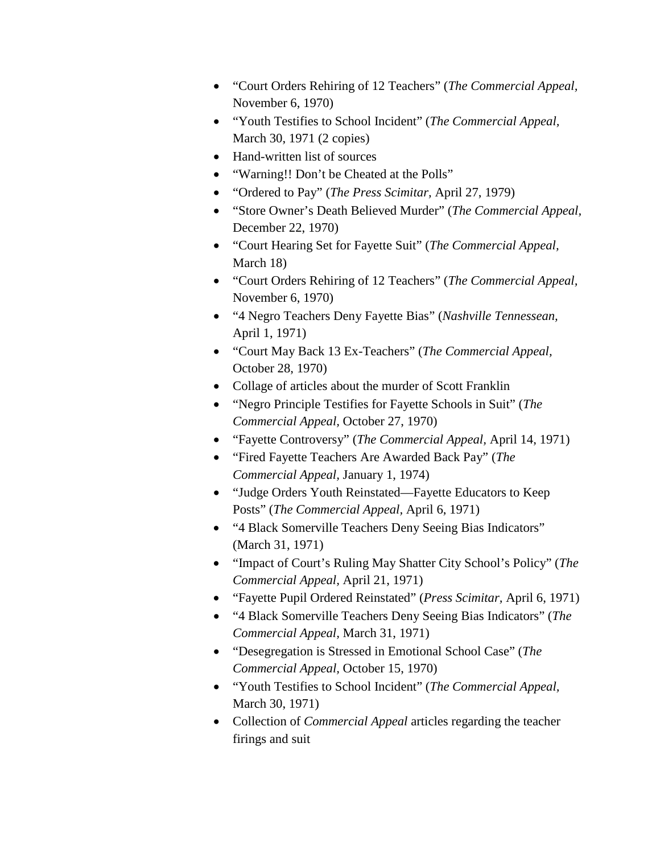- "Court Orders Rehiring of 12 Teachers" (*The Commercial Appeal,*  November 6, 1970)
- "Youth Testifies to School Incident" (*The Commercial Appeal,*  March 30, 1971 (2 copies)
- Hand-written list of sources
- "Warning!! Don't be Cheated at the Polls"
- "Ordered to Pay" (*The Press Scimitar,* April 27, 1979)
- "Store Owner's Death Believed Murder" (*The Commercial Appeal,*  December 22, 1970)
- "Court Hearing Set for Fayette Suit" (*The Commercial Appeal,*  March 18)
- "Court Orders Rehiring of 12 Teachers" (*The Commercial Appeal,*  November 6, 1970)
- "4 Negro Teachers Deny Fayette Bias" (*Nashville Tennessean,*  April 1, 1971)
- "Court May Back 13 Ex-Teachers" (*The Commercial Appeal,*  October 28, 1970)
- Collage of articles about the murder of Scott Franklin
- "Negro Principle Testifies for Fayette Schools in Suit" (*The Commercial Appeal,* October 27, 1970)
- "Fayette Controversy" (*The Commercial Appeal,* April 14, 1971)
- "Fired Fayette Teachers Are Awarded Back Pay" (*The Commercial Appeal,* January 1, 1974)
- "Judge Orders Youth Reinstated—Fayette Educators to Keep Posts" (*The Commercial Appeal,* April 6, 1971)
- "4 Black Somerville Teachers Deny Seeing Bias Indicators" (March 31, 1971)
- "Impact of Court's Ruling May Shatter City School's Policy" (*The Commercial Appeal,* April 21, 1971)
- "Fayette Pupil Ordered Reinstated" (*Press Scimitar,* April 6, 1971)
- "4 Black Somerville Teachers Deny Seeing Bias Indicators" (*The Commercial Appeal,* March 31, 1971)
- "Desegregation is Stressed in Emotional School Case" (*The Commercial Appeal,* October 15, 1970)
- "Youth Testifies to School Incident" (*The Commercial Appeal,*  March 30, 1971)
- Collection of *Commercial Appeal* articles regarding the teacher firings and suit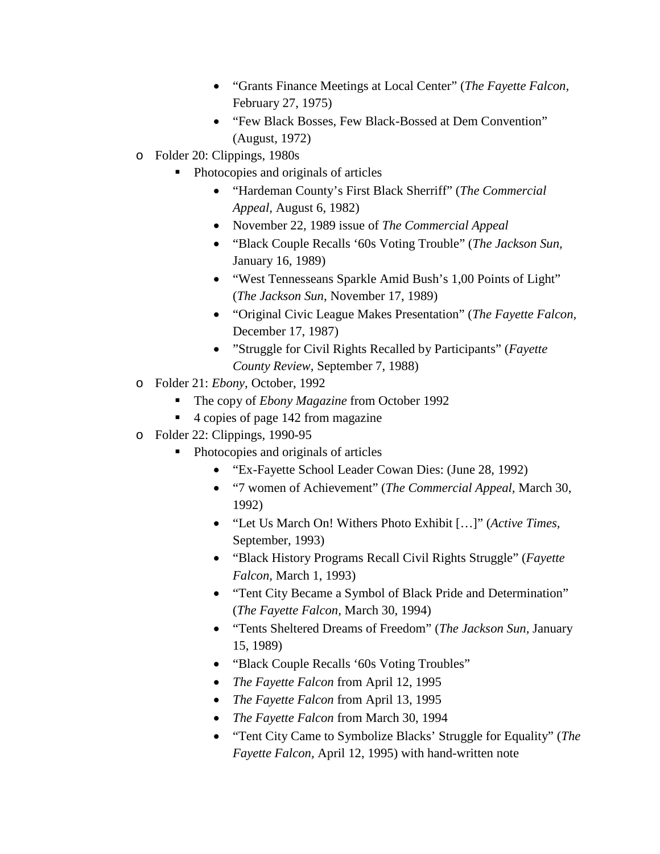- "Grants Finance Meetings at Local Center" (*The Fayette Falcon,*  February 27, 1975)
- "Few Black Bosses, Few Black-Bossed at Dem Convention" (August, 1972)
- o Folder 20: Clippings, 1980s
	- Photocopies and originals of articles
		- "Hardeman County's First Black Sherriff" (*The Commercial Appeal,* August 6, 1982)
		- November 22, 1989 issue of *The Commercial Appeal*
		- "Black Couple Recalls '60s Voting Trouble" (*The Jackson Sun,*  January 16, 1989)
		- "West Tennesseans Sparkle Amid Bush's 1,00 Points of Light" (*The Jackson Sun,* November 17, 1989)
		- "Original Civic League Makes Presentation" (*The Fayette Falcon,*  December 17, 1987)
		- "Struggle for Civil Rights Recalled by Participants" (*Fayette County Review,* September 7, 1988)
- o Folder 21: *Ebony,* October, 1992
	- The copy of *Ebony Magazine* from October 1992
	- 4 copies of page 142 from magazine
- o Folder 22: Clippings, 1990-95
	- Photocopies and originals of articles
		- "Ex-Fayette School Leader Cowan Dies: (June 28, 1992)
		- "7 women of Achievement" (*The Commercial Appeal,* March 30, 1992)
		- "Let Us March On! Withers Photo Exhibit […]" (*Active Times,*  September, 1993)
		- "Black History Programs Recall Civil Rights Struggle" (*Fayette Falcon,* March 1, 1993)
		- "Tent City Became a Symbol of Black Pride and Determination" (*The Fayette Falcon,* March 30, 1994)
		- "Tents Sheltered Dreams of Freedom" (*The Jackson Sun,* January 15, 1989)
		- "Black Couple Recalls '60s Voting Troubles"
		- *The Fayette Falcon* from April 12, 1995
		- *The Fayette Falcon* from April 13, 1995
		- *The Fayette Falcon* from March 30, 1994
		- "Tent City Came to Symbolize Blacks' Struggle for Equality" (*The Fayette Falcon,* April 12, 1995) with hand-written note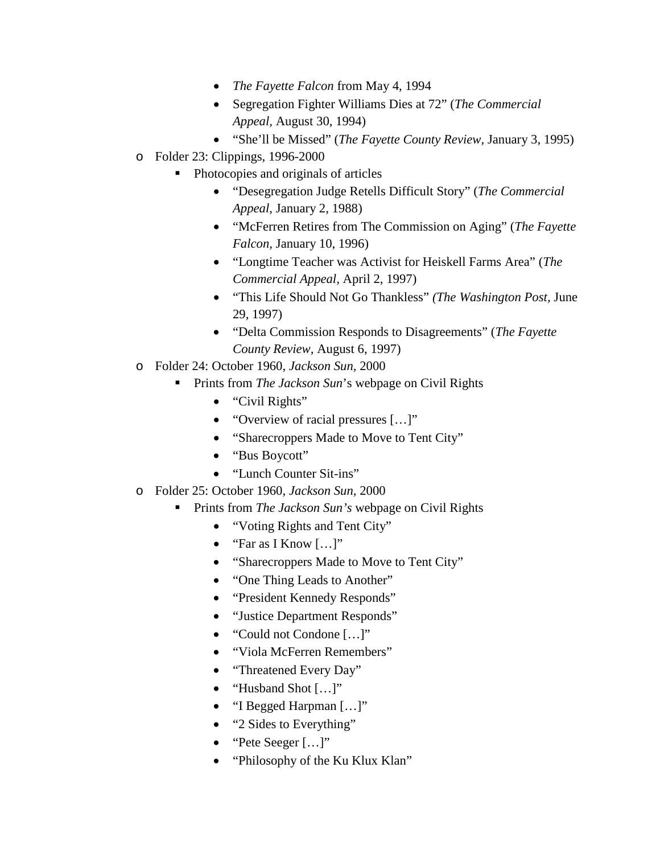- *The Fayette Falcon* from May 4, 1994
- Segregation Fighter Williams Dies at 72" (*The Commercial Appeal,* August 30, 1994)
- "She'll be Missed" (*The Fayette County Review,* January 3, 1995)
- o Folder 23: Clippings, 1996-2000
	- Photocopies and originals of articles
		- "Desegregation Judge Retells Difficult Story" (*The Commercial Appeal,* January 2, 1988)
		- "McFerren Retires from The Commission on Aging" (*The Fayette Falcon,* January 10, 1996)
		- "Longtime Teacher was Activist for Heiskell Farms Area" (*The Commercial Appeal,* April 2, 1997)
		- "This Life Should Not Go Thankless" *(The Washington Post,* June 29, 1997)
		- "Delta Commission Responds to Disagreements" (*The Fayette County Review,* August 6, 1997)
- o Folder 24: October 1960, *Jackson Sun,* 2000
	- **Prints from** *The Jackson Sun***'s webpage on Civil Rights** 
		- "Civil Rights"
		- "Overview of racial pressures [...]"
		- "Sharecroppers Made to Move to Tent City"
		- "Bus Boycott"
		- "Lunch Counter Sit-ins"
- o Folder 25: October 1960, *Jackson Sun,* 2000
	- **Prints from** *The Jackson Sun's* webpage on Civil Rights
		- "Voting Rights and Tent City"
		- "Far as I Know  $[...]$ "
		- "Sharecroppers Made to Move to Tent City"
		- "One Thing Leads to Another"
		- "President Kennedy Responds"
		- "Justice Department Responds"
		- "Could not Condone [...]"
		- "Viola McFerren Remembers"
		- "Threatened Every Day"
		- "Husband Shot […]"
		- "I Begged Harpman [...]"
		- "2 Sides to Everything"
		- "Pete Seeger [...]"
		- "Philosophy of the Ku Klux Klan"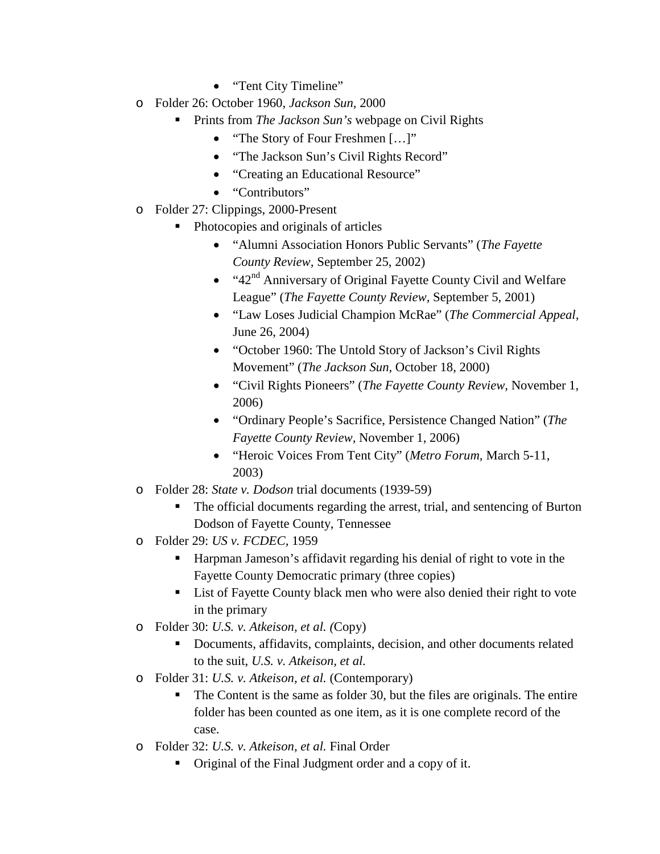- "Tent City Timeline"
- o Folder 26: October 1960, *Jackson Sun,* 2000
	- **Prints from** *The Jackson Sun's* webpage on Civil Rights
		- "The Story of Four Freshmen [...]"
		- "The Jackson Sun's Civil Rights Record"
		- "Creating an Educational Resource"
		- "Contributors"
- o Folder 27: Clippings, 2000-Present
	- Photocopies and originals of articles
		- "Alumni Association Honors Public Servants" (*The Fayette County Review,* September 25, 2002)
		- " $42<sup>nd</sup>$  Anniversary of Original Fayette County Civil and Welfare League" (*The Fayette County Review,* September 5, 2001)
		- "Law Loses Judicial Champion McRae" (*The Commercial Appeal,* June 26, 2004)
		- "October 1960: The Untold Story of Jackson's Civil Rights Movement" (*The Jackson Sun,* October 18, 2000)
		- "Civil Rights Pioneers" (*The Fayette County Review,* November 1, 2006)
		- "Ordinary People's Sacrifice, Persistence Changed Nation" (*The Fayette County Review,* November 1, 2006)
		- "Heroic Voices From Tent City" (*Metro Forum,* March 5-11, 2003)
- o Folder 28: *State v. Dodson* trial documents (1939-59)
	- The official documents regarding the arrest, trial, and sentencing of Burton Dodson of Fayette County, Tennessee
- o Folder 29: *US v. FCDEC,* 1959
	- Harpman Jameson's affidavit regarding his denial of right to vote in the Fayette County Democratic primary (three copies)
	- List of Fayette County black men who were also denied their right to vote in the primary
- o Folder 30: *U.S. v. Atkeison, et al. (*Copy)
	- Documents, affidavits, complaints, decision, and other documents related to the suit, *U.S. v. Atkeison, et al.*
- o Folder 31: *U.S. v. Atkeison, et al.* (Contemporary)
	- The Content is the same as folder 30, but the files are originals. The entire folder has been counted as one item, as it is one complete record of the case.
- o Folder 32: *U.S. v. Atkeison, et al.* Final Order
	- Original of the Final Judgment order and a copy of it.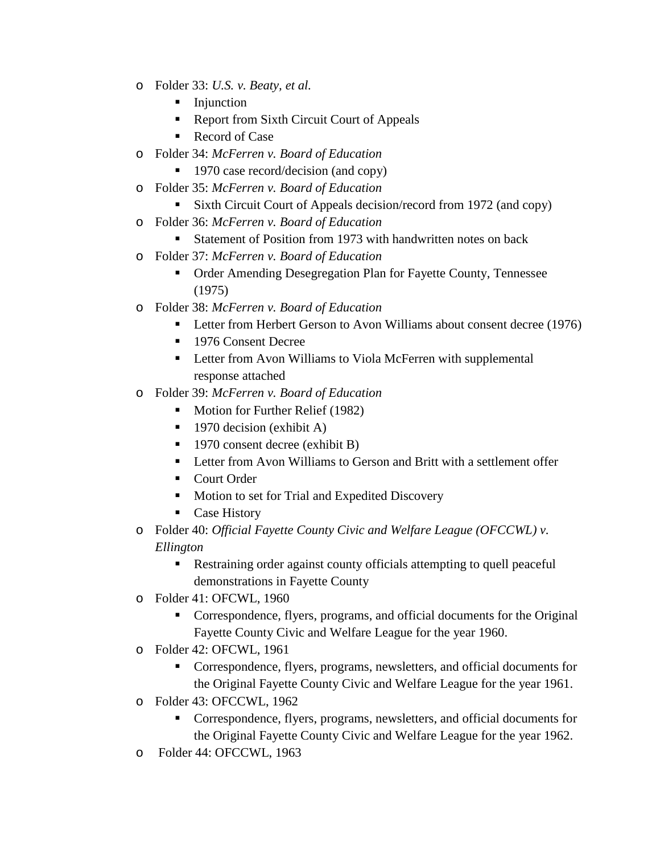- o Folder 33: *U.S. v. Beaty, et al.*
	- **Injunction**
	- Report from Sixth Circuit Court of Appeals
	- Record of Case
- o Folder 34: *McFerren v. Board of Education*
	- 1970 case record/decision (and copy)
- o Folder 35: *McFerren v. Board of Education*
	- Sixth Circuit Court of Appeals decision/record from 1972 (and copy)
- o Folder 36: *McFerren v. Board of Education*
	- Statement of Position from 1973 with handwritten notes on back
- o Folder 37: *McFerren v. Board of Education*
	- Order Amending Desegregation Plan for Fayette County, Tennessee (1975)
- o Folder 38: *McFerren v. Board of Education* 
	- **Letter from Herbert Gerson to Avon Williams about consent decree (1976)**
	- **1976 Consent Decree**
	- **EXECUTE:** Letter from Avon Williams to Viola McFerren with supplemental response attached
- o Folder 39: *McFerren v. Board of Education*
	- Motion for Further Relief (1982)
	- $\blacksquare$  1970 decision (exhibit A)
	- 1970 consent decree (exhibit B)
	- Letter from Avon Williams to Gerson and Britt with a settlement offer
	- Court Order
	- **Motion to set for Trial and Expedited Discovery**
	- Case History
- o Folder 40: *Official Fayette County Civic and Welfare League (OFCCWL) v. Ellington*
	- Restraining order against county officials attempting to quell peaceful demonstrations in Fayette County
- o Folder 41: OFCWL, 1960
	- Correspondence, flyers, programs, and official documents for the Original Fayette County Civic and Welfare League for the year 1960.
- o Folder 42: OFCWL, 1961
	- Correspondence, flyers, programs, newsletters, and official documents for the Original Fayette County Civic and Welfare League for the year 1961.
- o Folder 43: OFCCWL, 1962
	- Correspondence, flyers, programs, newsletters, and official documents for the Original Fayette County Civic and Welfare League for the year 1962.
- o Folder 44: OFCCWL, 1963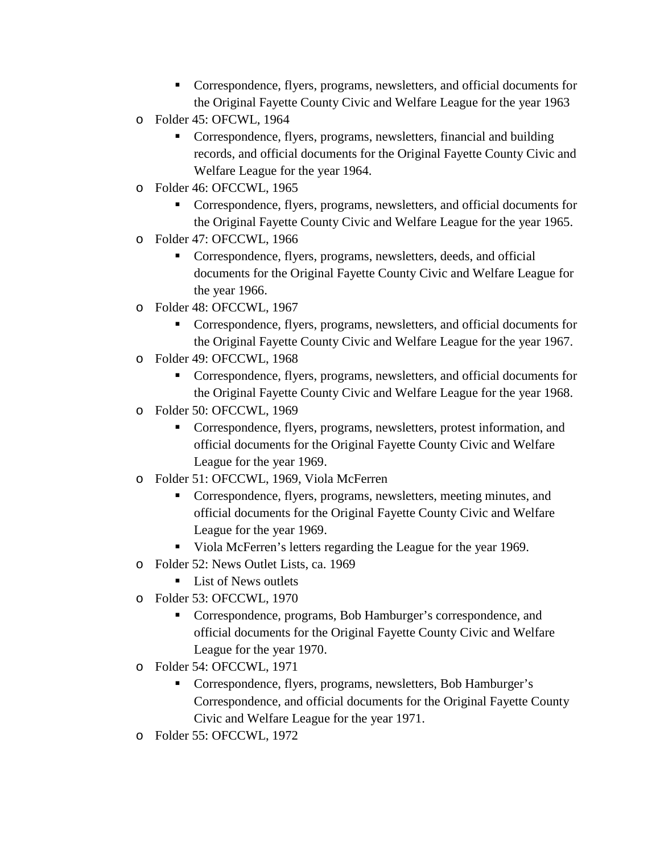- Correspondence, flyers, programs, newsletters, and official documents for the Original Fayette County Civic and Welfare League for the year 1963
- o Folder 45: OFCWL, 1964
	- Correspondence, flyers, programs, newsletters, financial and building records, and official documents for the Original Fayette County Civic and Welfare League for the year 1964.
- o Folder 46: OFCCWL, 1965
	- Correspondence, flyers, programs, newsletters, and official documents for the Original Fayette County Civic and Welfare League for the year 1965.
- o Folder 47: OFCCWL, 1966
	- Correspondence, flyers, programs, newsletters, deeds, and official documents for the Original Fayette County Civic and Welfare League for the year 1966.
- o Folder 48: OFCCWL, 1967
	- Correspondence, flyers, programs, newsletters, and official documents for the Original Fayette County Civic and Welfare League for the year 1967.
- o Folder 49: OFCCWL, 1968
	- Correspondence, flyers, programs, newsletters, and official documents for the Original Fayette County Civic and Welfare League for the year 1968.
- o Folder 50: OFCCWL, 1969
	- Correspondence, flyers, programs, newsletters, protest information, and official documents for the Original Fayette County Civic and Welfare League for the year 1969.
- o Folder 51: OFCCWL, 1969, Viola McFerren
	- Correspondence, flyers, programs, newsletters, meeting minutes, and official documents for the Original Fayette County Civic and Welfare League for the year 1969.
	- Viola McFerren's letters regarding the League for the year 1969.
- o Folder 52: News Outlet Lists, ca. 1969
	- **List of News outlets**
- o Folder 53: OFCCWL, 1970
	- Correspondence, programs, Bob Hamburger's correspondence, and official documents for the Original Fayette County Civic and Welfare League for the year 1970.
- o Folder 54: OFCCWL, 1971
	- Correspondence, flyers, programs, newsletters, Bob Hamburger's Correspondence, and official documents for the Original Fayette County Civic and Welfare League for the year 1971.
- o Folder 55: OFCCWL, 1972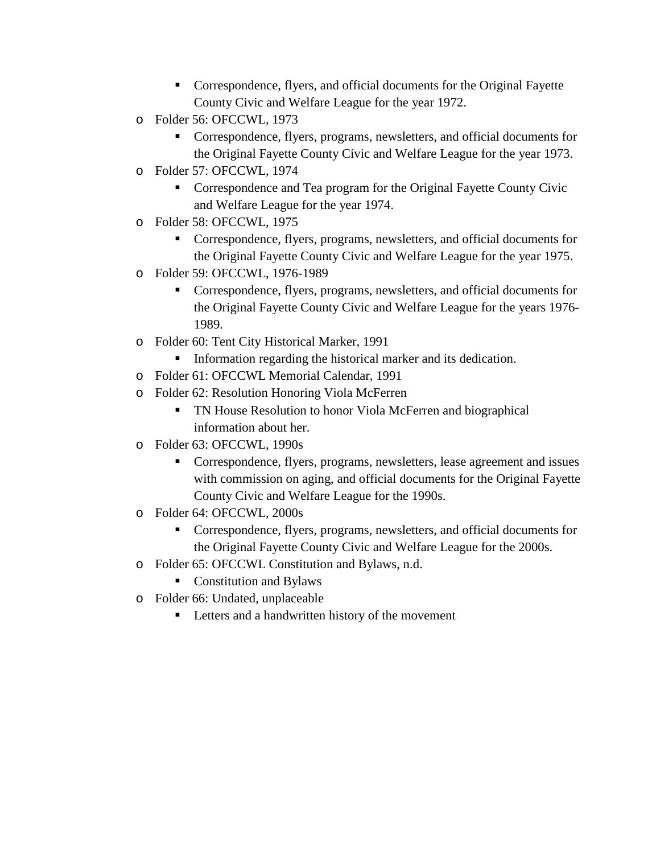- Correspondence, flyers, and official documents for the Original Fayette County Civic and Welfare League for the year 1972.
- o Folder 56: OFCCWL, 1973
	- Correspondence, flyers, programs, newsletters, and official documents for the Original Fayette County Civic and Welfare League for the year 1973.
- o Folder 57: OFCCWL, 1974
	- Correspondence and Tea program for the Original Fayette County Civic and Welfare League for the year 1974.
- o Folder 58: OFCCWL, 1975
	- Correspondence, flyers, programs, newsletters, and official documents for the Original Fayette County Civic and Welfare League for the year 1975.
- o Folder 59: OFCCWL, 1976-1989
	- Correspondence, flyers, programs, newsletters, and official documents for the Original Fayette County Civic and Welfare League for the years 1976- 1989.
- o Folder 60: Tent City Historical Marker, 1991
	- Information regarding the historical marker and its dedication.
- o Folder 61: OFCCWL Memorial Calendar, 1991
- o Folder 62: Resolution Honoring Viola McFerren
	- TN House Resolution to honor Viola McFerren and biographical information about her.
- o Folder 63: OFCCWL, 1990s
	- Correspondence, flyers, programs, newsletters, lease agreement and issues with commission on aging, and official documents for the Original Fayette County Civic and Welfare League for the 1990s.
- o Folder 64: OFCCWL, 2000s
	- Correspondence, flyers, programs, newsletters, and official documents for the Original Fayette County Civic and Welfare League for the 2000s.
- o Folder 65: OFCCWL Constitution and Bylaws, n.d.
	- Constitution and Bylaws
- o Folder 66: Undated, unplaceable
	- Letters and a handwritten history of the movement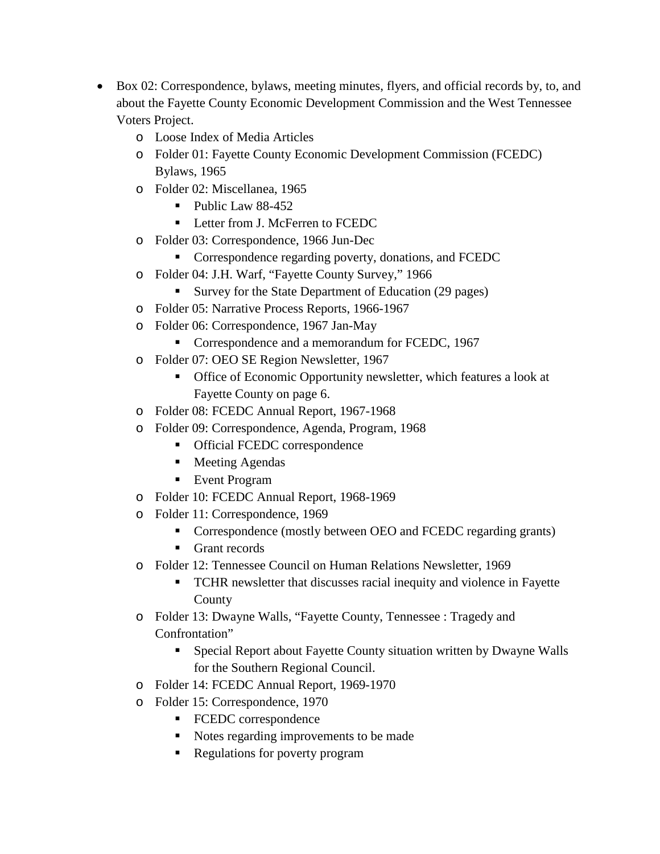- Box 02: Correspondence, bylaws, meeting minutes, flyers, and official records by, to, and about the Fayette County Economic Development Commission and the West Tennessee Voters Project.
	- o Loose Index of Media Articles
	- o Folder 01: Fayette County Economic Development Commission (FCEDC) Bylaws, 1965
	- o Folder 02: Miscellanea, 1965
		- $\blacksquare$  Public Law 88-452
		- **Letter from J. McFerren to FCEDC**
	- o Folder 03: Correspondence, 1966 Jun-Dec
		- **Correspondence regarding poverty, donations, and FCEDC**
	- o Folder 04: J.H. Warf, "Fayette County Survey," 1966
		- Survey for the State Department of Education (29 pages)
	- o Folder 05: Narrative Process Reports, 1966-1967
	- o Folder 06: Correspondence, 1967 Jan-May
		- Correspondence and a memorandum for FCEDC, 1967
	- o Folder 07: OEO SE Region Newsletter, 1967
		- Office of Economic Opportunity newsletter, which features a look at Fayette County on page 6.
	- o Folder 08: FCEDC Annual Report, 1967-1968
	- o Folder 09: Correspondence, Agenda, Program, 1968
		- **•** Official FCEDC correspondence
		- **Meeting Agendas**
		- Event Program
	- o Folder 10: FCEDC Annual Report, 1968-1969
	- o Folder 11: Correspondence, 1969
		- Correspondence (mostly between OEO and FCEDC regarding grants)
		- Grant records
	- o Folder 12: Tennessee Council on Human Relations Newsletter, 1969
		- TCHR newsletter that discusses racial inequity and violence in Fayette County
	- o Folder 13: Dwayne Walls, "Fayette County, Tennessee : Tragedy and Confrontation"
		- Special Report about Fayette County situation written by Dwayne Walls for the Southern Regional Council.
	- o Folder 14: FCEDC Annual Report, 1969-1970
	- o Folder 15: Correspondence, 1970
		- FCEDC correspondence
		- Notes regarding improvements to be made
		- Regulations for poverty program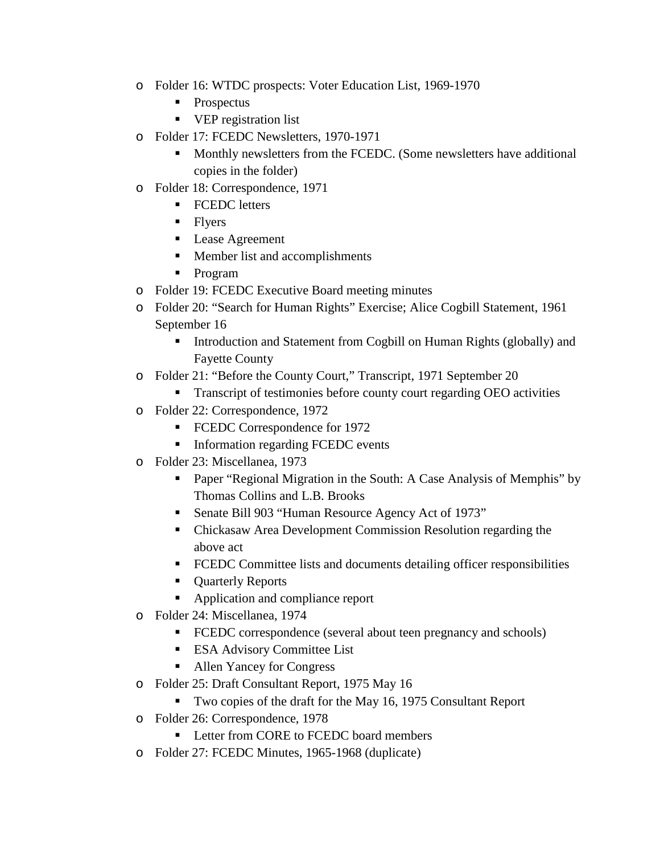- o Folder 16: WTDC prospects: Voter Education List, 1969-1970
	- Prospectus
	- **•** VEP registration list
- o Folder 17: FCEDC Newsletters, 1970-1971
	- Monthly newsletters from the FCEDC. (Some newsletters have additional copies in the folder)
- o Folder 18: Correspondence, 1971
	- **FCEDC** letters
	- $\blacksquare$  Flyers
	- Lease Agreement
	- **Member list and accomplishments**
	- **Program**
- o Folder 19: FCEDC Executive Board meeting minutes
- o Folder 20: "Search for Human Rights" Exercise; Alice Cogbill Statement, 1961 September 16
	- Introduction and Statement from Cogbill on Human Rights (globally) and Fayette County
- o Folder 21: "Before the County Court," Transcript, 1971 September 20
	- **Transcript of testimonies before county court regarding OEO activities**
- o Folder 22: Correspondence, 1972
	- FCEDC Correspondence for 1972
	- **Information regarding FCEDC events**
- o Folder 23: Miscellanea, 1973
	- **Paper "Regional Migration in the South: A Case Analysis of Memphis" by** Thomas Collins and L.B. Brooks
	- Senate Bill 903 "Human Resource Agency Act of 1973"
	- Chickasaw Area Development Commission Resolution regarding the above act
	- FCEDC Committee lists and documents detailing officer responsibilities
	- **Quarterly Reports**
	- Application and compliance report
- o Folder 24: Miscellanea, 1974
	- **FCEDC** correspondence (several about teen pregnancy and schools)
	- **ESA Advisory Committee List**
	- Allen Yancey for Congress
- o Folder 25: Draft Consultant Report, 1975 May 16
	- Two copies of the draft for the May 16, 1975 Consultant Report
- o Folder 26: Correspondence, 1978
	- **Letter from CORE to FCEDC board members**
- o Folder 27: FCEDC Minutes, 1965-1968 (duplicate)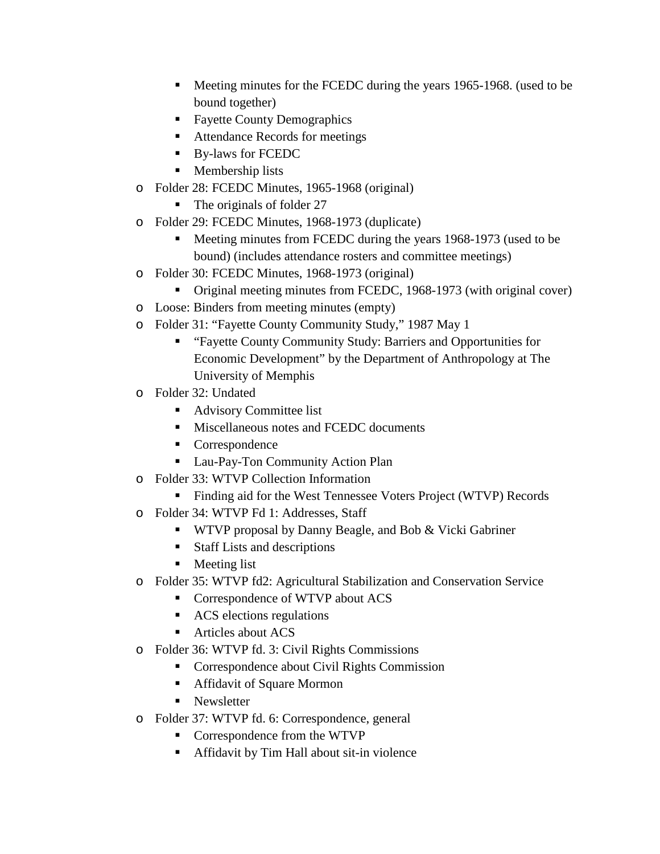- **Meeting minutes for the FCEDC during the years 1965-1968.** (used to be bound together)
- Fayette County Demographics
- Attendance Records for meetings
- By-laws for FCEDC
- **Membership lists**
- o Folder 28: FCEDC Minutes, 1965-1968 (original)
	- The originals of folder 27
- o Folder 29: FCEDC Minutes, 1968-1973 (duplicate)
	- Meeting minutes from FCEDC during the years 1968-1973 (used to be bound) (includes attendance rosters and committee meetings)
- o Folder 30: FCEDC Minutes, 1968-1973 (original)
	- Original meeting minutes from FCEDC, 1968-1973 (with original cover)
- o Loose: Binders from meeting minutes (empty)
- o Folder 31: "Fayette County Community Study," 1987 May 1
	- "Fayette County Community Study: Barriers and Opportunities for Economic Development" by the Department of Anthropology at The University of Memphis
- o Folder 32: Undated
	- Advisory Committee list
	- **Miscellaneous notes and FCEDC documents**
	- Correspondence
	- Lau-Pay-Ton Community Action Plan
- o Folder 33: WTVP Collection Information
	- Finding aid for the West Tennessee Voters Project (WTVP) Records
- o Folder 34: WTVP Fd 1: Addresses, Staff
	- **WIVP** proposal by Danny Beagle, and Bob & Vicki Gabriner
	- $\blacksquare$  Staff Lists and descriptions
	- **Meeting list**
- o Folder 35: WTVP fd2: Agricultural Stabilization and Conservation Service
	- Correspondence of WTVP about ACS
	- **ACS** elections regulations
	- **Articles about ACS**
- o Folder 36: WTVP fd. 3: Civil Rights Commissions
	- **Correspondence about Civil Rights Commission**
	- Affidavit of Square Mormon
	- Newsletter
- o Folder 37: WTVP fd. 6: Correspondence, general
	- Correspondence from the WTVP
	- Affidavit by Tim Hall about sit-in violence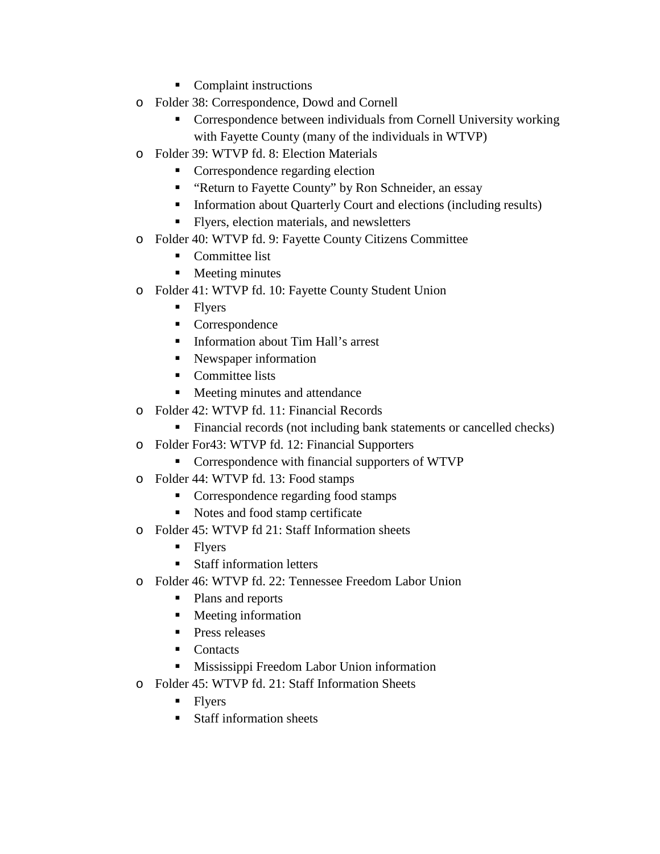- Complaint instructions
- o Folder 38: Correspondence, Dowd and Cornell
	- Correspondence between individuals from Cornell University working with Fayette County (many of the individuals in WTVP)
- o Folder 39: WTVP fd. 8: Election Materials
	- Correspondence regarding election
	- **EXECUTE:** "Return to Fayette County" by Ron Schneider, an essay
	- **Information about Quarterly Court and elections (including results)**
	- Flyers, election materials, and newsletters
- o Folder 40: WTVP fd. 9: Fayette County Citizens Committee
	- Committee list
	- **Meeting minutes**
- o Folder 41: WTVP fd. 10: Fayette County Student Union
	- Flyers
	- Correspondence
	- Information about Tim Hall's arrest
	- Newspaper information
	- Committee lists
	- Meeting minutes and attendance
- o Folder 42: WTVP fd. 11: Financial Records
	- Financial records (not including bank statements or cancelled checks)
- o Folder For43: WTVP fd. 12: Financial Supporters
	- **Correspondence with financial supporters of WTVP**
- o Folder 44: WTVP fd. 13: Food stamps
	- Correspondence regarding food stamps
	- Notes and food stamp certificate
- o Folder 45: WTVP fd 21: Staff Information sheets
	- Flyers
	- **Staff information letters**
- o Folder 46: WTVP fd. 22: Tennessee Freedom Labor Union
	- Plans and reports
	- **Meeting information**
	- **Press releases**
	- Contacts
	- **Mississippi Freedom Labor Union information**
- o Folder 45: WTVP fd. 21: Staff Information Sheets
	- Flyers
	- Staff information sheets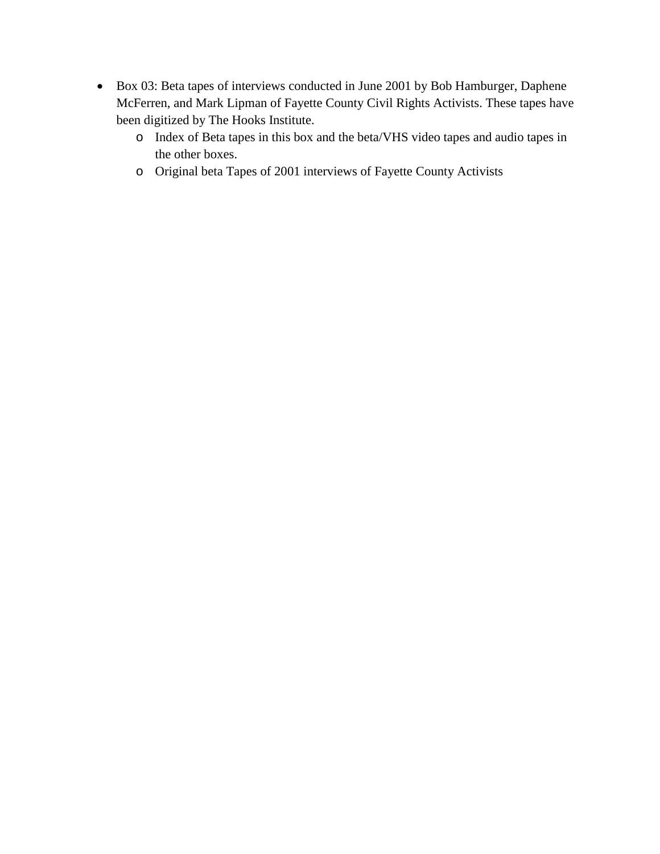- Box 03: Beta tapes of interviews conducted in June 2001 by Bob Hamburger, Daphene McFerren, and Mark Lipman of Fayette County Civil Rights Activists. These tapes have been digitized by The Hooks Institute.
	- o Index of Beta tapes in this box and the beta/VHS video tapes and audio tapes in the other boxes.
	- o Original beta Tapes of 2001 interviews of Fayette County Activists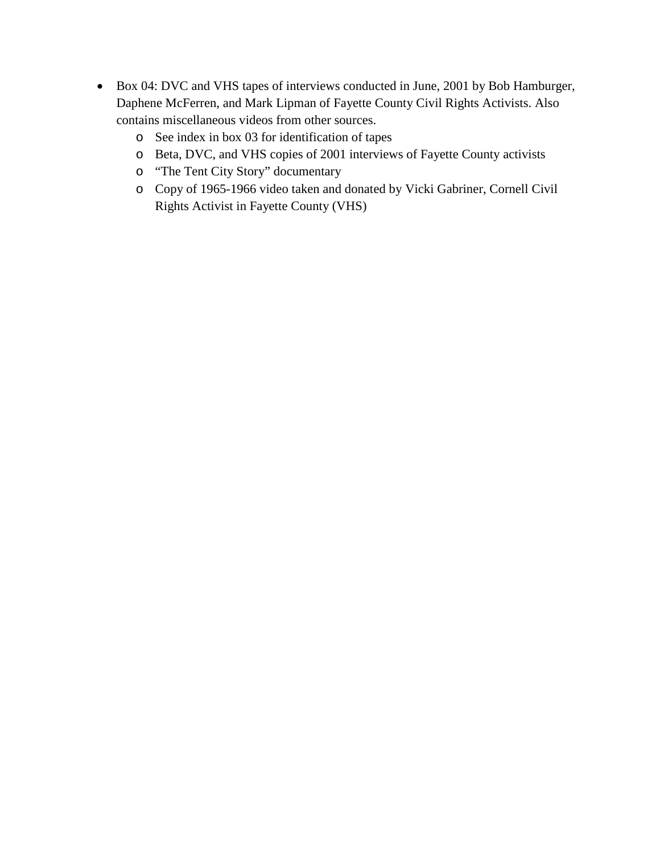- Box 04: DVC and VHS tapes of interviews conducted in June, 2001 by Bob Hamburger, Daphene McFerren, and Mark Lipman of Fayette County Civil Rights Activists. Also contains miscellaneous videos from other sources.
	- o See index in box 03 for identification of tapes
	- o Beta, DVC, and VHS copies of 2001 interviews of Fayette County activists
	- o "The Tent City Story" documentary
	- o Copy of 1965-1966 video taken and donated by Vicki Gabriner, Cornell Civil Rights Activist in Fayette County (VHS)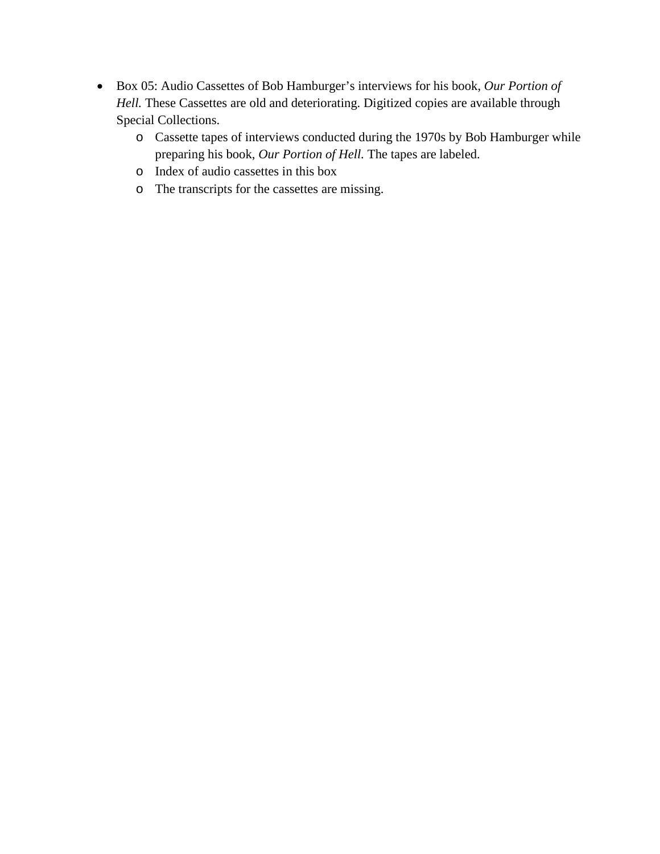- Box 05: Audio Cassettes of Bob Hamburger's interviews for his book, *Our Portion of Hell.* These Cassettes are old and deteriorating. Digitized copies are available through Special Collections.
	- o Cassette tapes of interviews conducted during the 1970s by Bob Hamburger while preparing his book, *Our Portion of Hell.* The tapes are labeled.
	- o Index of audio cassettes in this box
	- o The transcripts for the cassettes are missing.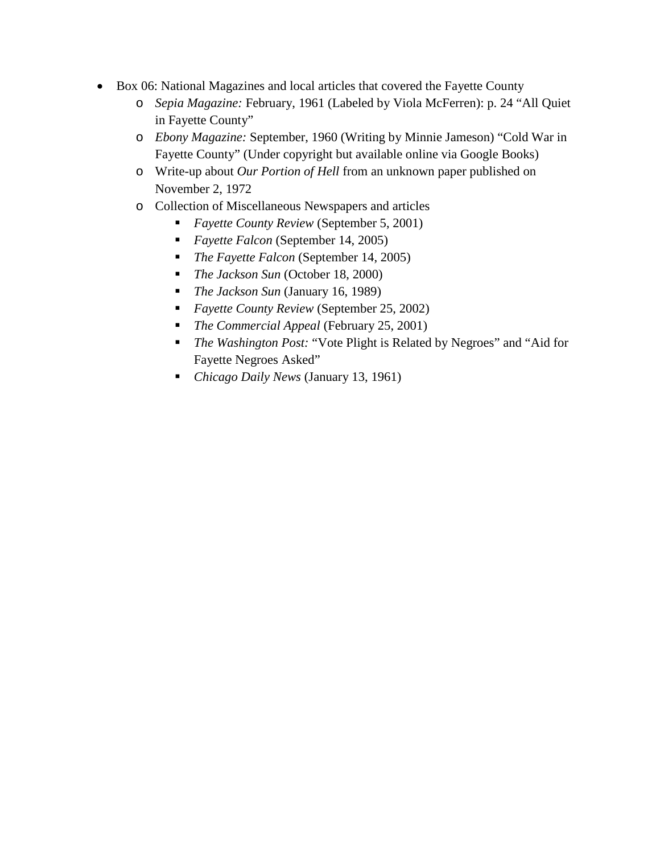- Box 06: National Magazines and local articles that covered the Fayette County
	- o *Sepia Magazine:* February, 1961 (Labeled by Viola McFerren): p. 24 "All Quiet in Fayette County"
	- o *Ebony Magazine:* September, 1960 (Writing by Minnie Jameson) "Cold War in Fayette County" (Under copyright but available online via Google Books)
	- o Write*-*up about *Our Portion of Hell* from an unknown paper published on November 2, 1972
	- o Collection of Miscellaneous Newspapers and articles
		- *Fayette County Review* (September 5, 2001)
		- *Fayette Falcon* (September 14, 2005)
		- *The Fayette Falcon* (September 14, 2005)
		- *The Jackson Sun* (October 18, 2000)
		- *The Jackson Sun* (January 16, 1989)
		- *Fayette County Review* (September 25, 2002)
		- *The Commercial Appeal* (February 25, 2001)
		- *The Washington Post:* "Vote Plight is Related by Negroes" and "Aid for Fayette Negroes Asked"
		- *Chicago Daily News* (January 13, 1961)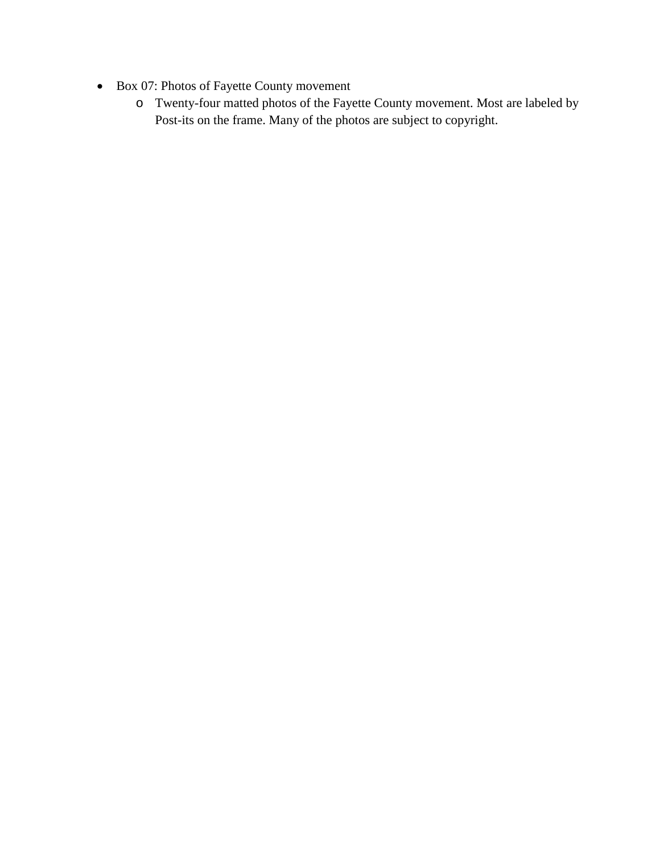- Box 07: Photos of Fayette County movement
	- o Twenty-four matted photos of the Fayette County movement. Most are labeled by Post-its on the frame. Many of the photos are subject to copyright.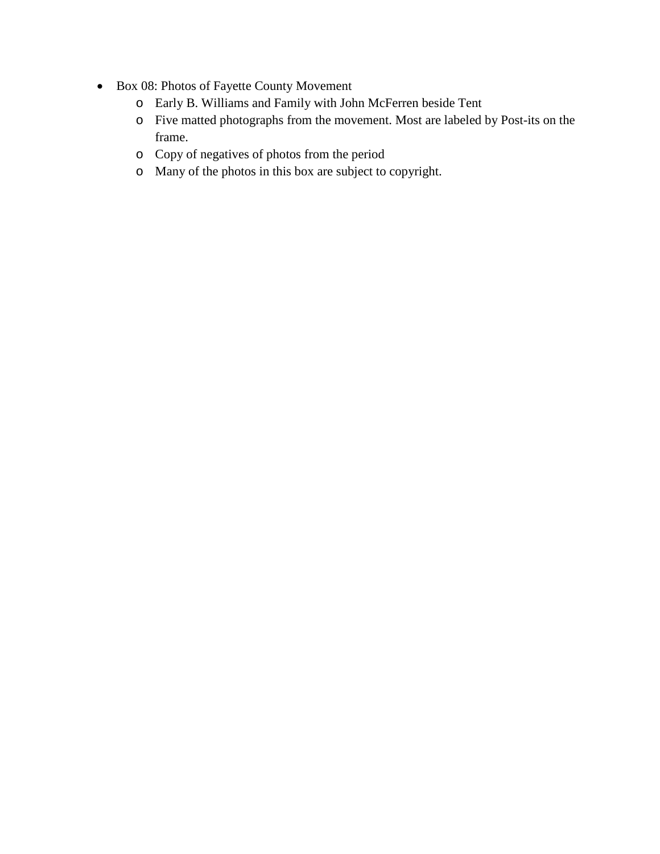- Box 08: Photos of Fayette County Movement
	- o Early B. Williams and Family with John McFerren beside Tent
	- o Five matted photographs from the movement. Most are labeled by Post-its on the frame.
	- o Copy of negatives of photos from the period
	- o Many of the photos in this box are subject to copyright.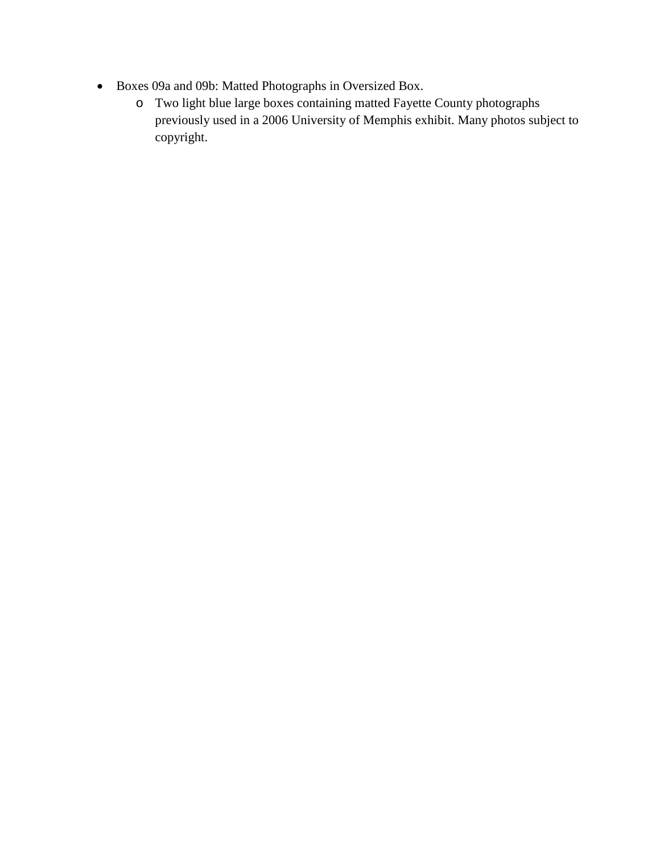- Boxes 09a and 09b: Matted Photographs in Oversized Box.
	- o Two light blue large boxes containing matted Fayette County photographs previously used in a 2006 University of Memphis exhibit. Many photos subject to copyright.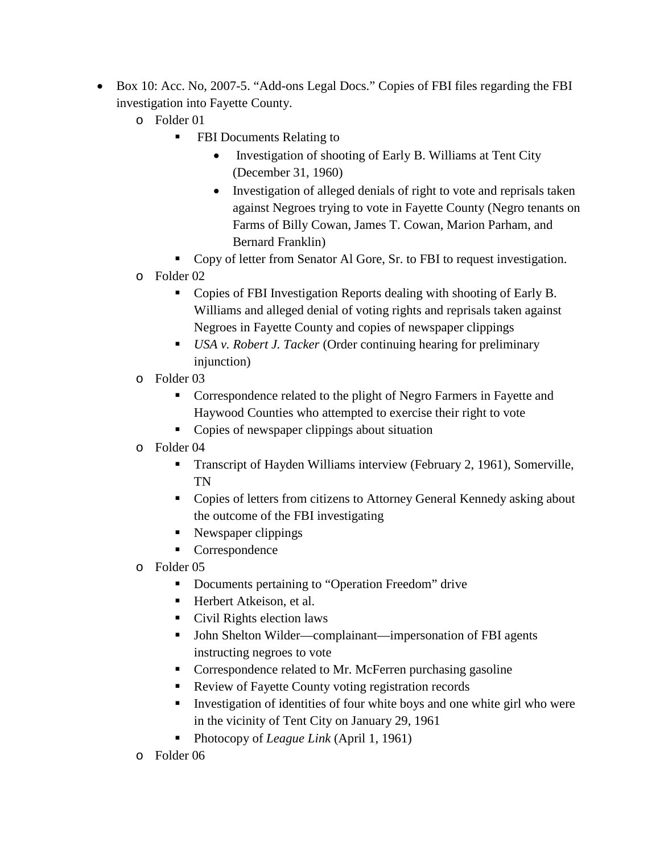- Box 10: Acc. No, 2007-5. "Add-ons Legal Docs." Copies of FBI files regarding the FBI investigation into Fayette County.
	- o Folder 01
		- **FBI Documents Relating to** 
			- Investigation of shooting of Early B. Williams at Tent City (December 31, 1960)
			- Investigation of alleged denials of right to vote and reprisals taken against Negroes trying to vote in Fayette County (Negro tenants on Farms of Billy Cowan, James T. Cowan, Marion Parham, and Bernard Franklin)
		- Copy of letter from Senator Al Gore, Sr. to FBI to request investigation.
	- o Folder 02
		- Copies of FBI Investigation Reports dealing with shooting of Early B. Williams and alleged denial of voting rights and reprisals taken against Negroes in Fayette County and copies of newspaper clippings
		- *USA v. Robert J. Tacker* (Order continuing hearing for preliminary injunction)
	- o Folder 03
		- Correspondence related to the plight of Negro Farmers in Fayette and Haywood Counties who attempted to exercise their right to vote
		- Copies of newspaper clippings about situation
	- o Folder 04
		- **Transcript of Hayden Williams interview (February 2, 1961), Somerville,** TN
		- Copies of letters from citizens to Attorney General Kennedy asking about the outcome of the FBI investigating
		- Newspaper clippings
		- Correspondence
	- o Folder 05
		- **•** Documents pertaining to "Operation Freedom" drive
		- Herbert Atkeison, et al.
		- Civil Rights election laws
		- John Shelton Wilder—complainant—impersonation of FBI agents instructing negroes to vote
		- Correspondence related to Mr. McFerren purchasing gasoline
		- Review of Fayette County voting registration records
		- Investigation of identities of four white boys and one white girl who were in the vicinity of Tent City on January 29, 1961
		- Photocopy of *League Link* (April 1, 1961)
	- o Folder 06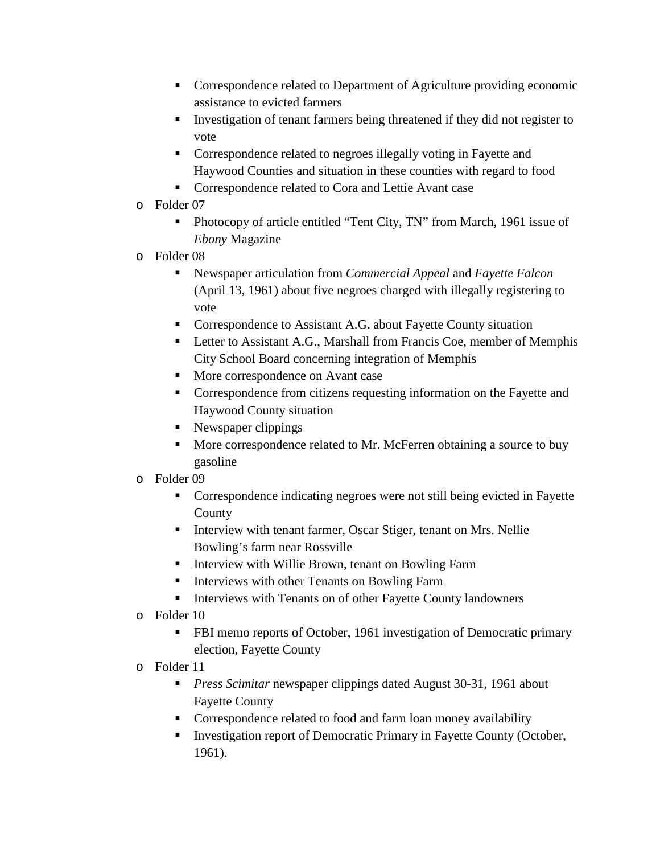- Correspondence related to Department of Agriculture providing economic assistance to evicted farmers
- Investigation of tenant farmers being threatened if they did not register to vote
- Correspondence related to negroes illegally voting in Fayette and Haywood Counties and situation in these counties with regard to food
- **Correspondence related to Cora and Lettie Avant case**
- o Folder 07
	- Photocopy of article entitled "Tent City, TN" from March, 1961 issue of *Ebony* Magazine
- o Folder 08
	- Newspaper articulation from *Commercial Appeal* and *Fayette Falcon* (April 13, 1961) about five negroes charged with illegally registering to vote
	- Correspondence to Assistant A.G. about Fayette County situation
	- **EXECUTE:** Letter to Assistant A.G., Marshall from Francis Coe, member of Memphis City School Board concerning integration of Memphis
	- More correspondence on Avant case
	- Correspondence from citizens requesting information on the Fayette and Haywood County situation
	- Newspaper clippings
	- More correspondence related to Mr. McFerren obtaining a source to buy gasoline
- o Folder 09
	- Correspondence indicating negroes were not still being evicted in Fayette County
	- **Interview with tenant farmer, Oscar Stiger, tenant on Mrs. Nellie** Bowling's farm near Rossville
	- **IF Interview with Willie Brown, tenant on Bowling Farm**
	- **Interviews with other Tenants on Bowling Farm**
	- Interviews with Tenants on of other Fayette County landowners
- o Folder 10
	- **FBI** memo reports of October, 1961 investigation of Democratic primary election, Fayette County
- o Folder 11
	- *Press Scimitar* newspaper clippings dated August 30-31, 1961 about Fayette County
	- Correspondence related to food and farm loan money availability
	- Investigation report of Democratic Primary in Fayette County (October, 1961).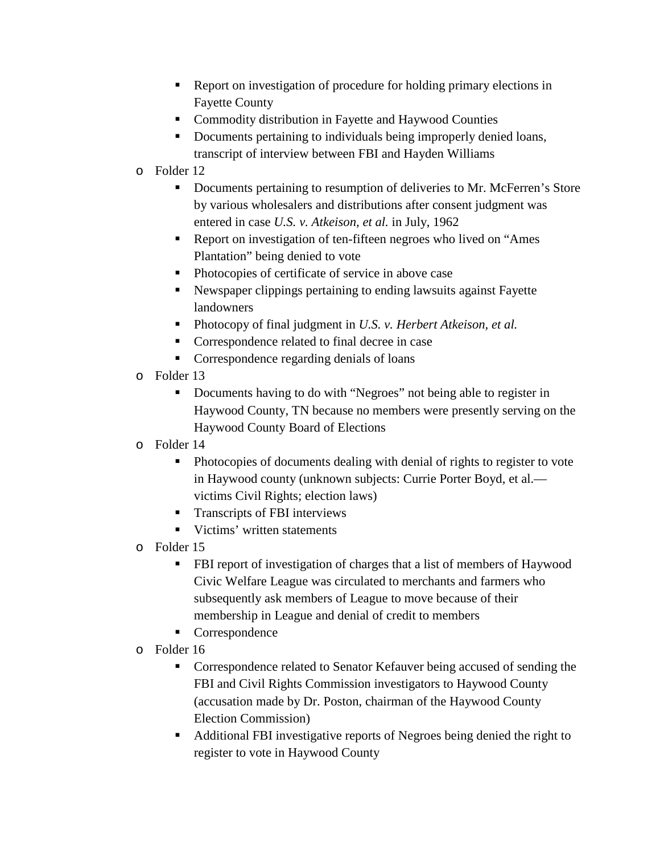- Report on investigation of procedure for holding primary elections in Fayette County
- Commodity distribution in Fayette and Haywood Counties
- Documents pertaining to individuals being improperly denied loans, transcript of interview between FBI and Hayden Williams
- o Folder 12
	- Documents pertaining to resumption of deliveries to Mr. McFerren's Store by various wholesalers and distributions after consent judgment was entered in case *U.S. v. Atkeison, et al.* in July, 1962
	- Report on investigation of ten-fifteen negroes who lived on "Ames Plantation" being denied to vote
	- Photocopies of certificate of service in above case
	- Newspaper clippings pertaining to ending lawsuits against Fayette landowners
	- Photocopy of final judgment in *U.S. v. Herbert Atkeison, et al.*
	- Correspondence related to final decree in case
	- **•** Correspondence regarding denials of loans
- o Folder 13
	- Documents having to do with "Negroes" not being able to register in Haywood County, TN because no members were presently serving on the Haywood County Board of Elections
- o Folder 14
	- Photocopies of documents dealing with denial of rights to register to vote in Haywood county (unknown subjects: Currie Porter Boyd, et al. victims Civil Rights; election laws)
	- **Transcripts of FBI interviews**
	- Victims' written statements
- o Folder 15
	- FBI report of investigation of charges that a list of members of Haywood Civic Welfare League was circulated to merchants and farmers who subsequently ask members of League to move because of their membership in League and denial of credit to members
	- Correspondence
- o Folder 16
	- Correspondence related to Senator Kefauver being accused of sending the FBI and Civil Rights Commission investigators to Haywood County (accusation made by Dr. Poston, chairman of the Haywood County Election Commission)
	- Additional FBI investigative reports of Negroes being denied the right to register to vote in Haywood County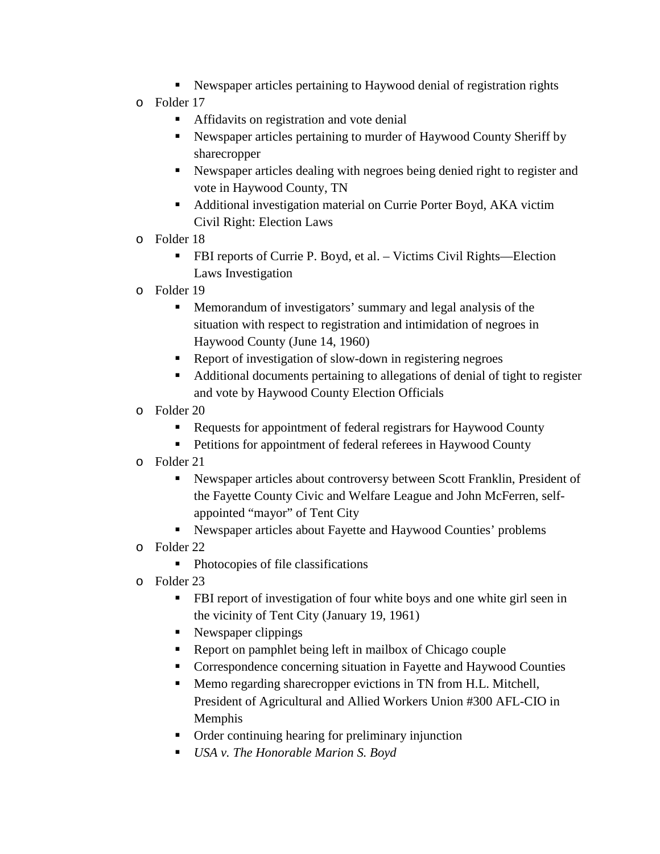- Newspaper articles pertaining to Haywood denial of registration rights
- o Folder 17
	- **Affidavits on registration and vote denial**
	- Newspaper articles pertaining to murder of Haywood County Sheriff by sharecropper
	- Newspaper articles dealing with negroes being denied right to register and vote in Haywood County, TN
	- Additional investigation material on Currie Porter Boyd, AKA victim Civil Right: Election Laws
- o Folder 18
	- FBI reports of Currie P. Boyd, et al. Victims Civil Rights—Election Laws Investigation
- o Folder 19
	- Memorandum of investigators' summary and legal analysis of the situation with respect to registration and intimidation of negroes in Haywood County (June 14, 1960)
	- Report of investigation of slow-down in registering negroes
	- Additional documents pertaining to allegations of denial of tight to register and vote by Haywood County Election Officials
- o Folder 20
	- Requests for appointment of federal registrars for Haywood County
	- **Petitions for appointment of federal referees in Haywood County**
- o Folder 21
	- Newspaper articles about controversy between Scott Franklin, President of the Fayette County Civic and Welfare League and John McFerren, selfappointed "mayor" of Tent City
	- Newspaper articles about Fayette and Haywood Counties' problems
- o Folder 22
	- Photocopies of file classifications
- o Folder 23
	- **FBI** report of investigation of four white boys and one white girl seen in the vicinity of Tent City (January 19, 1961)
	- Newspaper clippings
	- Report on pamphlet being left in mailbox of Chicago couple
	- Correspondence concerning situation in Fayette and Haywood Counties
	- Memo regarding sharecropper evictions in TN from H.L. Mitchell, President of Agricultural and Allied Workers Union #300 AFL-CIO in Memphis
	- Order continuing hearing for preliminary injunction
	- *USA v. The Honorable Marion S. Boyd*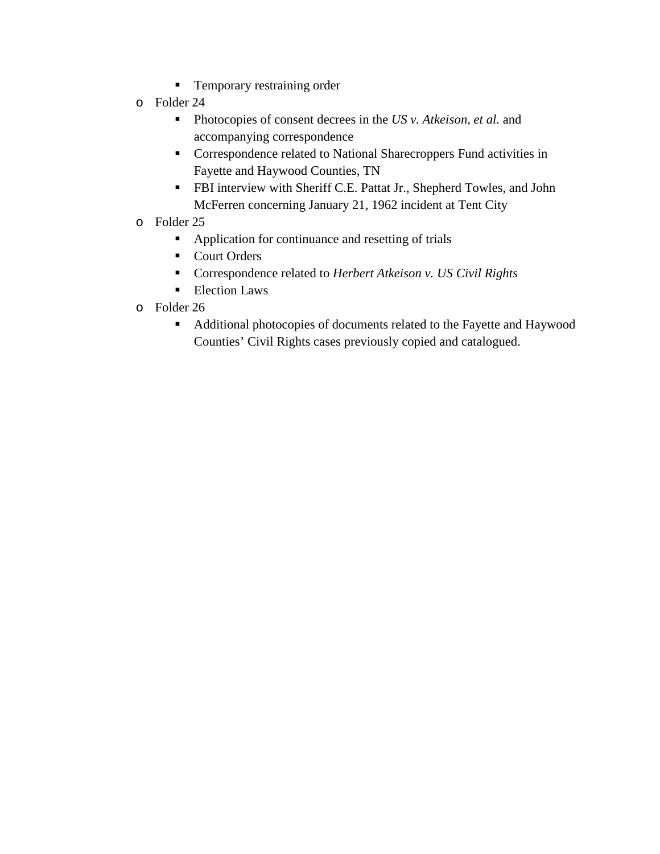- **Temporary restraining order**
- o Folder 24
	- Photocopies of consent decrees in the *US v. Atkeison, et al.* and accompanying correspondence
	- Correspondence related to National Sharecroppers Fund activities in Fayette and Haywood Counties, TN
	- **FBI** interview with Sheriff C.E. Pattat Jr., Shepherd Towles, and John McFerren concerning January 21, 1962 incident at Tent City
- o Folder 25
	- Application for continuance and resetting of trials
	- Court Orders
	- Correspondence related to *Herbert Atkeison v. US Civil Rights*
	- **Election Laws**
- o Folder 26
	- Additional photocopies of documents related to the Fayette and Haywood Counties' Civil Rights cases previously copied and catalogued.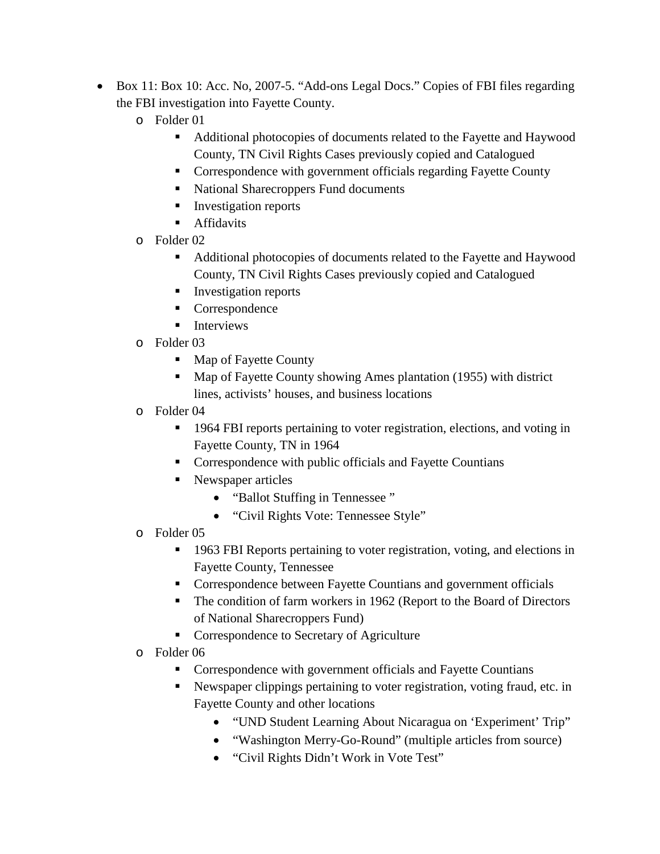- Box 11: Box 10: Acc. No, 2007-5. "Add-ons Legal Docs." Copies of FBI files regarding the FBI investigation into Fayette County.
	- o Folder 01
		- Additional photocopies of documents related to the Fayette and Haywood County, TN Civil Rights Cases previously copied and Catalogued
		- **Correspondence with government officials regarding Fayette County**
		- National Sharecroppers Fund documents
		- **Investigation reports**
		- Affidavits
	- o Folder 02
		- Additional photocopies of documents related to the Fayette and Haywood County, TN Civil Rights Cases previously copied and Catalogued
		- **Investigation reports**
		- Correspondence
		- $\blacksquare$  Interviews
	- o Folder 03
		- Map of Fayette County
		- Map of Fayette County showing Ames plantation (1955) with district lines, activists' houses, and business locations
	- o Folder 04
		- <sup>1964</sup> FBI reports pertaining to voter registration, elections, and voting in Fayette County, TN in 1964
		- Correspondence with public officials and Fayette Countians
		- Newspaper articles
			- "Ballot Stuffing in Tennessee "
			- "Civil Rights Vote: Tennessee Style"
	- o Folder 05
		- 1963 FBI Reports pertaining to voter registration, voting, and elections in Fayette County, Tennessee
		- **Correspondence between Fayette Countians and government officials**
		- The condition of farm workers in 1962 (Report to the Board of Directors of National Sharecroppers Fund)
		- **•** Correspondence to Secretary of Agriculture
	- o Folder 06
		- Correspondence with government officials and Fayette Countians
		- Newspaper clippings pertaining to voter registration, voting fraud, etc. in Fayette County and other locations
			- "UND Student Learning About Nicaragua on 'Experiment' Trip"
			- "Washington Merry-Go-Round" (multiple articles from source)
			- "Civil Rights Didn't Work in Vote Test"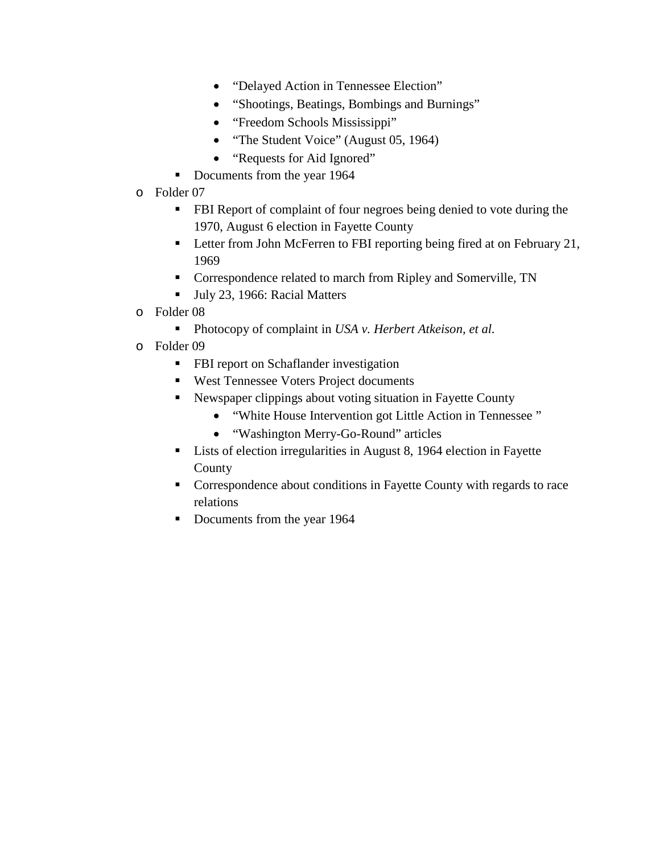- "Delayed Action in Tennessee Election"
- "Shootings, Beatings, Bombings and Burnings"
- "Freedom Schools Mississippi"
- "The Student Voice" (August 05, 1964)
- "Requests for Aid Ignored"
- Documents from the year 1964
- o Folder 07
	- **FBI Report of complaint of four negroes being denied to vote during the** 1970, August 6 election in Fayette County
	- **Letter from John McFerren to FBI reporting being fired at on February 21,** 1969
	- Correspondence related to march from Ripley and Somerville, TN
	- Ully 23, 1966: Racial Matters
- o Folder 08
	- Photocopy of complaint in *USA v. Herbert Atkeison, et al.*
- o Folder 09
	- **FBI** report on Schaflander investigation
	- West Tennessee Voters Project documents
	- Newspaper clippings about voting situation in Fayette County
		- "White House Intervention got Little Action in Tennessee "
		- "Washington Merry-Go-Round" articles
	- Lists of election irregularities in August 8, 1964 election in Fayette County
	- Correspondence about conditions in Fayette County with regards to race relations
	- Documents from the year 1964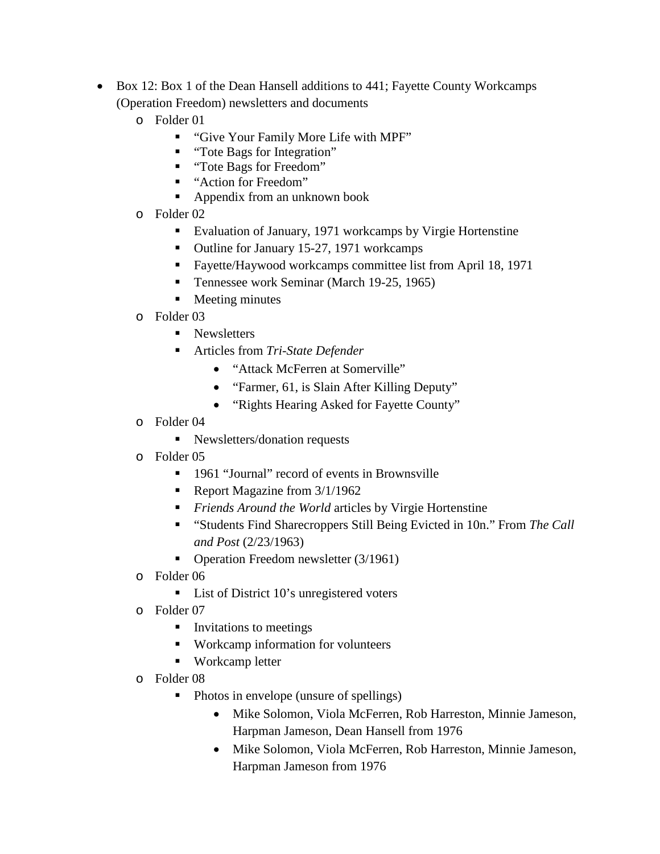- Box 12: Box 1 of the Dean Hansell additions to 441; Fayette County Workcamps (Operation Freedom) newsletters and documents
	- o Folder 01
		- "Give Your Family More Life with MPF"
		- "Tote Bags for Integration"
		- "Tote Bags for Freedom"
		- "Action for Freedom"
		- Appendix from an unknown book
	- o Folder 02
		- Evaluation of January, 1971 workcamps by Virgie Hortenstine
		- Outline for January 15-27, 1971 workcamps
		- Fayette/Haywood workcamps committee list from April 18, 1971
		- Tennessee work Seminar (March 19-25, 1965)
		- **Meeting minutes**
	- o Folder 03
		- Newsletters
		- Articles from *Tri-State Defender*
			- "Attack McFerren at Somerville"
				- "Farmer, 61, is Slain After Killing Deputy"
				- "Rights Hearing Asked for Fayette County"
	- o Folder 04
		- Newsletters/donation requests
	- o Folder 05
		- 1961 "Journal" record of events in Brownsville
		- Report Magazine from  $3/1/1962$
		- *Friends Around the World* articles by Virgie Hortenstine
		- "Students Find Sharecroppers Still Being Evicted in 10n." From *The Call and Post* (2/23/1963)
		- Operation Freedom newsletter (3/1961)
	- o Folder 06
		- List of District 10's unregistered voters
	- o Folder 07
		- **Invitations to meetings**
		- **Workcamp information for volunteers**
		- Workcamp letter
	- o Folder 08
		- Photos in envelope (unsure of spellings)
			- Mike Solomon, Viola McFerren, Rob Harreston, Minnie Jameson, Harpman Jameson, Dean Hansell from 1976
			- Mike Solomon, Viola McFerren, Rob Harreston, Minnie Jameson, Harpman Jameson from 1976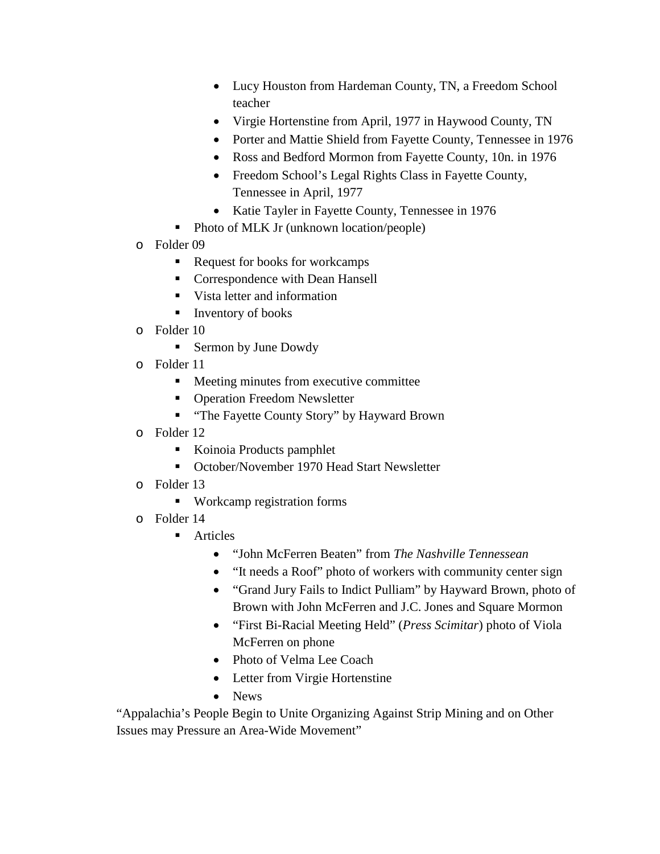- Lucy Houston from Hardeman County, TN, a Freedom School teacher
- Virgie Hortenstine from April, 1977 in Haywood County, TN
- Porter and Mattie Shield from Fayette County, Tennessee in 1976
- Ross and Bedford Mormon from Fayette County, 10n. in 1976
- Freedom School's Legal Rights Class in Fayette County, Tennessee in April, 1977
- Katie Tayler in Fayette County, Tennessee in 1976
- Photo of MLK Jr (unknown location/people)
- o Folder 09
	- Request for books for workcamps
	- **Correspondence with Dean Hansell**
	- Vista letter and information
	- Inventory of books
- o Folder 10
	- **Sermon by June Dowdy**
- o Folder 11
	- Meeting minutes from executive committee
	- **Operation Freedom Newsletter**
	- **"** "The Fayette County Story" by Hayward Brown
- o Folder 12
	- Koinoia Products pamphlet
	- October/November 1970 Head Start Newsletter
- o Folder 13
	- Workcamp registration forms
- o Folder 14
	- **Articles** 
		- "John McFerren Beaten" from *The Nashville Tennessean*
		- "It needs a Roof" photo of workers with community center sign
		- "Grand Jury Fails to Indict Pulliam" by Hayward Brown, photo of Brown with John McFerren and J.C. Jones and Square Mormon
		- "First Bi-Racial Meeting Held" (*Press Scimitar*) photo of Viola McFerren on phone
		- Photo of Velma Lee Coach
		- Letter from Virgie Hortenstine
		- News

"Appalachia's People Begin to Unite Organizing Against Strip Mining and on Other Issues may Pressure an Area-Wide Movement"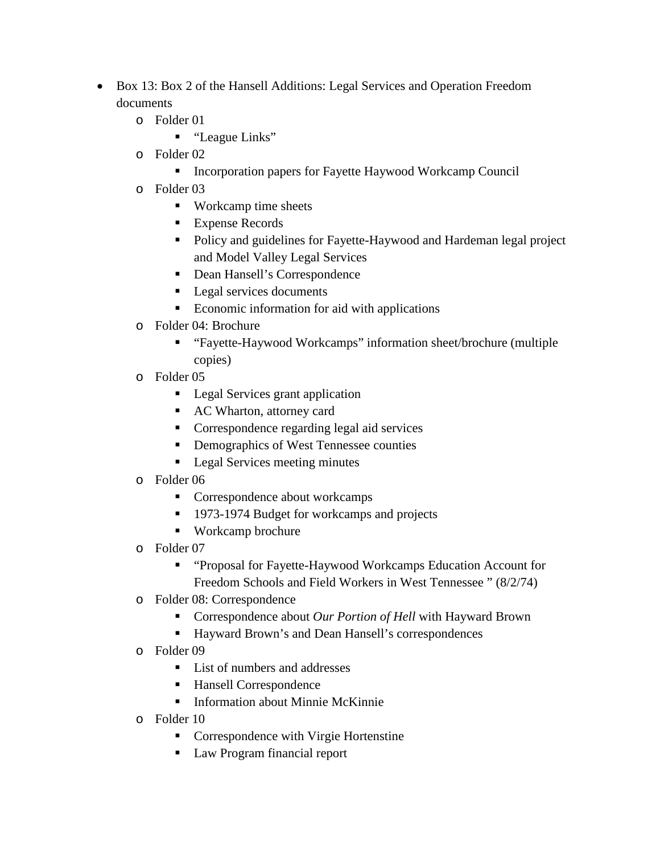- Box 13: Box 2 of the Hansell Additions: Legal Services and Operation Freedom documents
	- o Folder 01
		- "League Links"
	- o Folder 02
		- **Incorporation papers for Fayette Haywood Workcamp Council**
	- o Folder 03
		- Workcamp time sheets
		- Expense Records
		- Policy and guidelines for Fayette-Haywood and Hardeman legal project and Model Valley Legal Services
		- Dean Hansell's Correspondence
		- **Legal services documents**
		- Economic information for aid with applications
	- o Folder 04: Brochure
		- "Fayette-Haywood Workcamps" information sheet/brochure (multiple copies)
	- o Folder 05
		- **Legal Services grant application**
		- AC Wharton, attorney card
		- Correspondence regarding legal aid services
		- Demographics of West Tennessee counties
		- **Legal Services meeting minutes**
	- o Folder 06
		- Correspondence about workcamps
		- <sup>1973-1974</sup> Budget for workcamps and projects
		- Workcamp brochure
	- o Folder 07
		- "Proposal for Fayette-Haywood Workcamps Education Account for Freedom Schools and Field Workers in West Tennessee " (8/2/74)
	- o Folder 08: Correspondence
		- Correspondence about *Our Portion of Hell* with Hayward Brown
		- Hayward Brown's and Dean Hansell's correspondences
	- o Folder 09
		- List of numbers and addresses
		- Hansell Correspondence
		- **F** Information about Minnie McKinnie
	- o Folder 10
		- **Correspondence with Virgie Hortenstine**
		- **Law Program financial report**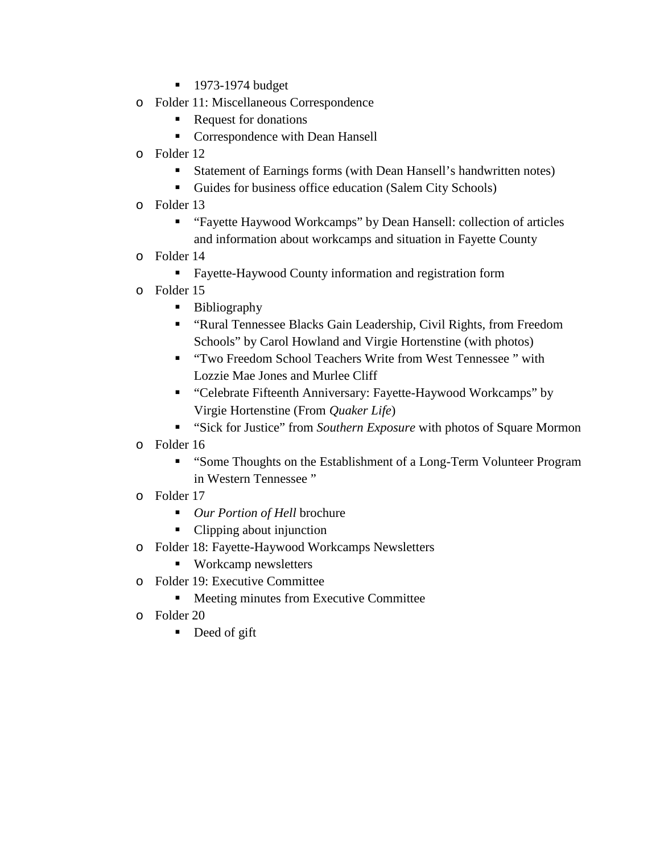- **1973-1974 budget**
- o Folder 11: Miscellaneous Correspondence
	- Request for donations
	- **Correspondence with Dean Hansell**
- o Folder 12
	- Statement of Earnings forms (with Dean Hansell's handwritten notes)
	- Guides for business office education (Salem City Schools)
- o Folder 13
	- "Fayette Haywood Workcamps" by Dean Hansell: collection of articles and information about workcamps and situation in Fayette County
- o Folder 14
	- Fayette-Haywood County information and registration form
- o Folder 15
	- **Bibliography**
	- "Rural Tennessee Blacks Gain Leadership, Civil Rights, from Freedom Schools" by Carol Howland and Virgie Hortenstine (with photos)
	- "Two Freedom School Teachers Write from West Tennessee" with Lozzie Mae Jones and Murlee Cliff
	- "Celebrate Fifteenth Anniversary: Fayette-Haywood Workcamps" by Virgie Hortenstine (From *Quaker Life*)
	- "Sick for Justice" from *Southern Exposure* with photos of Square Mormon
- o Folder 16
	- "Some Thoughts on the Establishment of a Long-Term Volunteer Program in Western Tennessee "
- o Folder 17
	- *Our Portion of Hell* brochure
	- Clipping about injunction
- o Folder 18: Fayette-Haywood Workcamps Newsletters
	- Workcamp newsletters
- o Folder 19: Executive Committee
	- Meeting minutes from Executive Committee
- o Folder 20
	- Deed of gift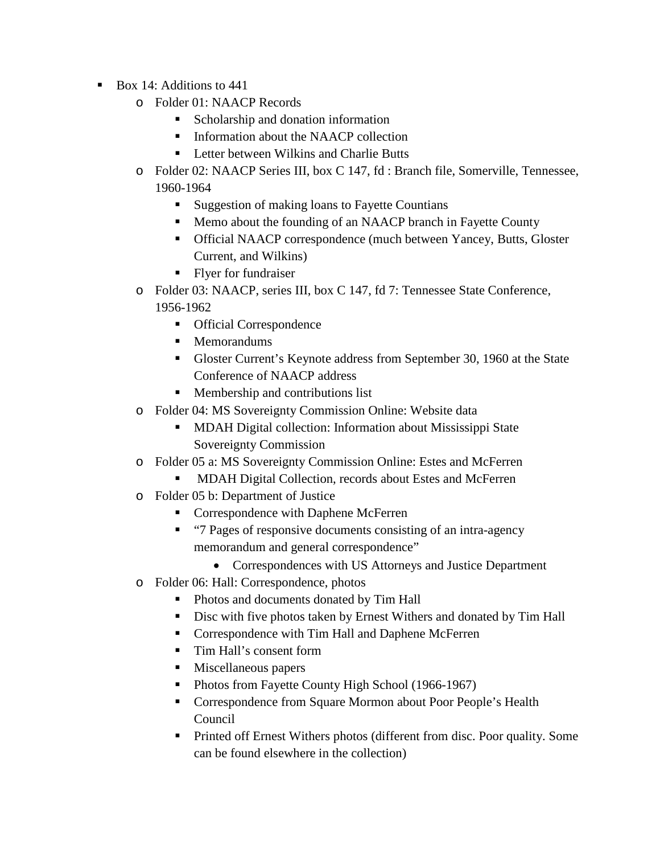- $\blacksquare$  Box 14: Additions to 441
	- o Folder 01: NAACP Records
		- Scholarship and donation information
		- Information about the NAACP collection
		- Letter between Wilkins and Charlie Butts
	- o Folder 02: NAACP Series III, box C 147, fd : Branch file, Somerville, Tennessee, 1960-1964
		- Suggestion of making loans to Fayette Countians
		- Memo about the founding of an NAACP branch in Fayette County
		- Official NAACP correspondence (much between Yancey, Butts, Gloster Current, and Wilkins)
		- Flyer for fundraiser
	- o Folder 03: NAACP, series III, box C 147, fd 7: Tennessee State Conference, 1956-1962
		- Official Correspondence
		- Memorandums
		- Gloster Current's Keynote address from September 30, 1960 at the State Conference of NAACP address
		- **Membership and contributions list**
	- o Folder 04: MS Sovereignty Commission Online: Website data
		- **MDAH Digital collection: Information about Mississippi State** Sovereignty Commission
	- o Folder 05 a: MS Sovereignty Commission Online: Estes and McFerren
		- **MDAH Digital Collection, records about Estes and McFerren**
	- o Folder 05 b: Department of Justice
		- Correspondence with Daphene McFerren
		- "7 Pages of responsive documents consisting of an intra-agency memorandum and general correspondence"
			- Correspondences with US Attorneys and Justice Department
	- o Folder 06: Hall: Correspondence, photos
		- Photos and documents donated by Tim Hall
		- Disc with five photos taken by Ernest Withers and donated by Tim Hall
		- Correspondence with Tim Hall and Daphene McFerren
		- Tim Hall's consent form
		- **Miscellaneous papers**
		- Photos from Fayette County High School (1966-1967)
		- Correspondence from Square Mormon about Poor People's Health Council
		- **Printed off Ernest Withers photos (different from disc. Poor quality. Some** can be found elsewhere in the collection)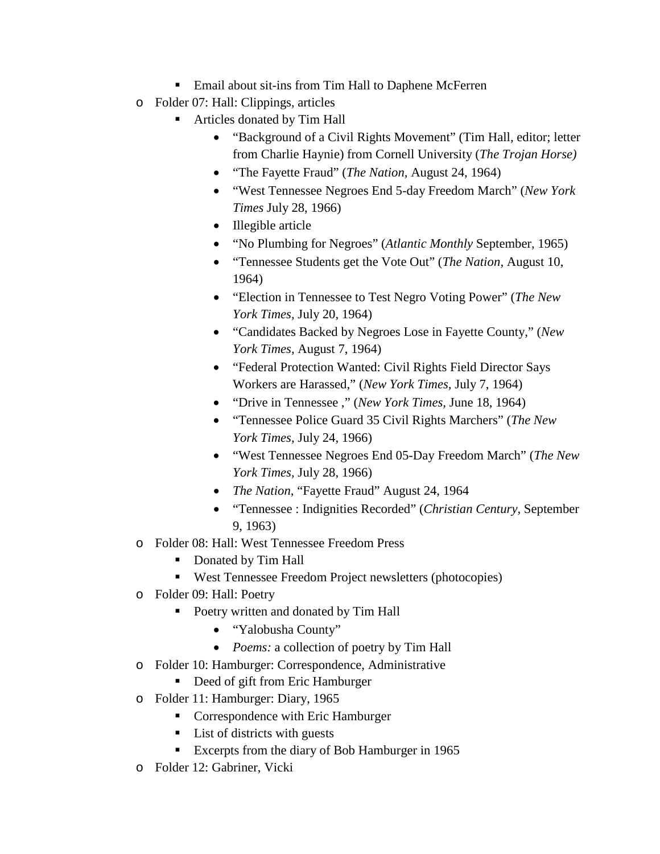- Email about sit-ins from Tim Hall to Daphene McFerren
- o Folder 07: Hall: Clippings, articles
	- Articles donated by Tim Hall
		- "Background of a Civil Rights Movement" (Tim Hall, editor; letter from Charlie Haynie) from Cornell University (*The Trojan Horse)*
		- "The Fayette Fraud" (*The Nation,* August 24, 1964)
		- "West Tennessee Negroes End 5-day Freedom March" (*New York Times* July 28, 1966)
		- Illegible article
		- "No Plumbing for Negroes" (*Atlantic Monthly* September, 1965)
		- "Tennessee Students get the Vote Out" (*The Nation*, August 10, 1964)
		- "Election in Tennessee to Test Negro Voting Power" (*The New York Times,* July 20, 1964)
		- "Candidates Backed by Negroes Lose in Fayette County," (*New York Times,* August 7, 1964)
		- "Federal Protection Wanted: Civil Rights Field Director Says Workers are Harassed," (*New York Times,* July 7, 1964)
		- "Drive in Tennessee ," (*New York Times,* June 18, 1964)
		- "Tennessee Police Guard 35 Civil Rights Marchers" (*The New York Times,* July 24, 1966)
		- "West Tennessee Negroes End 05-Day Freedom March" (*The New York Times,* July 28, 1966)
		- *The Nation,* "Fayette Fraud" August 24, 1964
		- "Tennessee : Indignities Recorded" (*Christian Century,* September 9, 1963)
- o Folder 08: Hall: West Tennessee Freedom Press
	- Donated by Tim Hall
	- West Tennessee Freedom Project newsletters (photocopies)
- o Folder 09: Hall: Poetry
	- **Poetry written and donated by Tim Hall** 
		- "Yalobusha County"
		- *Poems:* a collection of poetry by Tim Hall
- o Folder 10: Hamburger: Correspondence, Administrative
	- Deed of gift from Eric Hamburger
- o Folder 11: Hamburger: Diary, 1965
	- Correspondence with Eric Hamburger
	- List of districts with guests
	- Excerpts from the diary of Bob Hamburger in 1965
- o Folder 12: Gabriner, Vicki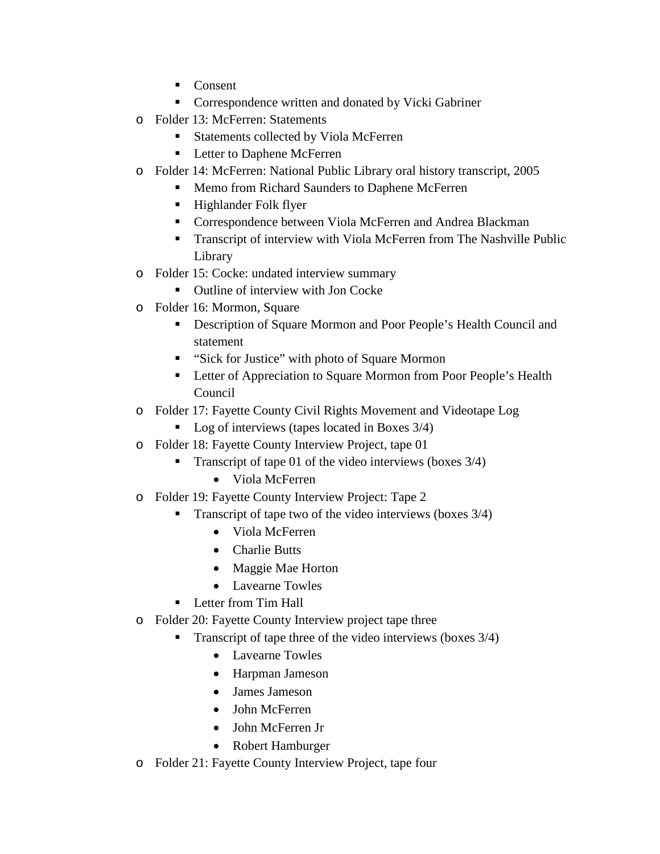- Consent
- **Correspondence written and donated by Vicki Gabriner**
- o Folder 13: McFerren: Statements
	- Statements collected by Viola McFerren
	- **Letter to Daphene McFerren**
- o Folder 14: McFerren: National Public Library oral history transcript, 2005
	- Memo from Richard Saunders to Daphene McFerren
	- Highlander Folk flyer
	- Correspondence between Viola McFerren and Andrea Blackman
	- **Transcript of interview with Viola McFerren from The Nashville Public** Library
- o Folder 15: Cocke: undated interview summary
	- Outline of interview with Jon Cocke
- o Folder 16: Mormon, Square
	- Description of Square Mormon and Poor People's Health Council and statement
	- "Sick for Justice" with photo of Square Mormon
	- **EXECUTE:** Letter of Appreciation to Square Mormon from Poor People's Health Council
- o Folder 17: Fayette County Civil Rights Movement and Videotape Log
	- Log of interviews (tapes located in Boxes  $3/4$ )
- o Folder 18: Fayette County Interview Project, tape 01
	- **Transcript of tape 01 of the video interviews (boxes 3/4)** 
		- Viola McFerren
- o Folder 19: Fayette County Interview Project: Tape 2
	- Transcript of tape two of the video interviews (boxes 3/4)
		- Viola McFerren
		- Charlie Butts
		- Maggie Mae Horton
		- Lavearne Towles
	- **Letter from Tim Hall**
- o Folder 20: Fayette County Interview project tape three
	- Transcript of tape three of the video interviews (boxes 3/4)
		- Lavearne Towles
		- Harpman Jameson
		- James Jameson
		- John McFerren
		- John McFerren Jr
		- Robert Hamburger
- o Folder 21: Fayette County Interview Project, tape four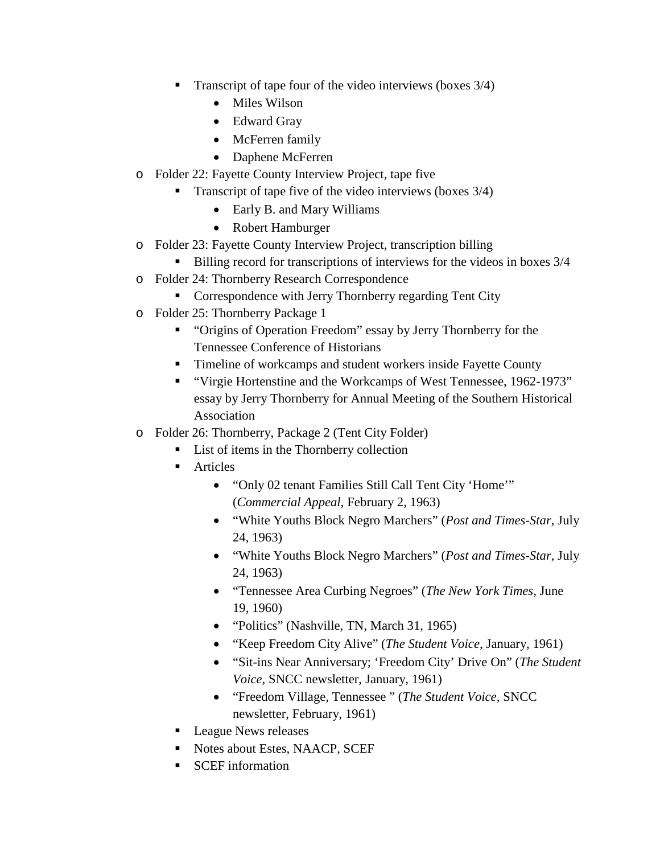- **Transcript of tape four of the video interviews (boxes 3/4)** 
	- Miles Wilson
	- Edward Gray
	- McFerren family
	- Daphene McFerren
- o Folder 22: Fayette County Interview Project, tape five
	- **Transcript of tape five of the video interviews (boxes 3/4)** 
		- Early B. and Mary Williams
		- Robert Hamburger
- o Folder 23: Fayette County Interview Project, transcription billing
	- Billing record for transcriptions of interviews for the videos in boxes  $3/4$
- o Folder 24: Thornberry Research Correspondence
	- **Correspondence with Jerry Thornberry regarding Tent City**
- o Folder 25: Thornberry Package 1
	- "Origins of Operation Freedom" essay by Jerry Thornberry for the Tennessee Conference of Historians
	- **Timeline of workcamps and student workers inside Fayette County**
	- "Virgie Hortenstine and the Workcamps of West Tennessee, 1962-1973" essay by Jerry Thornberry for Annual Meeting of the Southern Historical Association
- o Folder 26: Thornberry, Package 2 (Tent City Folder)
	- List of items in the Thornberry collection
	- Articles
		- "Only 02 tenant Families Still Call Tent City 'Home'" (*Commercial Appeal*, February 2, 1963)
		- "White Youths Block Negro Marchers" (*Post and Times-Star,* July 24, 1963)
		- "White Youths Block Negro Marchers" (*Post and Times-Star,* July 24, 1963)
		- "Tennessee Area Curbing Negroes" (*The New York Times,* June 19, 1960)
		- "Politics" (Nashville, TN, March 31, 1965)
		- "Keep Freedom City Alive" (*The Student Voice,* January, 1961)
		- "Sit-ins Near Anniversary; 'Freedom City' Drive On" (*The Student Voice,* SNCC newsletter, January, 1961)
		- "Freedom Village, Tennessee " (*The Student Voice,* SNCC newsletter, February, 1961)
	- **League News releases**
	- Notes about Estes, NAACP, SCEF
	- SCEF information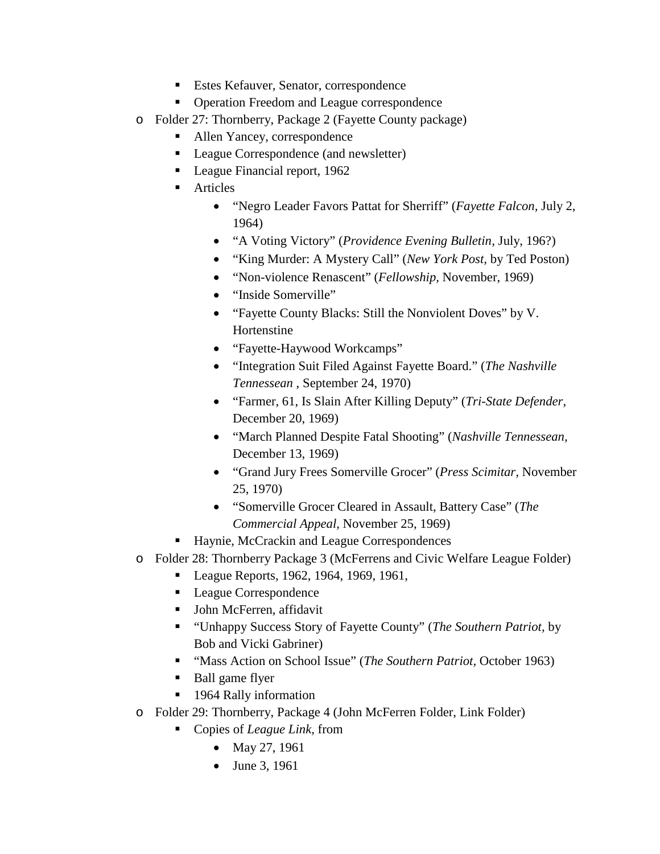- Estes Kefauver, Senator, correspondence
- Operation Freedom and League correspondence
- o Folder 27: Thornberry, Package 2 (Fayette County package)
	- Allen Yancey, correspondence
	- League Correspondence (and newsletter)
	- League Financial report, 1962
	- **Articles** 
		- "Negro Leader Favors Pattat for Sherriff" (*Fayette Falcon,* July 2, 1964)
		- "A Voting Victory" (*Providence Evening Bulletin,* July, 196?)
		- "King Murder: A Mystery Call" (*New York Post,* by Ted Poston)
		- "Non-violence Renascent" (*Fellowship,* November, 1969)
		- "Inside Somerville"
		- "Fayette County Blacks: Still the Nonviolent Doves" by V. Hortenstine
		- "Fayette-Haywood Workcamps"
		- "Integration Suit Filed Against Fayette Board." (*The Nashville Tennessean* , September 24, 1970)
		- "Farmer, 61, Is Slain After Killing Deputy" (*Tri-State Defender,*  December 20, 1969)
		- "March Planned Despite Fatal Shooting" (*Nashville Tennessean,* December 13, 1969)
		- "Grand Jury Frees Somerville Grocer" (*Press Scimitar,* November 25, 1970)
		- "Somerville Grocer Cleared in Assault, Battery Case" (*The Commercial Appeal,* November 25, 1969)
	- Haynie, McCrackin and League Correspondences
- o Folder 28: Thornberry Package 3 (McFerrens and Civic Welfare League Folder)
	- League Reports, 1962, 1964, 1969, 1961,
	- League Correspondence
	- John McFerren, affidavit
	- "Unhappy Success Story of Fayette County" (*The Southern Patriot,* by Bob and Vicki Gabriner)
	- "Mass Action on School Issue" (*The Southern Patriot,* October 1963)
	- **Ball game flyer**
	- 1964 Rally information
- o Folder 29: Thornberry, Package 4 (John McFerren Folder, Link Folder)
	- Copies of *League Link*, from
		- May 27, 1961
		- June 3, 1961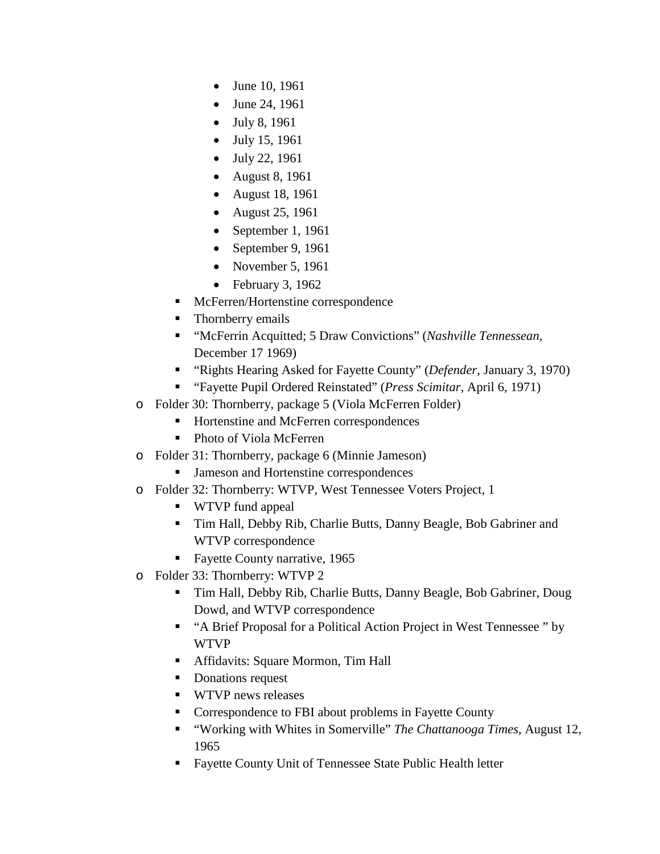- June 10, 1961
- June 24, 1961
- July 8, 1961
- July 15, 1961
- July 22, 1961
- August 8, 1961
- August 18, 1961
- August 25, 1961
- September 1, 1961
- September 9, 1961
- November 5, 1961
- February 3, 1962
- **McFerren/Hortenstine correspondence**
- Thornberry emails
- "McFerrin Acquitted; 5 Draw Convictions" (*Nashville Tennessean,*  December 17 1969)
- "Rights Hearing Asked for Fayette County" (*Defender,* January 3, 1970)
- "Fayette Pupil Ordered Reinstated" (*Press Scimitar,* April 6, 1971)
- o Folder 30: Thornberry, package 5 (Viola McFerren Folder)
	- Hortenstine and McFerren correspondences
	- Photo of Viola McFerren
- o Folder 31: Thornberry, package 6 (Minnie Jameson)
	- **Jameson and Hortenstine correspondences**
- o Folder 32: Thornberry: WTVP, West Tennessee Voters Project, 1
	- WTVP fund appeal
	- Tim Hall, Debby Rib, Charlie Butts, Danny Beagle, Bob Gabriner and WTVP correspondence
	- Fayette County narrative, 1965
- o Folder 33: Thornberry: WTVP 2
	- Tim Hall, Debby Rib, Charlie Butts, Danny Beagle, Bob Gabriner, Doug Dowd, and WTVP correspondence
	- "A Brief Proposal for a Political Action Project in West Tennessee " by WTVP
	- **Affidavits: Square Mormon, Tim Hall**
	- Donations request
	- **WTVP** news releases
	- **Correspondence to FBI about problems in Fayette County**
	- "Working with Whites in Somerville" *The Chattanooga Times,* August 12, 1965
	- Fayette County Unit of Tennessee State Public Health letter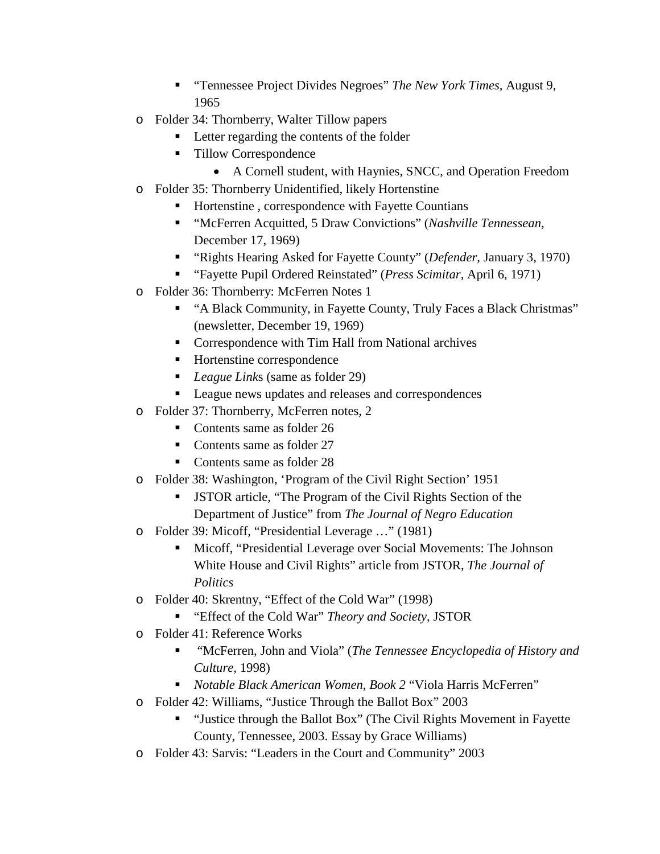- "Tennessee Project Divides Negroes" *The New York Times,* August 9, 1965
- o Folder 34: Thornberry, Walter Tillow papers
	- Letter regarding the contents of the folder
	- Tillow Correspondence
		- A Cornell student, with Haynies, SNCC, and Operation Freedom
- o Folder 35: Thornberry Unidentified, likely Hortenstine
	- Hortenstine , correspondence with Fayette Countians
	- "McFerren Acquitted, 5 Draw Convictions" (*Nashville Tennessean,*  December 17, 1969)
	- "Rights Hearing Asked for Fayette County" (*Defender,* January 3, 1970)
	- "Fayette Pupil Ordered Reinstated" (*Press Scimitar,* April 6, 1971)
- o Folder 36: Thornberry: McFerren Notes 1
	- "A Black Community, in Fayette County, Truly Faces a Black Christmas" (newsletter, December 19, 1969)
	- Correspondence with Tim Hall from National archives
	- Hortenstine correspondence
	- *League Link*s (same as folder 29)
	- **League news updates and releases and correspondences**
- o Folder 37: Thornberry, McFerren notes, 2
	- Contents same as folder 26
	- Contents same as folder 27
	- Contents same as folder 28
- o Folder 38: Washington, 'Program of the Civil Right Section' 1951
	- JSTOR article, "The Program of the Civil Rights Section of the Department of Justice" from *The Journal of Negro Education*
- o Folder 39: Micoff, "Presidential Leverage …" (1981)
	- Micoff, "Presidential Leverage over Social Movements: The Johnson White House and Civil Rights" article from JSTOR, *The Journal of Politics*
- o Folder 40: Skrentny, "Effect of the Cold War" (1998)
	- "Effect of the Cold War" *Theory and Society,* JSTOR
- o Folder 41: Reference Works
	- "McFerren, John and Viola" (*The Tennessee Encyclopedia of History and Culture,* 1998)
	- *Notable Black American Women, Book 2* "Viola Harris McFerren"
- o Folder 42: Williams, "Justice Through the Ballot Box" 2003
	- "Justice through the Ballot Box" (The Civil Rights Movement in Fayette County, Tennessee, 2003. Essay by Grace Williams)
- o Folder 43: Sarvis: "Leaders in the Court and Community" 2003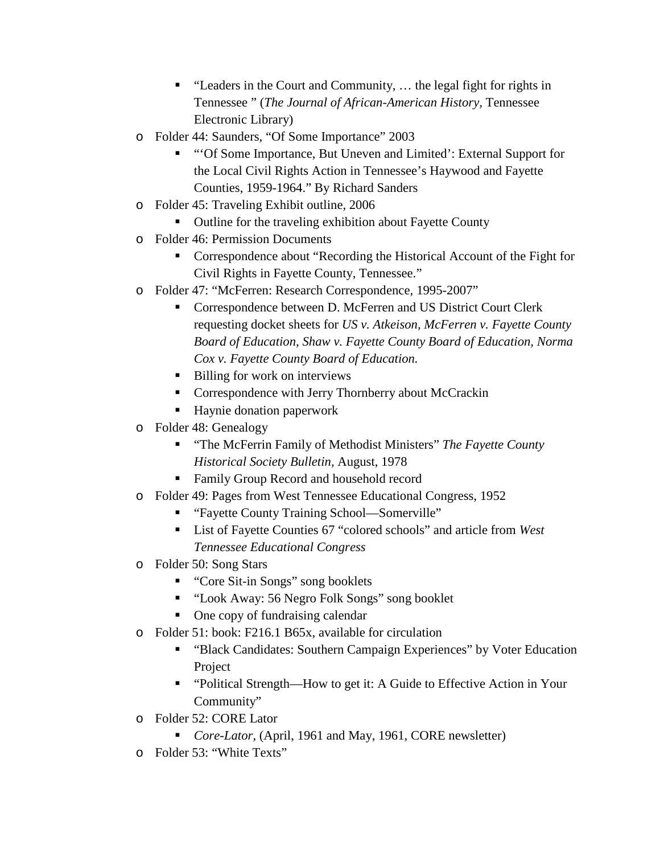- "Leaders in the Court and Community, ... the legal fight for rights in Tennessee " (*The Journal of African-American History,* Tennessee Electronic Library)
- o Folder 44: Saunders, "Of Some Importance" 2003
	- "'Of Some Importance, But Uneven and Limited': External Support for the Local Civil Rights Action in Tennessee's Haywood and Fayette Counties, 1959-1964." By Richard Sanders
- o Folder 45: Traveling Exhibit outline, 2006
	- Outline for the traveling exhibition about Fayette County
- o Folder 46: Permission Documents
	- Correspondence about "Recording the Historical Account of the Fight for Civil Rights in Fayette County, Tennessee."
- o Folder 47: "McFerren: Research Correspondence, 1995-2007"
	- **Correspondence between D. McFerren and US District Court Clerk** requesting docket sheets for *US v. Atkeison, McFerren v. Fayette County Board of Education, Shaw v. Fayette County Board of Education, Norma Cox v. Fayette County Board of Education.*
	- Billing for work on interviews
	- **Correspondence with Jerry Thornberry about McCrackin**
	- Haynie donation paperwork
- o Folder 48: Genealogy
	- "The McFerrin Family of Methodist Ministers" *The Fayette County Historical Society Bulletin,* August, 1978
	- Family Group Record and household record
- o Folder 49: Pages from West Tennessee Educational Congress, 1952
	- "Fayette County Training School—Somerville"
	- List of Fayette Counties 67 "colored schools" and article from *West Tennessee Educational Congress*
- o Folder 50: Song Stars
	- "Core Sit-in Songs" song booklets
	- "Look Away: 56 Negro Folk Songs" song booklet
	- One copy of fundraising calendar
- o Folder 51: book: F216.1 B65x, available for circulation
	- "Black Candidates: Southern Campaign Experiences" by Voter Education Project
	- "Political Strength—How to get it: A Guide to Effective Action in Your Community"
- o Folder 52: CORE Lator
	- *Core-Lator*, (April, 1961 and May, 1961, CORE newsletter)
- o Folder 53: "White Texts"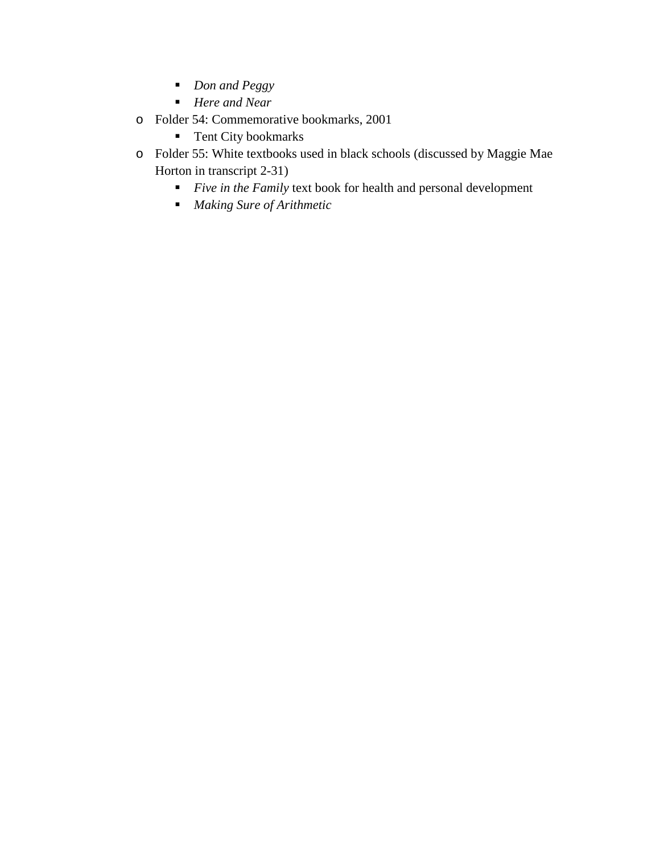- *Don and Peggy*
- *Here and Near*
- o Folder 54: Commemorative bookmarks, 2001
	- **Tent City bookmarks**
- o Folder 55: White textbooks used in black schools (discussed by Maggie Mae Horton in transcript 2-31)
	- *Five in the Family* text book for health and personal development
	- *Making Sure of Arithmetic*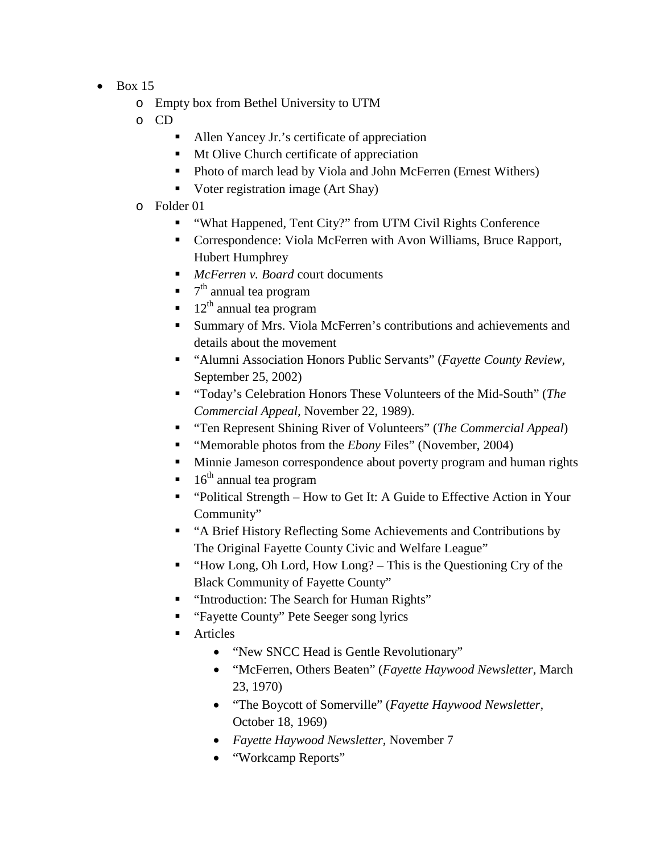- $\bullet$  Box 15
	- o Empty box from Bethel University to UTM
	- o CD
		- Allen Yancey Jr.'s certificate of appreciation
			- Mt Olive Church certificate of appreciation
			- Photo of march lead by Viola and John McFerren (Ernest Withers)
			- Voter registration image (Art Shay)
	- o Folder 01
		- "What Happened, Tent City?" from UTM Civil Rights Conference
		- Correspondence: Viola McFerren with Avon Williams, Bruce Rapport, Hubert Humphrey
		- *McFerren v. Board* court documents
		- $\blacksquare$  7<sup>th</sup> annual tea program
		- $\blacksquare$  12<sup>th</sup> annual tea program
		- Summary of Mrs. Viola McFerren's contributions and achievements and details about the movement
		- "Alumni Association Honors Public Servants" (*Fayette County Review,*  September 25, 2002)
		- "Today's Celebration Honors These Volunteers of the Mid-South" (*The Commercial Appeal,* November 22, 1989).
		- "Ten Represent Shining River of Volunteers" (*The Commercial Appeal*)
		- "Memorable photos from the *Ebony* Files" (November, 2004)
		- **Minnie Jameson correspondence about poverty program and human rights**
		- $\blacksquare$  16<sup>th</sup> annual tea program
		- "Political Strength How to Get It: A Guide to Effective Action in Your Community"
		- "A Brief History Reflecting Some Achievements and Contributions by The Original Fayette County Civic and Welfare League"
		- "How Long, Oh Lord, How Long? This is the Questioning Cry of the Black Community of Fayette County"
		- **"** "Introduction: The Search for Human Rights"
		- "Fayette County" Pete Seeger song lyrics
		- **Articles** 
			- "New SNCC Head is Gentle Revolutionary"
			- "McFerren, Others Beaten" (*Fayette Haywood Newsletter,* March 23, 1970)
			- "The Boycott of Somerville" (*Fayette Haywood Newsletter,*  October 18, 1969)
			- *Fayette Haywood Newsletter,* November 7
			- "Workcamp Reports"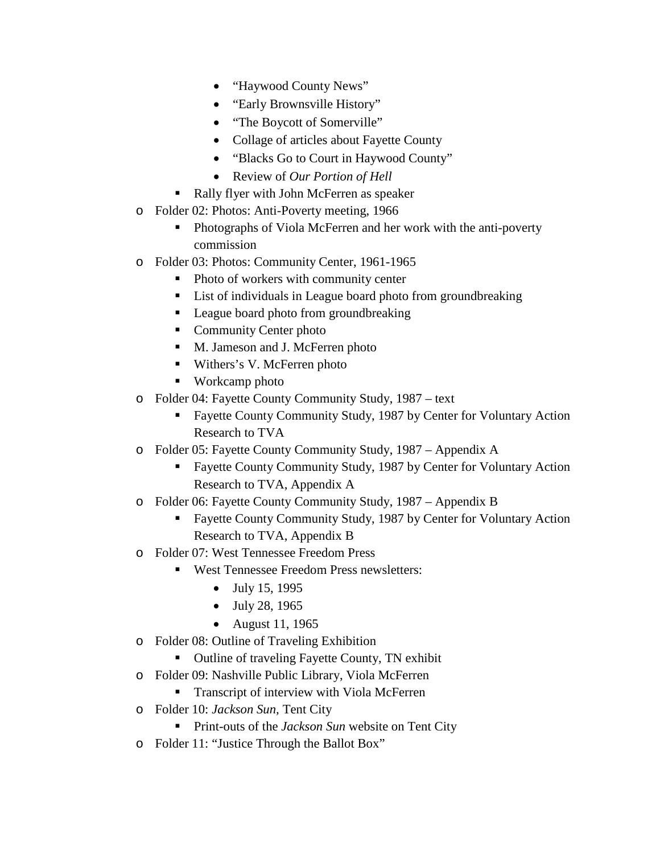- "Haywood County News"
- "Early Brownsville History"
- "The Boycott of Somerville"
- Collage of articles about Fayette County
- "Blacks Go to Court in Haywood County"
- Review of *Our Portion of Hell*
- Rally flyer with John McFerren as speaker
- o Folder 02: Photos: Anti-Poverty meeting, 1966
	- Photographs of Viola McFerren and her work with the anti-poverty commission
- o Folder 03: Photos: Community Center, 1961-1965
	- Photo of workers with community center
	- List of individuals in League board photo from groundbreaking
	- League board photo from groundbreaking
	- Community Center photo
	- M. Jameson and J. McFerren photo
	- Withers's V. McFerren photo
	- Workcamp photo
- o Folder 04: Fayette County Community Study, 1987 text
	- Fayette County Community Study, 1987 by Center for Voluntary Action Research to TVA
- o Folder 05: Fayette County Community Study, 1987 Appendix A
	- **Fayette County Community Study, 1987 by Center for Voluntary Action** Research to TVA, Appendix A
- o Folder 06: Fayette County Community Study, 1987 Appendix B
	- Fayette County Community Study, 1987 by Center for Voluntary Action Research to TVA, Appendix B
- o Folder 07: West Tennessee Freedom Press
	- West Tennessee Freedom Press newsletters:
		- July 15, 1995
		- July 28, 1965
		- August 11, 1965
- o Folder 08: Outline of Traveling Exhibition
	- Outline of traveling Fayette County, TN exhibit
- o Folder 09: Nashville Public Library, Viola McFerren
	- **Transcript of interview with Viola McFerren**
- o Folder 10: *Jackson Sun,* Tent City
	- **Print-outs of the** *Jackson Sun* website on Tent City
- o Folder 11: "Justice Through the Ballot Box"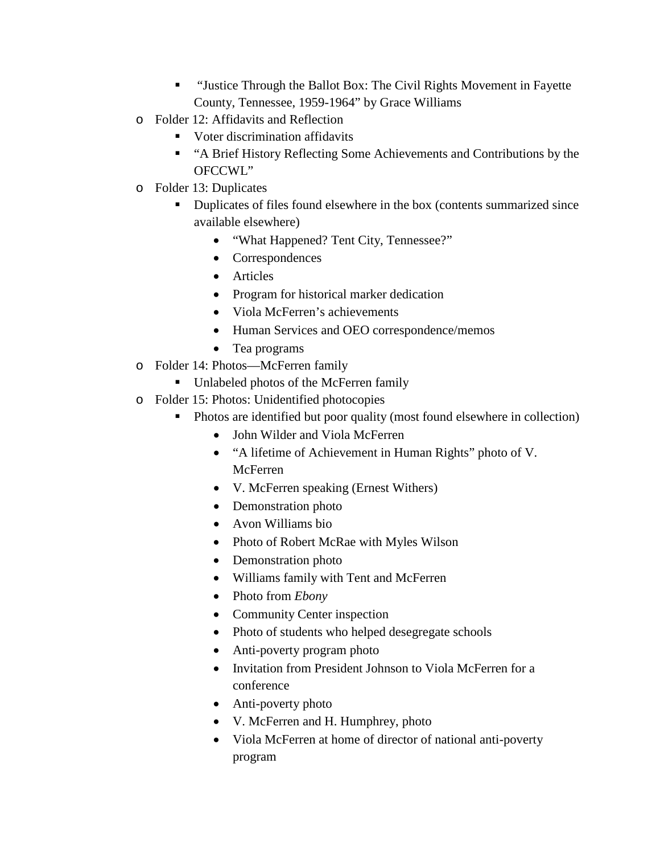- "Justice Through the Ballot Box: The Civil Rights Movement in Fayette County, Tennessee, 1959-1964" by Grace Williams
- o Folder 12: Affidavits and Reflection
	- Voter discrimination affidavits
	- "A Brief History Reflecting Some Achievements and Contributions by the OFCCWL"
- o Folder 13: Duplicates
	- Duplicates of files found elsewhere in the box (contents summarized since available elsewhere)
		- "What Happened? Tent City, Tennessee?"
		- Correspondences
		- Articles
		- Program for historical marker dedication
		- Viola McFerren's achievements
		- Human Services and OEO correspondence/memos
		- Tea programs
- o Folder 14: Photos—McFerren family
	- Unlabeled photos of the McFerren family
- o Folder 15: Photos: Unidentified photocopies
	- Photos are identified but poor quality (most found elsewhere in collection)
		- John Wilder and Viola McFerren
		- "A lifetime of Achievement in Human Rights" photo of V. McFerren
		- V. McFerren speaking (Ernest Withers)
		- Demonstration photo
		- Avon Williams bio
		- Photo of Robert McRae with Myles Wilson
		- Demonstration photo
		- Williams family with Tent and McFerren
		- Photo from *Ebony*
		- Community Center inspection
		- Photo of students who helped desegregate schools
		- Anti-poverty program photo
		- Invitation from President Johnson to Viola McFerren for a conference
		- Anti-poverty photo
		- V. McFerren and H. Humphrey, photo
		- Viola McFerren at home of director of national anti-poverty program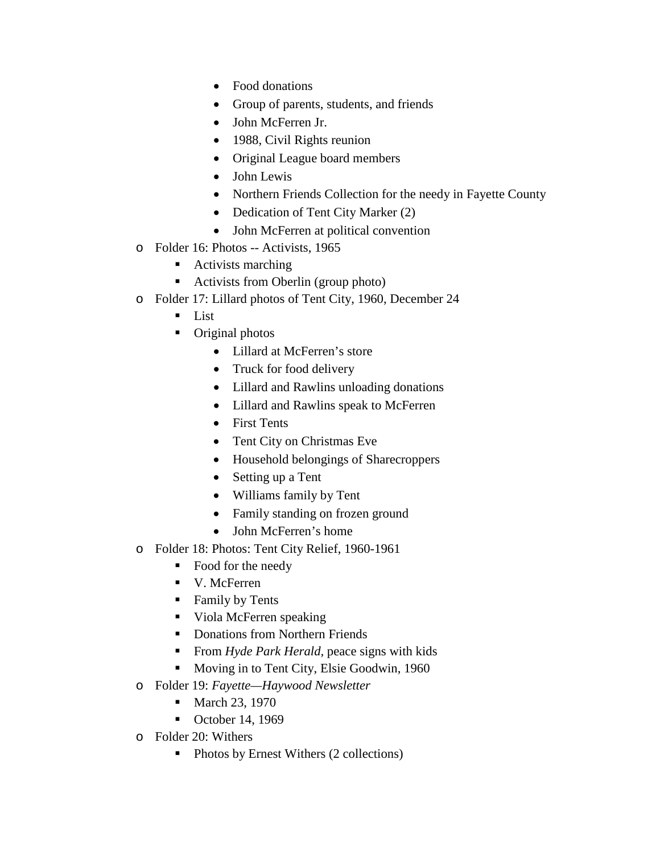- Food donations
- Group of parents, students, and friends
- John McFerren Jr.
- 1988, Civil Rights reunion
- Original League board members
- John Lewis
- Northern Friends Collection for the needy in Fayette County
- Dedication of Tent City Marker (2)
- John McFerren at political convention
- o Folder 16: Photos -- Activists, 1965
	- Activists marching
	- Activists from Oberlin (group photo)
- o Folder 17: Lillard photos of Tent City, 1960, December 24
	- **List**
	- Original photos
		- Lillard at McFerren's store
		- Truck for food delivery
		- Lillard and Rawlins unloading donations
		- Lillard and Rawlins speak to McFerren
		- First Tents
		- Tent City on Christmas Eve
		- Household belongings of Sharecroppers
		- Setting up a Tent
		- Williams family by Tent
		- Family standing on frozen ground
		- John McFerren's home
- o Folder 18: Photos: Tent City Relief, 1960-1961
	- Food for the needy
	- V. McFerren
	- **Family by Tents**
	- Viola McFerren speaking
	- Donations from Northern Friends
	- From *Hyde Park Herald*, peace signs with kids
	- **Moving in to Tent City, Elsie Goodwin, 1960**
- o Folder 19: *Fayette—Haywood Newsletter*
	- March 23, 1970
	- $\bullet$  October 14, 1969
- o Folder 20: Withers
	- Photos by Ernest Withers (2 collections)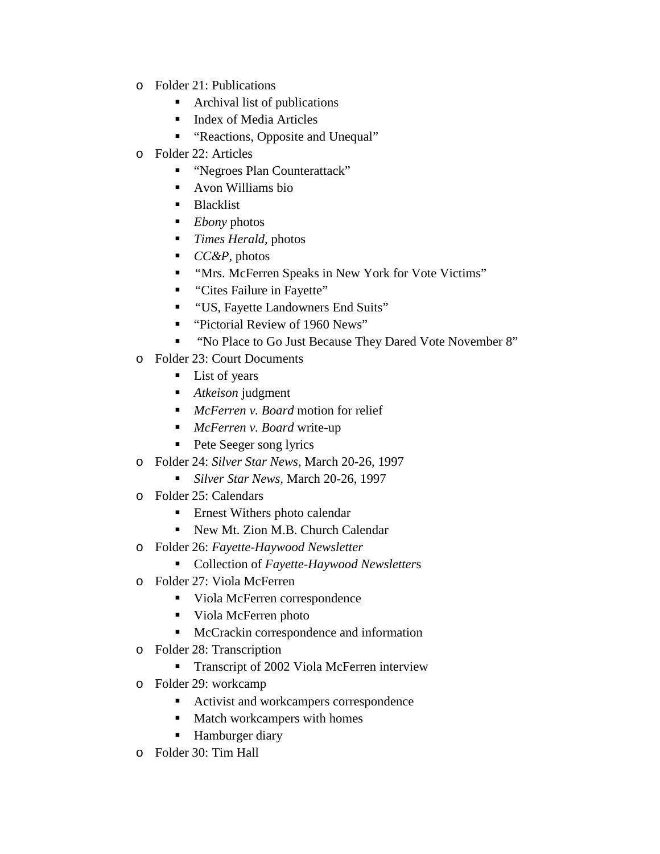- o Folder 21: Publications
	- Archival list of publications
	- Index of Media Articles
	- "Reactions, Opposite and Unequal"
- o Folder 22: Articles
	- "Negroes Plan Counterattack"
	- Avon Williams bio
	- **Blacklist**
	- *Ebony* photos
	- *Times Herald,* photos
	- *CC&P*, photos
	- *"*Mrs. McFerren Speaks in New York for Vote Victims"
	- *"*Cites Failure in Fayette"
	- *"*US, Fayette Landowners End Suits"
	- "Pictorial Review of 1960 News"
	- " "No Place to Go Just Because They Dared Vote November 8"
- o Folder 23: Court Documents
	- **List of years**
	- *Atkeison* judgment
	- *McFerren v. Board* motion for relief
	- *McFerren v. Board* write-up
	- **Pete Seeger song lyrics**
- o Folder 24: *Silver Star News,* March 20-26, 1997
	- *Silver Star News,* March 20-26, 1997
- o Folder 25: Calendars
	- **Example 1** Ernest Withers photo calendar
	- New Mt. Zion M.B. Church Calendar
- o Folder 26: *Fayette-Haywood Newsletter*
	- Collection of *Fayette-Haywood Newsletter*s
- o Folder 27: Viola McFerren
	- Viola McFerren correspondence
	- Viola McFerren photo
	- McCrackin correspondence and information
- o Folder 28: Transcription
	- **Transcript of 2002 Viola McFerren interview**
- o Folder 29: workcamp
	- Activist and workcampers correspondence
	- **Match workcampers with homes**
	- **Hamburger diary**
- o Folder 30: Tim Hall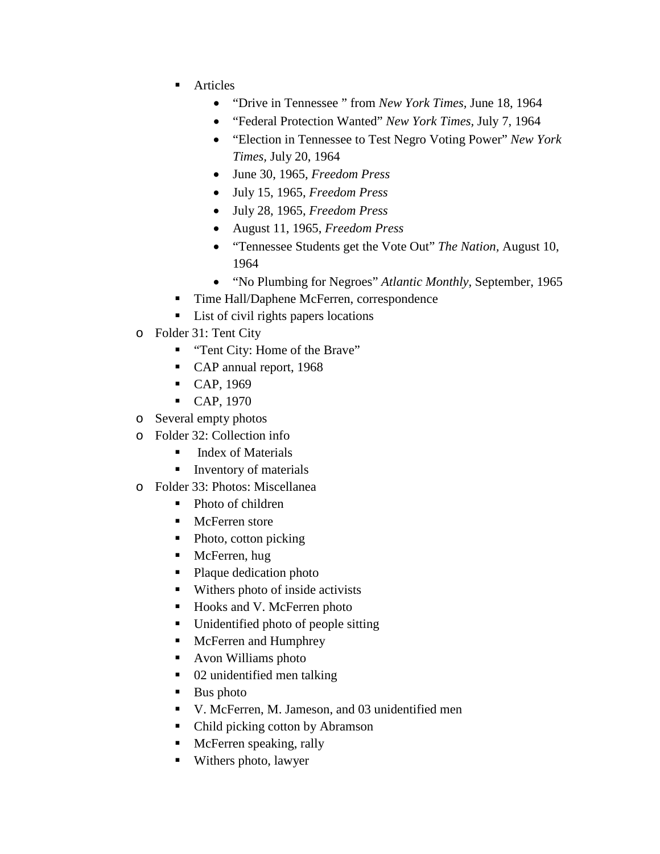- **Articles** 
	- "Drive in Tennessee " from *New York Times,* June 18, 1964
	- "Federal Protection Wanted" *New York Times,* July 7, 1964
	- "Election in Tennessee to Test Negro Voting Power" *New York Times,* July 20, 1964
	- June 30, 1965, *Freedom Press*
	- July 15, 1965, *Freedom Press*
	- July 28, 1965, *Freedom Press*
	- August 11, 1965, *Freedom Press*
	- "Tennessee Students get the Vote Out" *The Nation,* August 10, 1964
	- "No Plumbing for Negroes" *Atlantic Monthly,* September, 1965
- Time Hall/Daphene McFerren, correspondence
- List of civil rights papers locations
- o Folder 31: Tent City
	- **Tent City: Home of the Brave"**
	- CAP annual report, 1968
	- $CAP, 1969$
	- CAP, 1970
- o Several empty photos
- o Folder 32: Collection info
	- $\blacksquare$  Index of Materials
	- **Inventory of materials**
- o Folder 33: Photos: Miscellanea
	- Photo of children
	- McFerren store
	- Photo, cotton picking
	- McFerren, hug
	- Plaque dedication photo
	- Withers photo of inside activists
	- Hooks and V. McFerren photo
	- Unidentified photo of people sitting
	- McFerren and Humphrey
	- Avon Williams photo
	- 02 unidentified men talking
	- $\blacksquare$  Bus photo
	- V. McFerren, M. Jameson, and 03 unidentified men
	- Child picking cotton by Abramson
	- **McFerren speaking, rally**
	- Withers photo, lawyer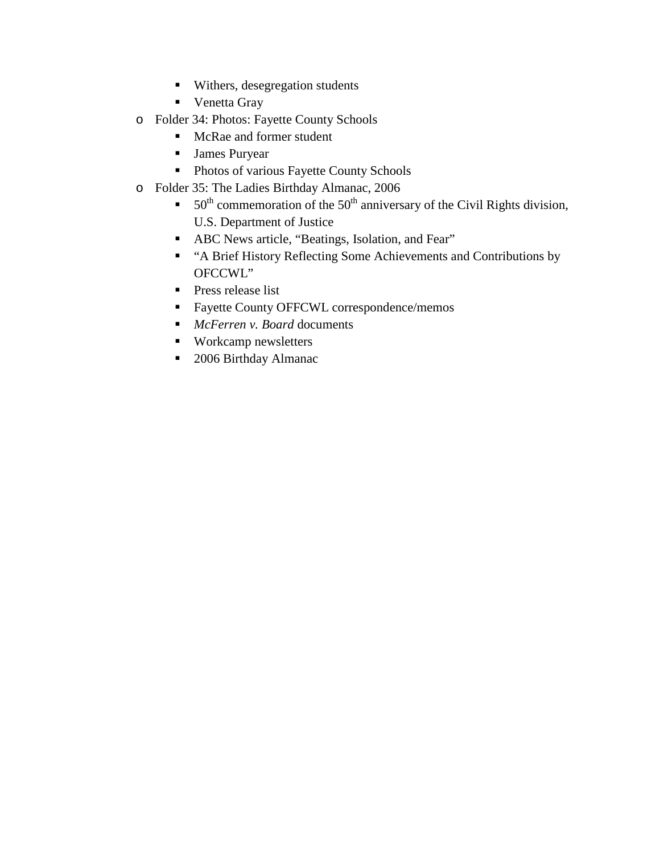- **Withers, desegregation students**
- **•** Venetta Gray
- o Folder 34: Photos: Fayette County Schools
	- McRae and former student
	- **James Puryear**
	- **Photos of various Fayette County Schools**
- o Folder 35: The Ladies Birthday Almanac, 2006
	- 50<sup>th</sup> commemoration of the 50<sup>th</sup> anniversary of the Civil Rights division, U.S. Department of Justice
	- ABC News article, "Beatings, Isolation, and Fear"
	- "A Brief History Reflecting Some Achievements and Contributions by OFCCWL"
	- **Press release list**
	- **Fayette County OFFCWL correspondence/memos**
	- *McFerren v. Board* documents
	- Workcamp newsletters
	- 2006 Birthday Almanac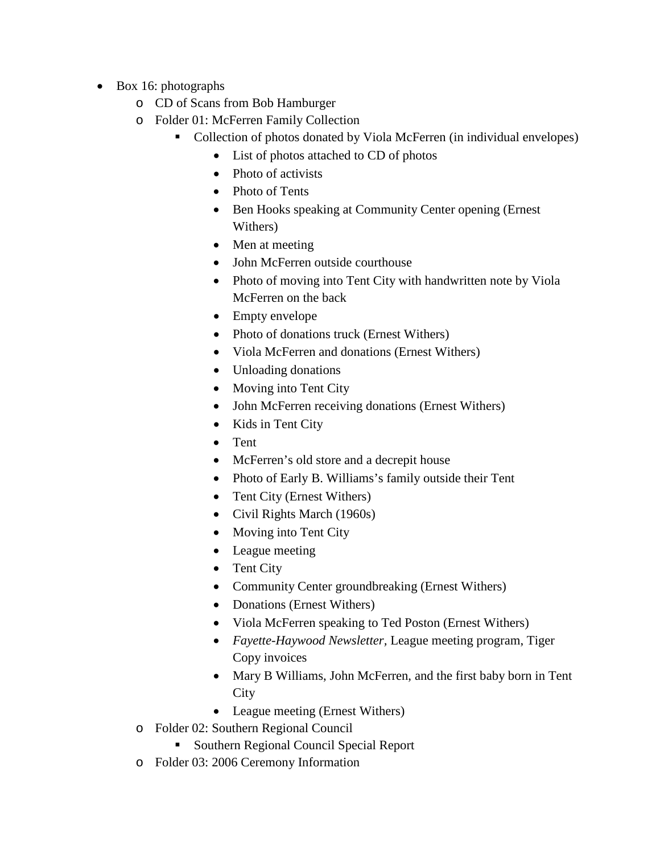- Box 16: photographs
	- o CD of Scans from Bob Hamburger
	- o Folder 01: McFerren Family Collection
		- Collection of photos donated by Viola McFerren (in individual envelopes)
			- List of photos attached to CD of photos
			- Photo of activists
			- Photo of Tents
			- Ben Hooks speaking at Community Center opening (Ernest) Withers)
			- Men at meeting
			- John McFerren outside courthouse
			- Photo of moving into Tent City with handwritten note by Viola McFerren on the back
			- Empty envelope
			- Photo of donations truck (Ernest Withers)
			- Viola McFerren and donations (Ernest Withers)
			- Unloading donations
			- Moving into Tent City
			- John McFerren receiving donations (Ernest Withers)
			- Kids in Tent City
			- Tent
			- McFerren's old store and a decrepit house
			- Photo of Early B. Williams's family outside their Tent
			- Tent City (Ernest Withers)
			- Civil Rights March (1960s)
			- Moving into Tent City
			- League meeting
			- Tent City
			- Community Center groundbreaking (Ernest Withers)
			- Donations (Ernest Withers)
			- Viola McFerren speaking to Ted Poston (Ernest Withers)
			- *Fayette-Haywood Newsletter,* League meeting program, Tiger Copy invoices
			- Mary B Williams, John McFerren, and the first baby born in Tent **City**
			- League meeting (Ernest Withers)
	- o Folder 02: Southern Regional Council
		- Southern Regional Council Special Report
	- o Folder 03: 2006 Ceremony Information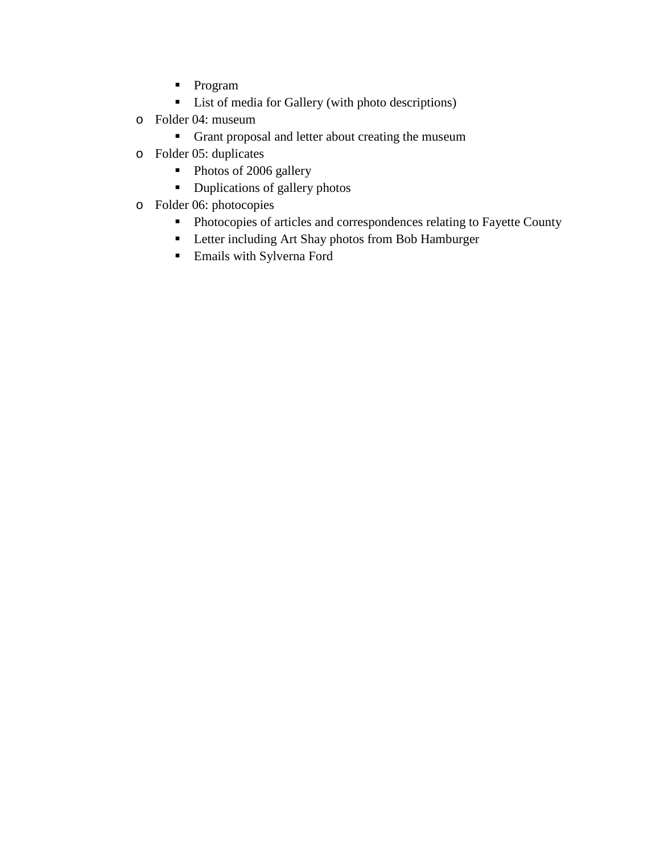- **Program**
- **List of media for Gallery (with photo descriptions)**
- o Folder 04: museum
	- Grant proposal and letter about creating the museum
- o Folder 05: duplicates
	- Photos of 2006 gallery
	- Duplications of gallery photos
- o Folder 06: photocopies
	- Photocopies of articles and correspondences relating to Fayette County
	- **-** Letter including Art Shay photos from Bob Hamburger
	- Emails with Sylverna Ford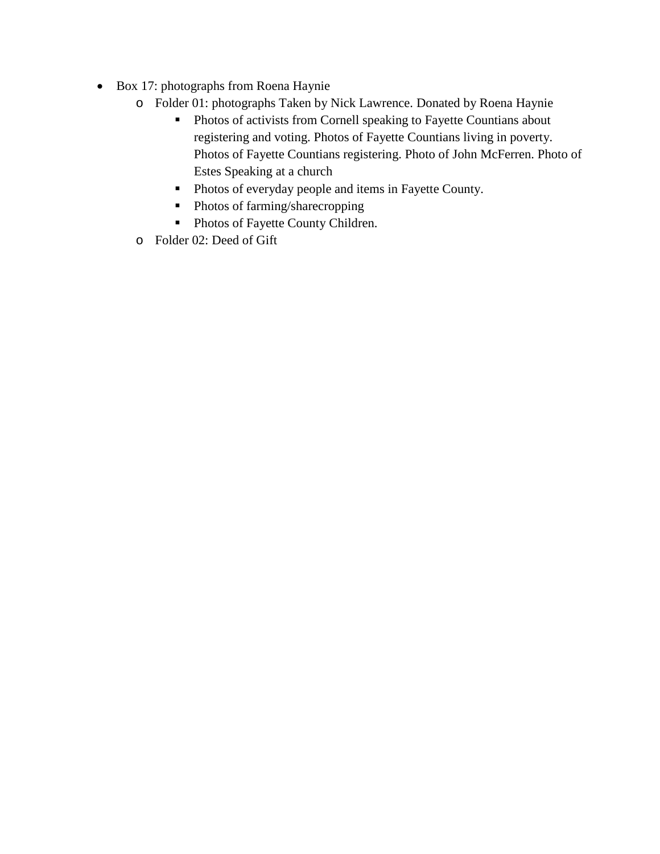- Box 17: photographs from Roena Haynie
	- o Folder 01: photographs Taken by Nick Lawrence. Donated by Roena Haynie
		- **Photos of activists from Cornell speaking to Fayette Countians about** registering and voting. Photos of Fayette Countians living in poverty. Photos of Fayette Countians registering. Photo of John McFerren. Photo of Estes Speaking at a church
		- **Photos of everyday people and items in Fayette County.**
		- Photos of farming/sharecropping
		- Photos of Fayette County Children.
	- o Folder 02: Deed of Gift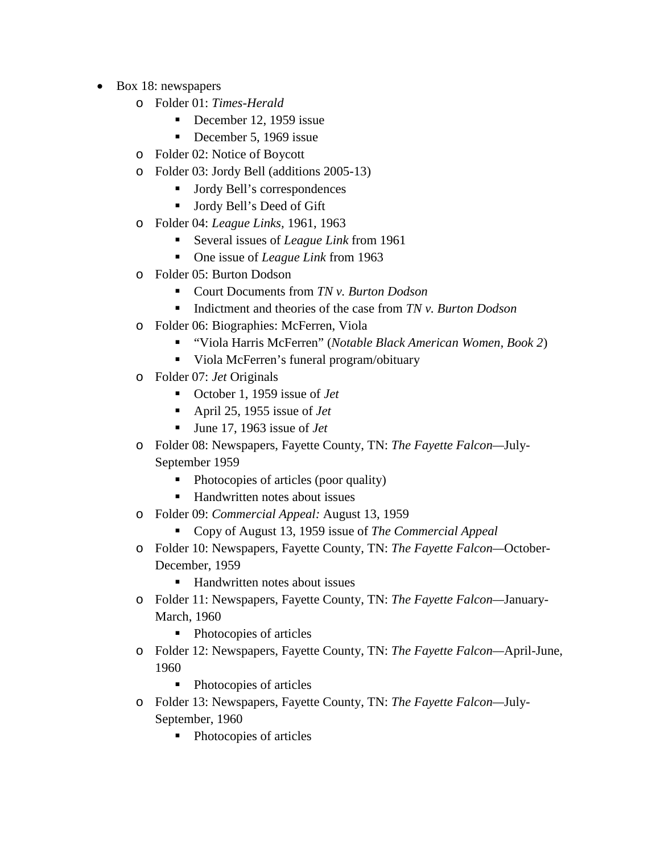- Box 18: newspapers
	- o Folder 01: *Times-Herald*
		- December 12, 1959 issue
		- December 5, 1969 issue
	- o Folder 02: Notice of Boycott
	- o Folder 03: Jordy Bell (additions 2005-13)
		- Jordy Bell's correspondences
		- Jordy Bell's Deed of Gift
	- o Folder 04: *League Links,* 1961, 1963
		- Several issues of *League Link* from 1961
		- One issue of *League Link* from 1963
	- o Folder 05: Burton Dodson
		- Court Documents from *TN v. Burton Dodson*
		- Indictment and theories of the case from *TN v. Burton Dodson*
	- o Folder 06: Biographies: McFerren, Viola
		- "Viola Harris McFerren" (*Notable Black American Women, Book 2*)
		- viola McFerren's funeral program/obituary
	- o Folder 07: *Jet* Originals
		- October 1, 1959 issue of *Jet*
		- April 25, 1955 issue of *Jet*
		- June 17, 1963 issue of *Jet*
	- o Folder 08: Newspapers, Fayette County, TN: *The Fayette Falcon—*July-September 1959
		- Photocopies of articles (poor quality)
		- Handwritten notes about issues
	- o Folder 09: *Commercial Appeal:* August 13, 1959
		- Copy of August 13, 1959 issue of *The Commercial Appeal*
	- o Folder 10: Newspapers, Fayette County, TN: *The Fayette Falcon—*October-December, 1959
		- Handwritten notes about issues
	- o Folder 11: Newspapers, Fayette County, TN: *The Fayette Falcon—*January-March, 1960
		- Photocopies of articles
	- o Folder 12: Newspapers, Fayette County, TN: *The Fayette Falcon—*April-June, 1960
		- Photocopies of articles
	- o Folder 13: Newspapers, Fayette County, TN: *The Fayette Falcon—*July-September, 1960
		- Photocopies of articles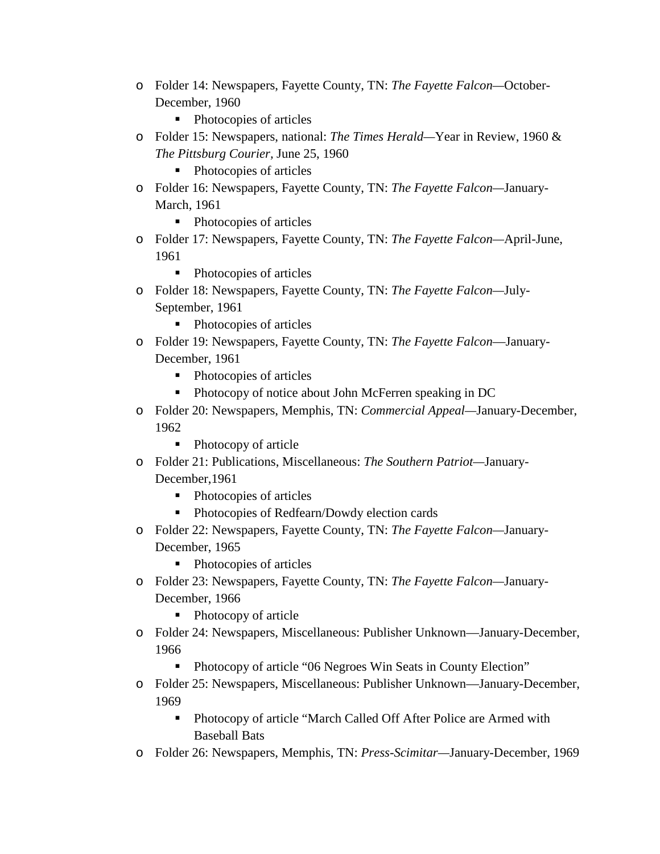- o Folder 14: Newspapers, Fayette County, TN: *The Fayette Falcon—*October-December, 1960
	- Photocopies of articles
- o Folder 15: Newspapers, national: *The Times Herald—*Year in Review, 1960 & *The Pittsburg Courier,* June 25, 1960
	- Photocopies of articles
- o Folder 16: Newspapers, Fayette County, TN: *The Fayette Falcon—*January-March, 1961
	- Photocopies of articles
- o Folder 17: Newspapers, Fayette County, TN: *The Fayette Falcon—*April-June, 1961
	- Photocopies of articles
- o Folder 18: Newspapers, Fayette County, TN: *The Fayette Falcon—*July-September, 1961
	- Photocopies of articles
- o Folder 19: Newspapers, Fayette County, TN: *The Fayette Falcon*—January-December, 1961
	- Photocopies of articles
	- Photocopy of notice about John McFerren speaking in DC
- o Folder 20: Newspapers, Memphis, TN: *Commercial Appeal—*January-December, 1962
	- Photocopy of article
- o Folder 21: Publications, Miscellaneous: *The Southern Patriot—*January-December,1961
	- Photocopies of articles
	- Photocopies of Redfearn/Dowdy election cards
- o Folder 22: Newspapers, Fayette County, TN: *The Fayette Falcon—*January-December, 1965
	- Photocopies of articles
- o Folder 23: Newspapers, Fayette County, TN: *The Fayette Falcon—*January-December, 1966
	- Photocopy of article
- o Folder 24: Newspapers, Miscellaneous: Publisher Unknown—January-December, 1966
	- Photocopy of article "06 Negroes Win Seats in County Election"
- o Folder 25: Newspapers, Miscellaneous: Publisher Unknown—January-December, 1969
	- Photocopy of article "March Called Off After Police are Armed with Baseball Bats
- o Folder 26: Newspapers, Memphis, TN: *Press-Scimitar—*January-December, 1969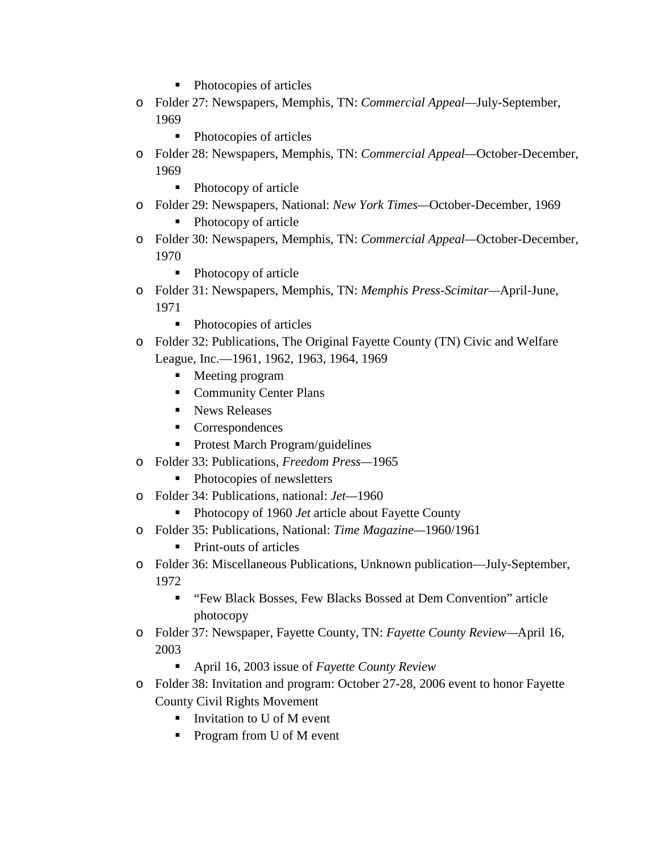- Photocopies of articles
- o Folder 27: Newspapers, Memphis, TN: *Commercial Appeal—*July-September, 1969
	- Photocopies of articles
- o Folder 28: Newspapers, Memphis, TN: *Commercial Appeal—*October-December, 1969
	- Photocopy of article
- o Folder 29: Newspapers, National: *New York Times—*October-December, 1969
	- Photocopy of article
- o Folder 30: Newspapers, Memphis, TN: *Commercial Appeal—*October-December, 1970
	- Photocopy of article
- o Folder 31: Newspapers, Memphis, TN: *Memphis Press-Scimitar—*April-June, 1971
	- Photocopies of articles
- o Folder 32: Publications, The Original Fayette County (TN) Civic and Welfare League, Inc.—1961, 1962, 1963, 1964, 1969
	- Meeting program
	- Community Center Plans
	- **News Releases**
	- Correspondences
	- **Protest March Program/guidelines**
- o Folder 33: Publications, *Freedom Press—*1965
	- Photocopies of newsletters
- o Folder 34: Publications, national: *Jet—*1960
	- Photocopy of 1960 *Jet* article about Fayette County
- o Folder 35: Publications, National: *Time Magazine—*1960/1961
	- Print-outs of articles
- o Folder 36: Miscellaneous Publications, Unknown publication—July-September, 1972
	- "Few Black Bosses, Few Blacks Bossed at Dem Convention" article photocopy
- o Folder 37: Newspaper, Fayette County, TN: *Fayette County Review—*April 16, 2003
	- April 16, 2003 issue of *Fayette County Review*
- o Folder 38: Invitation and program: October 27-28, 2006 event to honor Fayette County Civil Rights Movement
	- $\blacksquare$  Invitation to U of M event
	- Program from U of M event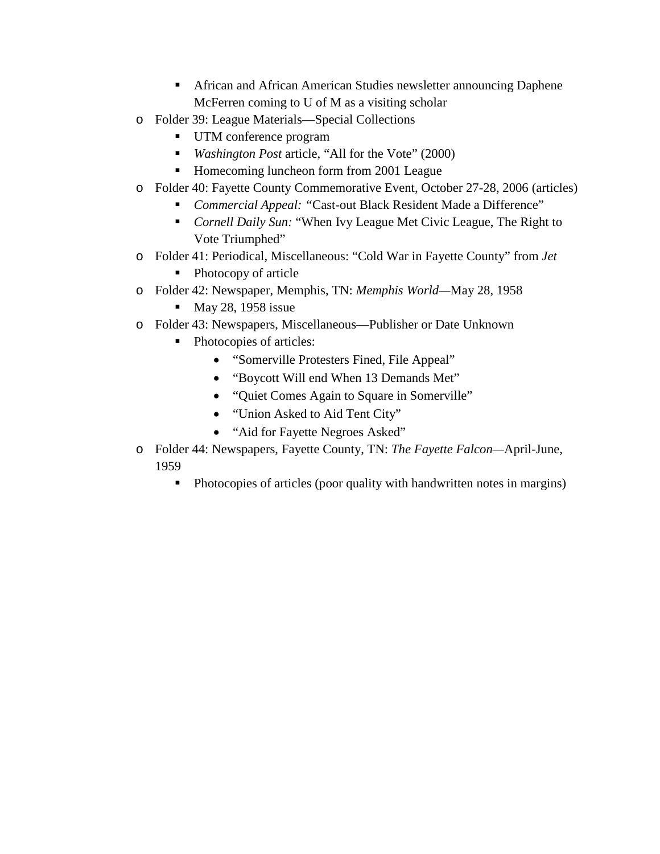- African and African American Studies newsletter announcing Daphene McFerren coming to U of M as a visiting scholar
- o Folder 39: League Materials—Special Collections
	- UTM conference program
	- *Washington Post article,* "All for the Vote" (2000)
	- Homecoming luncheon form from 2001 League
- o Folder 40: Fayette County Commemorative Event, October 27-28, 2006 (articles)
	- *Commercial Appeal: "*Cast-out Black Resident Made a Difference"
	- *Cornell Daily Sun:* "When Ivy League Met Civic League, The Right to Vote Triumphed"
- o Folder 41: Periodical, Miscellaneous: "Cold War in Fayette County" from *Jet*
	- Photocopy of article
- o Folder 42: Newspaper, Memphis, TN: *Memphis World—*May 28, 1958
	- $Max 28$ , 1958 issue
- o Folder 43: Newspapers, Miscellaneous—Publisher or Date Unknown
	- Photocopies of articles:
		- "Somerville Protesters Fined, File Appeal"
		- "Boycott Will end When 13 Demands Met"
		- "Quiet Comes Again to Square in Somerville"
		- "Union Asked to Aid Tent City"
		- "Aid for Fayette Negroes Asked"
- o Folder 44: Newspapers, Fayette County, TN: *The Fayette Falcon—*April-June, 1959
	- Photocopies of articles (poor quality with handwritten notes in margins)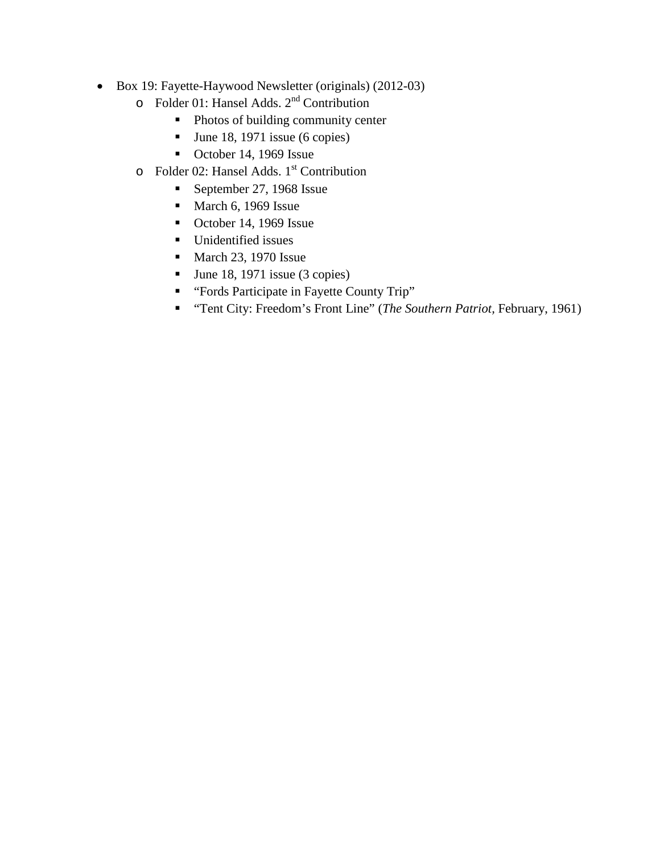- Box 19: Fayette-Haywood Newsletter (originals) (2012-03)
	- o Folder 01: Hansel Adds.  $2^{nd}$  Contribution<br>■ Photos of building community cen
		- Photos of building community center
		- $\blacksquare$  June 18, 1971 issue (6 copies)
		- October 14, 1969 Issue
	- $\circ$  Folder 02: Hansel Adds. 1<sup>st</sup> Contribution
		- September 27, 1968 Issue
		- $March 6, 1969$  Issue
		- October 14, 1969 Issue
		- **Unidentified issues**
		- $March$  23, 1970 Issue
		- $\blacksquare$  June 18, 1971 issue (3 copies)
		- " "Fords Participate in Fayette County Trip"
		- "Tent City: Freedom's Front Line" (*The Southern Patriot,* February, 1961)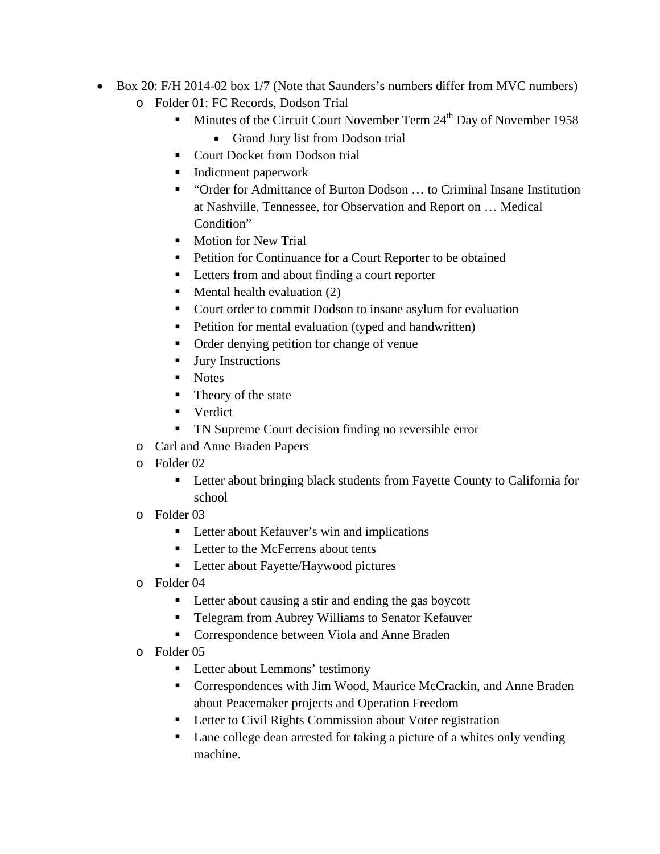- Box 20: F/H 2014-02 box 1/7 (Note that Saunders's numbers differ from MVC numbers) o Folder 01: FC Records, Dodson Trial
	- $\blacksquare$  Minutes of the Circuit Court November Term 24<sup>th</sup> Day of November 1958
		- Grand Jury list from Dodson trial
	- **Court Docket from Dodson trial**
	- **Indictment paperwork**
	- "Order for Admittance of Burton Dodson ... to Criminal Insane Institution at Nashville, Tennessee, for Observation and Report on … Medical Condition"
	- **Motion for New Trial**
	- Petition for Continuance for a Court Reporter to be obtained
	- Letters from and about finding a court reporter
	- $\blacksquare$  Mental health evaluation (2)
	- Court order to commit Dodson to insane asylum for evaluation
	- Petition for mental evaluation (typed and handwritten)
	- Order denying petition for change of venue
	- **Jury Instructions**
	- Notes
	- Theory of the state
	- **v**erdict
	- **TN Supreme Court decision finding no reversible error**
	- o Carl and Anne Braden Papers
	- o Folder 02
		- **EXECUTE:** Letter about bringing black students from Fayette County to California for school
	- o Folder 03
		- **Letter about Kefauver's win and implications**
		- Letter to the McFerrens about tents
		- **Letter about Fayette/Haywood pictures**
	- o Folder 04
		- **Letter about causing a stir and ending the gas boycott**
		- Telegram from Aubrey Williams to Senator Kefauver
		- **Correspondence between Viola and Anne Braden**
	- o Folder 05
		- Letter about Lemmons' testimony
		- Correspondences with Jim Wood, Maurice McCrackin, and Anne Braden about Peacemaker projects and Operation Freedom
		- **Letter to Civil Rights Commission about Voter registration**
		- Lane college dean arrested for taking a picture of a whites only vending machine.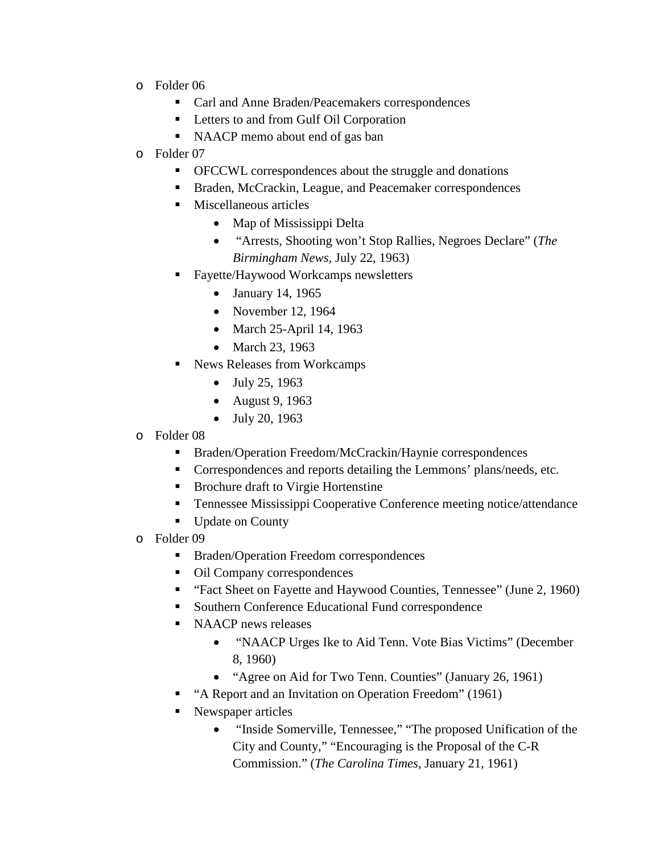- o Folder 06
	- Carl and Anne Braden/Peacemakers correspondences
	- **Letters to and from Gulf Oil Corporation**
	- NAACP memo about end of gas ban
- o Folder 07
	- OFCCWL correspondences about the struggle and donations
	- Braden, McCrackin, League, and Peacemaker correspondences
	- Miscellaneous articles
		- Map of Mississippi Delta
		- "Arrests, Shooting won't Stop Rallies, Negroes Declare" (*The Birmingham News,* July 22, 1963)
	- Fayette/Haywood Workcamps newsletters
		- January 14, 1965
		- November 12, 1964
		- March 25-April 14, 1963
		- March 23, 1963
	- News Releases from Workcamps
		- July 25, 1963
		- August 9, 1963
		- July 20, 1963
- o Folder 08
	- Braden/Operation Freedom/McCrackin/Haynie correspondences
	- Correspondences and reports detailing the Lemmons' plans/needs, etc.
	- Brochure draft to Virgie Hortenstine
	- Tennessee Mississippi Cooperative Conference meeting notice/attendance
	- Update on County
- o Folder 09
	- Braden/Operation Freedom correspondences
	- Oil Company correspondences
	- "Fact Sheet on Fayette and Haywood Counties, Tennessee" (June 2, 1960)
	- Southern Conference Educational Fund correspondence
	- NAACP news releases
		- "NAACP Urges Ike to Aid Tenn. Vote Bias Victims" (December 8, 1960)
		- "Agree on Aid for Two Tenn. Counties" (January 26, 1961)
	- "A Report and an Invitation on Operation Freedom" (1961)
	- Newspaper articles
		- "Inside Somerville, Tennessee," "The proposed Unification of the City and County," "Encouraging is the Proposal of the C-R Commission." (*The Carolina Times*, January 21, 1961)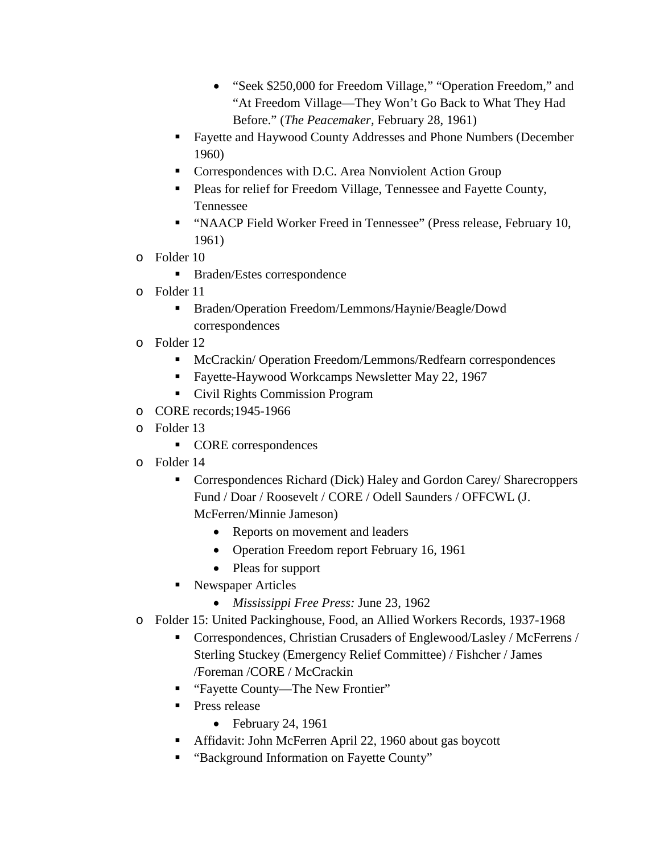- "Seek \$250,000 for Freedom Village," "Operation Freedom," and "At Freedom Village—They Won't Go Back to What They Had Before." (*The Peacemaker,* February 28, 1961)
- Fayette and Haywood County Addresses and Phone Numbers (December 1960)
- **Correspondences with D.C. Area Nonviolent Action Group**
- Pleas for relief for Freedom Village, Tennessee and Fayette County, Tennessee
- "NAACP Field Worker Freed in Tennessee" (Press release, February 10, 1961)
- o Folder 10
	- Braden/Estes correspondence
- o Folder 11
	- Braden/Operation Freedom/Lemmons/Haynie/Beagle/Dowd correspondences
- o Folder 12
	- McCrackin/ Operation Freedom/Lemmons/Redfearn correspondences
	- **Fayette-Haywood Workcamps Newsletter May 22, 1967**
	- Civil Rights Commission Program
- o CORE records;1945-1966
- o Folder 13
	- **CORE** correspondences
- o Folder 14
	- Correspondences Richard (Dick) Haley and Gordon Carey/ Sharecroppers Fund / Doar / Roosevelt / CORE / Odell Saunders / OFFCWL (J. McFerren/Minnie Jameson)
		- Reports on movement and leaders
		- Operation Freedom report February 16, 1961
		- Pleas for support
	- Newspaper Articles
		- *Mississippi Free Press:* June 23, 1962
- o Folder 15: United Packinghouse, Food, an Allied Workers Records, 1937-1968
	- Correspondences, Christian Crusaders of Englewood/Lasley / McFerrens / Sterling Stuckey (Emergency Relief Committee) / Fishcher / James /Foreman /CORE / McCrackin
	- "Fayette County—The New Frontier"
	- **Press release** 
		- February 24, 1961
	- Affidavit: John McFerren April 22, 1960 about gas boycott
	- "Background Information on Fayette County"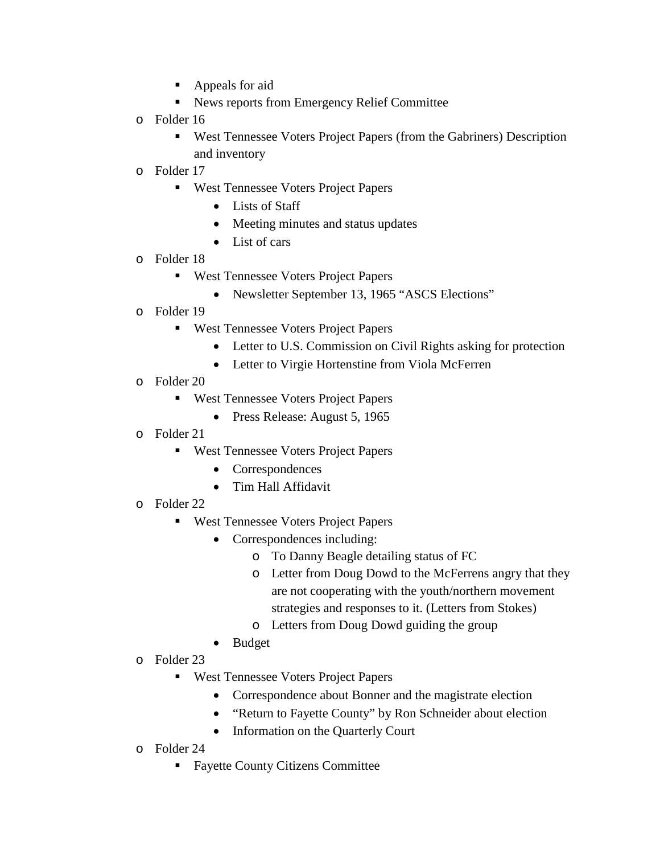- Appeals for aid
- Kews reports from Emergency Relief Committee
- o Folder 16
	- West Tennessee Voters Project Papers (from the Gabriners) Description and inventory
- o Folder 17
	- **West Tennessee Voters Project Papers** 
		- Lists of Staff
		- Meeting minutes and status updates
		- List of cars
- o Folder 18
	- West Tennessee Voters Project Papers
		- Newsletter September 13, 1965 "ASCS Elections"
- o Folder 19
	- **West Tennessee Voters Project Papers** 
		- Letter to U.S. Commission on Civil Rights asking for protection
		- Letter to Virgie Hortenstine from Viola McFerren
- o Folder 20
	- **West Tennessee Voters Project Papers** 
		- Press Release: August 5, 1965
- o Folder 21
	- **West Tennessee Voters Project Papers** 
		- Correspondences
		- Tim Hall Affidavit
- o Folder 22
	- **West Tennessee Voters Project Papers** 
		- Correspondences including:
			- o To Danny Beagle detailing status of FC
			- o Letter from Doug Dowd to the McFerrens angry that they are not cooperating with the youth/northern movement strategies and responses to it. (Letters from Stokes)
			- o Letters from Doug Dowd guiding the group
		- Budget
- o Folder 23
	- **West Tennessee Voters Project Papers** 
		- Correspondence about Bonner and the magistrate election
		- "Return to Fayette County" by Ron Schneider about election
		- Information on the Quarterly Court
- o Folder 24
	- Fayette County Citizens Committee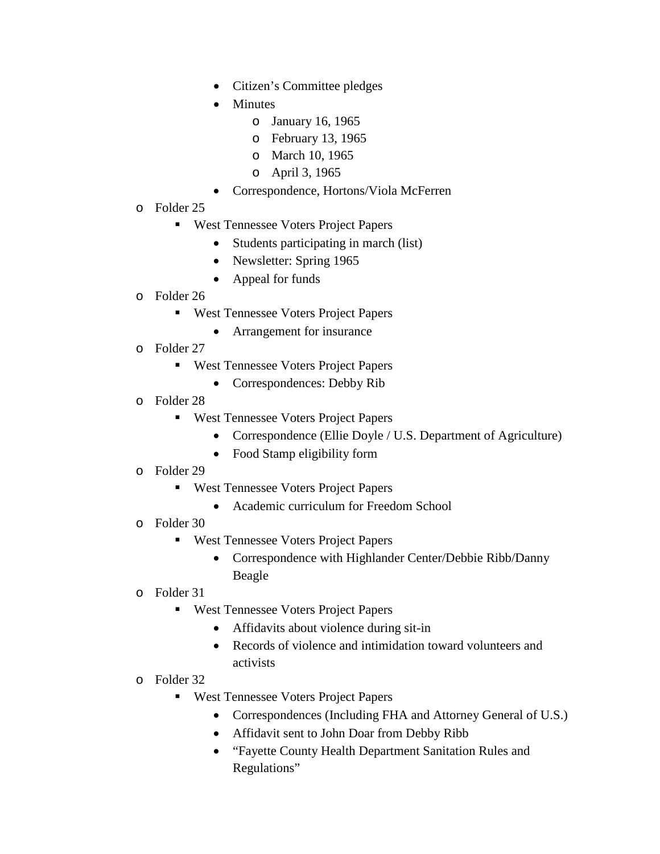- Citizen's Committee pledges
- Minutes
	- o January 16, 1965
	- o February 13, 1965
	- o March 10, 1965
	- o April 3, 1965
- Correspondence, Hortons/Viola McFerren
- o Folder 25
	- **West Tennessee Voters Project Papers** 
		- Students participating in march (list)
		- Newsletter: Spring 1965
		- Appeal for funds
- o Folder 26
	- West Tennessee Voters Project Papers
		- Arrangement for insurance
- o Folder 27
	- West Tennessee Voters Project Papers
		- Correspondences: Debby Rib
- o Folder 28
	- **West Tennessee Voters Project Papers** 
		- Correspondence (Ellie Doyle / U.S. Department of Agriculture)
		- Food Stamp eligibility form
- o Folder 29
	- **West Tennessee Voters Project Papers** 
		- Academic curriculum for Freedom School
- o Folder 30
	- **West Tennessee Voters Project Papers** 
		- Correspondence with Highlander Center/Debbie Ribb/Danny Beagle
- o Folder 31
	- West Tennessee Voters Project Papers
		- Affidavits about violence during sit-in
		- Records of violence and intimidation toward volunteers and activists
- o Folder 32
	- West Tennessee Voters Project Papers
		- Correspondences (Including FHA and Attorney General of U.S.)
		- Affidavit sent to John Doar from Debby Ribb
		- "Fayette County Health Department Sanitation Rules and Regulations"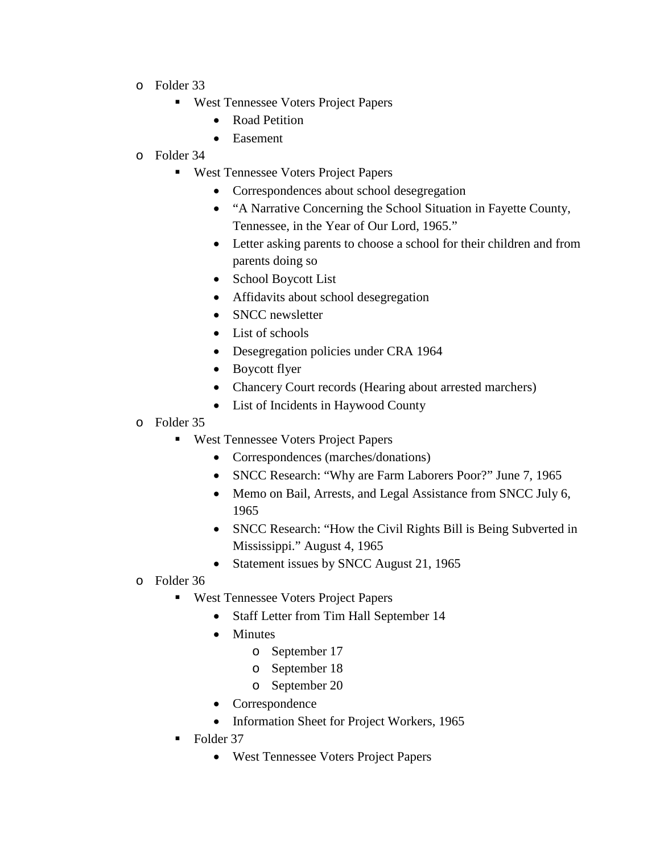- o Folder 33
	- West Tennessee Voters Project Papers
		- Road Petition
		- Easement
- o Folder 34
	- West Tennessee Voters Project Papers
		- Correspondences about school desegregation
		- "A Narrative Concerning the School Situation in Fayette County, Tennessee, in the Year of Our Lord, 1965."
		- Letter asking parents to choose a school for their children and from parents doing so
		- School Boycott List
		- Affidavits about school desegregation
		- SNCC newsletter
		- List of schools
		- Desegregation policies under CRA 1964
		- Boycott flyer
		- Chancery Court records (Hearing about arrested marchers)
		- List of Incidents in Haywood County
- o Folder 35
	- **West Tennessee Voters Project Papers** 
		- Correspondences (marches/donations)
		- SNCC Research: "Why are Farm Laborers Poor?" June 7, 1965
		- Memo on Bail, Arrests, and Legal Assistance from SNCC July 6, 1965
		- SNCC Research: "How the Civil Rights Bill is Being Subverted in Mississippi." August 4, 1965
		- Statement issues by SNCC August 21, 1965
- o Folder 36
	- **West Tennessee Voters Project Papers** 
		- Staff Letter from Tim Hall September 14
		- Minutes
			- o September 17
			- o September 18
			- o September 20
		- **Correspondence**
		- Information Sheet for Project Workers, 1965
	- Folder 37
		- West Tennessee Voters Project Papers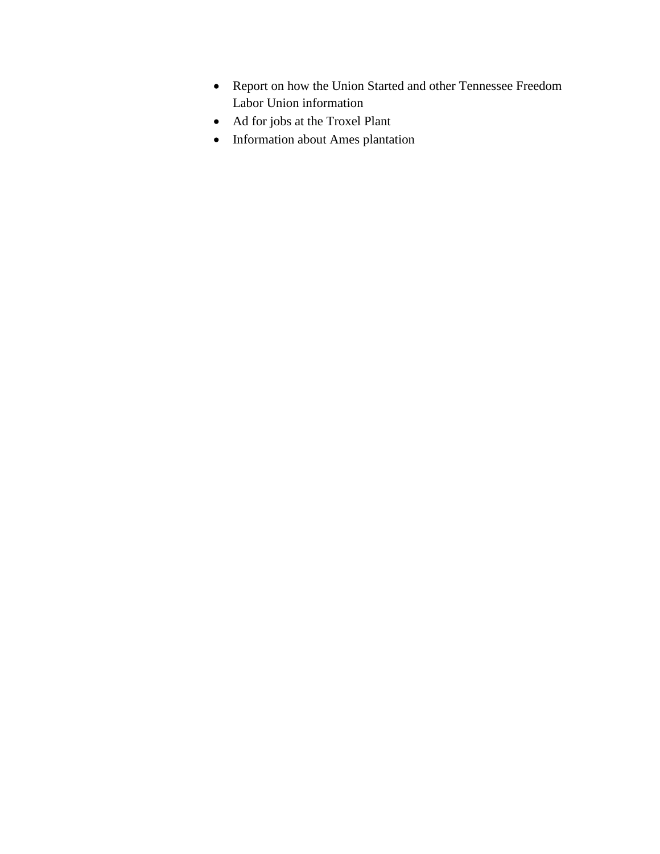- Report on how the Union Started and other Tennessee Freedom Labor Union information
- Ad for jobs at the Troxel Plant
- Information about Ames plantation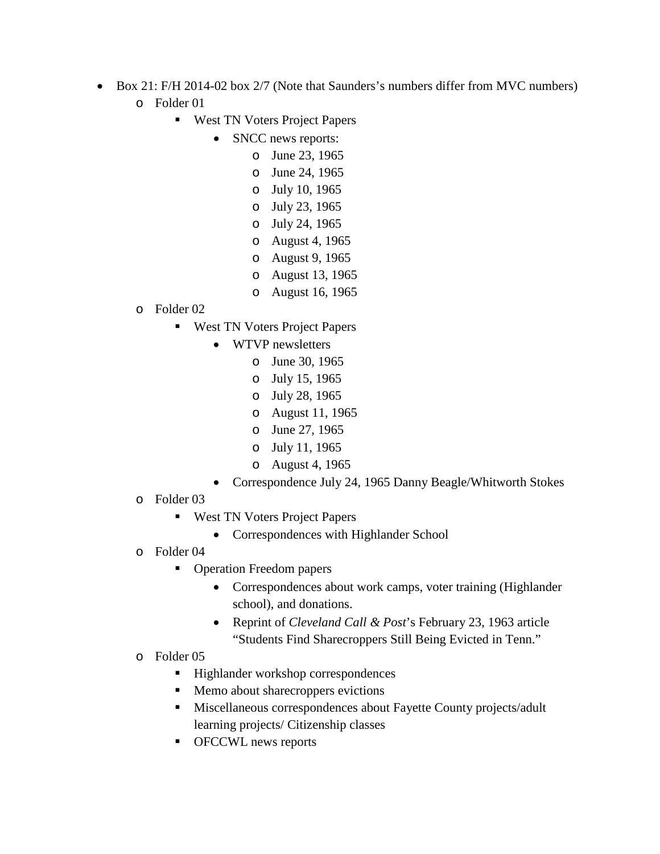- Box 21: F/H 2014-02 box 2/7 (Note that Saunders's numbers differ from MVC numbers) o Folder 01
	- **West TN Voters Project Papers** 
		- SNCC news reports:
			- o June 23, 1965
				- o June 24, 1965
				- o July 10, 1965
				- o July 23, 1965
				- o July 24, 1965
				- o August 4, 1965
				- o August 9, 1965
				- o August 13, 1965
				- o August 16, 1965
	- o Folder 02
		- **West TN Voters Project Papers** 
			- WTVP newsletters
				- o June 30, 1965
				- o July 15, 1965
				- o July 28, 1965
				- o August 11, 1965
				- o June 27, 1965
				- o July 11, 1965
				- o August 4, 1965
			- Correspondence July 24, 1965 Danny Beagle/Whitworth Stokes
	- o Folder 03
		- **West TN Voters Project Papers** 
			- Correspondences with Highlander School
	- o Folder 04
		- Operation Freedom papers
			- Correspondences about work camps, voter training (Highlander school), and donations.
			- Reprint of *Cleveland Call & Post*'s February 23, 1963 article "Students Find Sharecroppers Still Being Evicted in Tenn."
	- o Folder 05
		- Highlander workshop correspondences
		- Memo about sharecroppers evictions
		- Miscellaneous correspondences about Fayette County projects/adult learning projects/ Citizenship classes
		- OFCCWL news reports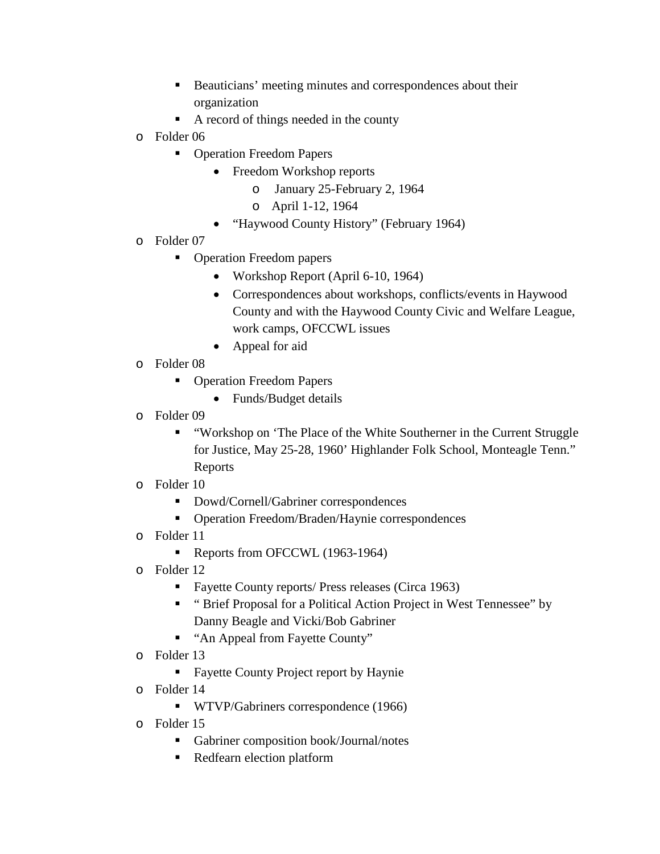- Beauticians' meeting minutes and correspondences about their organization
- A record of things needed in the county
- o Folder 06
	- **Operation Freedom Papers** 
		- Freedom Workshop reports
			- o January 25-February 2, 1964
			- o April 1-12, 1964
		- "Haywood County History" (February 1964)
- o Folder 07
	- Operation Freedom papers
		- Workshop Report (April 6-10, 1964)
		- Correspondences about workshops, conflicts/events in Haywood County and with the Haywood County Civic and Welfare League, work camps, OFCCWL issues
		- Appeal for aid
- o Folder 08
	- **Operation Freedom Papers** 
		- Funds/Budget details
- o Folder 09
	- "Workshop on 'The Place of the White Southerner in the Current Struggle for Justice, May 25-28, 1960' Highlander Folk School, Monteagle Tenn." Reports
- o Folder 10
	- Dowd/Cornell/Gabriner correspondences
	- Operation Freedom/Braden/Haynie correspondences
- o Folder 11
	- Reports from OFCCWL (1963-1964)
- o Folder 12
	- Fayette County reports/ Press releases (Circa 1963)
	- "Brief Proposal for a Political Action Project in West Tennessee" by Danny Beagle and Vicki/Bob Gabriner
	- "An Appeal from Fayette County"
- o Folder 13
	- **Fayette County Project report by Haynie**
- o Folder 14
	- WTVP/Gabriners correspondence (1966)
- o Folder 15
	- Gabriner composition book/Journal/notes
	- **Redfearn election platform**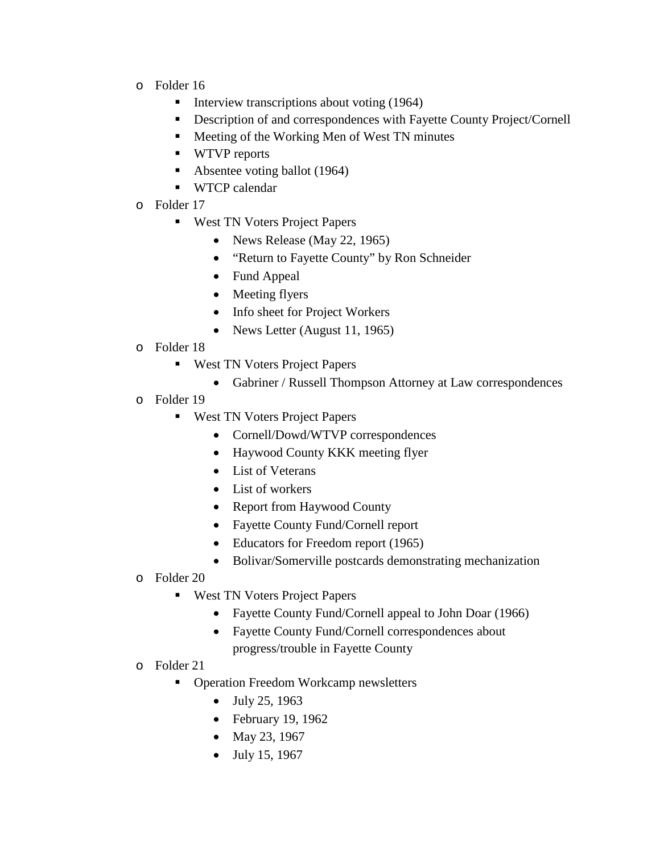- o Folder 16
	- Interview transcriptions about voting  $(1964)$
	- Description of and correspondences with Fayette County Project/Cornell
	- **Meeting of the Working Men of West TN minutes**
	- WTVP reports
	- Absentee voting ballot (1964)
	- WTCP calendar
- o Folder 17
	- **West TN Voters Project Papers** 
		- News Release (May 22, 1965)
		- "Return to Fayette County" by Ron Schneider
		- Fund Appeal
		- Meeting flyers
		- Info sheet for Project Workers
		- News Letter (August 11, 1965)
- o Folder 18
	- **West TN Voters Project Papers** 
		- Gabriner / Russell Thompson Attorney at Law correspondences
- o Folder 19
	- West TN Voters Project Papers
		- Cornell/Dowd/WTVP correspondences
		- Haywood County KKK meeting flyer
		- List of Veterans
		- List of workers
		- Report from Haywood County
		- Fayette County Fund/Cornell report
		- Educators for Freedom report (1965)
		- Bolivar/Somerville postcards demonstrating mechanization
- o Folder 20
	- West TN Voters Project Papers
		- Fayette County Fund/Cornell appeal to John Doar (1966)
		- Fayette County Fund/Cornell correspondences about progress/trouble in Fayette County
- o Folder 21
	- Operation Freedom Workcamp newsletters
		- July 25, 1963
		- February 19, 1962
		- May 23, 1967
		- July 15, 1967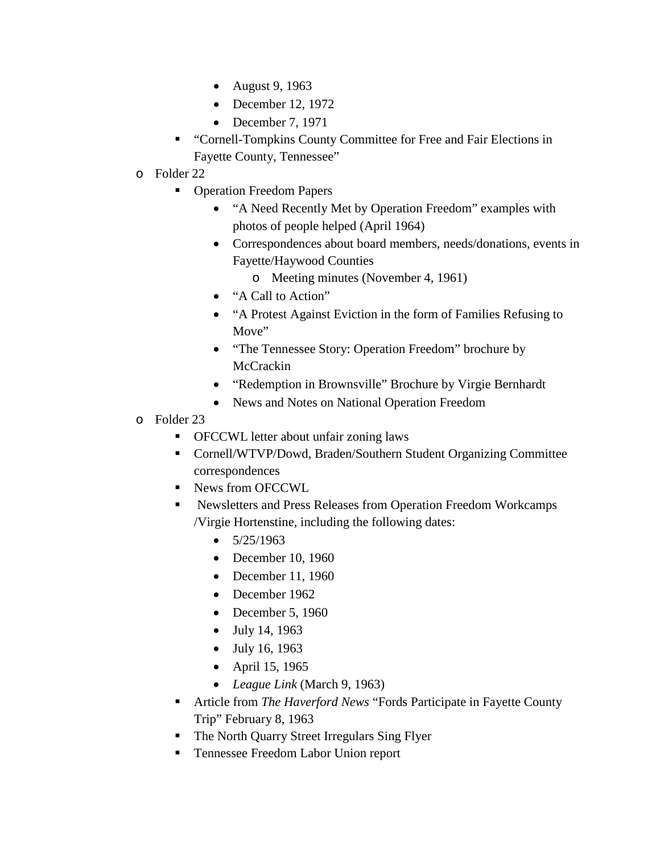- August 9, 1963
- December 12, 1972
- December 7, 1971
- "Cornell-Tompkins County Committee for Free and Fair Elections in Fayette County, Tennessee"
- o Folder 22
	- Operation Freedom Papers
		- "A Need Recently Met by Operation Freedom" examples with photos of people helped (April 1964)
		- Correspondences about board members, needs/donations, events in Fayette/Haywood Counties
			- o Meeting minutes (November 4, 1961)
		- "A Call to Action"
		- "A Protest Against Eviction in the form of Families Refusing to Move"
		- "The Tennessee Story: Operation Freedom" brochure by **McCrackin**
		- "Redemption in Brownsville" Brochure by Virgie Bernhardt
		- News and Notes on National Operation Freedom
- o Folder 23
	- OFCCWL letter about unfair zoning laws
	- Cornell/WTVP/Dowd, Braden/Southern Student Organizing Committee correspondences
	- News from OFCCWL
	- Newsletters and Press Releases from Operation Freedom Workcamps /Virgie Hortenstine, including the following dates:
		- $5/25/1963$
		- December 10, 1960
		- December 11, 1960
		- December 1962
		- December 5, 1960
		- July 14, 1963
		- July 16, 1963
		- April 15, 1965
		- *League Link* (March 9, 1963)
	- Article from *The Haverford News* "Fords Participate in Fayette County Trip" February 8, 1963
	- The North Quarry Street Irregulars Sing Flyer
	- Tennessee Freedom Labor Union report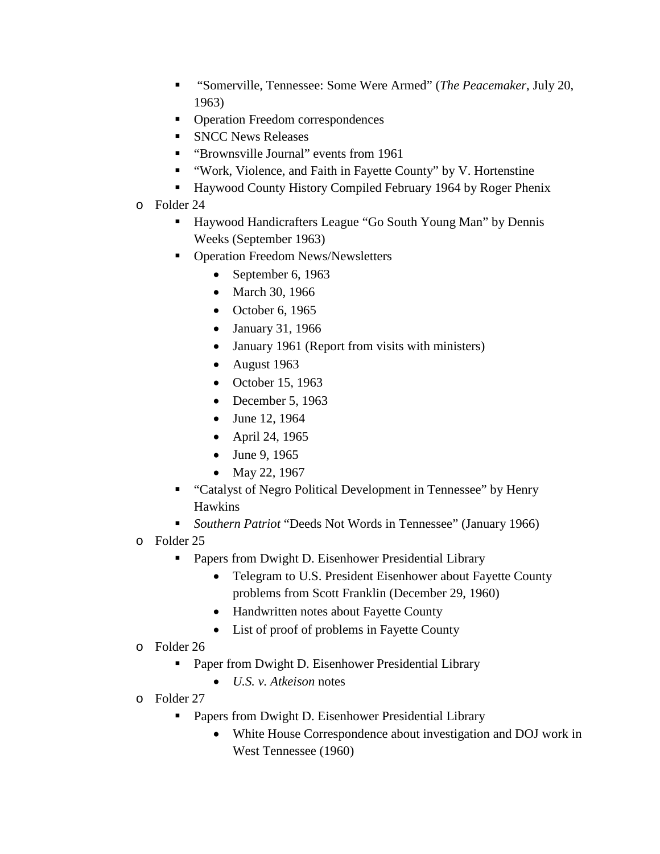- "Somerville, Tennessee: Some Were Armed" (*The Peacemaker*, July 20, 1963)
- Operation Freedom correspondences
- **SNCC News Releases**
- **"** "Brownsville Journal" events from 1961
- "Work, Violence, and Faith in Fayette County" by V. Hortenstine
- Haywood County History Compiled February 1964 by Roger Phenix
- o Folder 24
	- Haywood Handicrafters League "Go South Young Man" by Dennis Weeks (September 1963)
	- Operation Freedom News/Newsletters
		- September 6, 1963
		- March 30, 1966
		- October 6, 1965
		- January 31, 1966
		- January 1961 (Report from visits with ministers)
		- August 1963
		- October 15, 1963
		- December 5, 1963
		- June 12, 1964
		- April 24, 1965
		- June 9, 1965
		- May 22, 1967
	- "Catalyst of Negro Political Development in Tennessee" by Henry Hawkins
	- *Southern Patriot* "Deeds Not Words in Tennessee" (January 1966)
- o Folder 25
	- **Papers from Dwight D. Eisenhower Presidential Library** 
		- Telegram to U.S. President Eisenhower about Fayette County problems from Scott Franklin (December 29, 1960)
		- Handwritten notes about Fayette County
		- List of proof of problems in Fayette County
- o Folder 26
	- Paper from Dwight D. Eisenhower Presidential Library
		- *U.S. v. Atkeison* notes
- o Folder 27
	- **Papers from Dwight D. Eisenhower Presidential Library** 
		- White House Correspondence about investigation and DOJ work in West Tennessee (1960)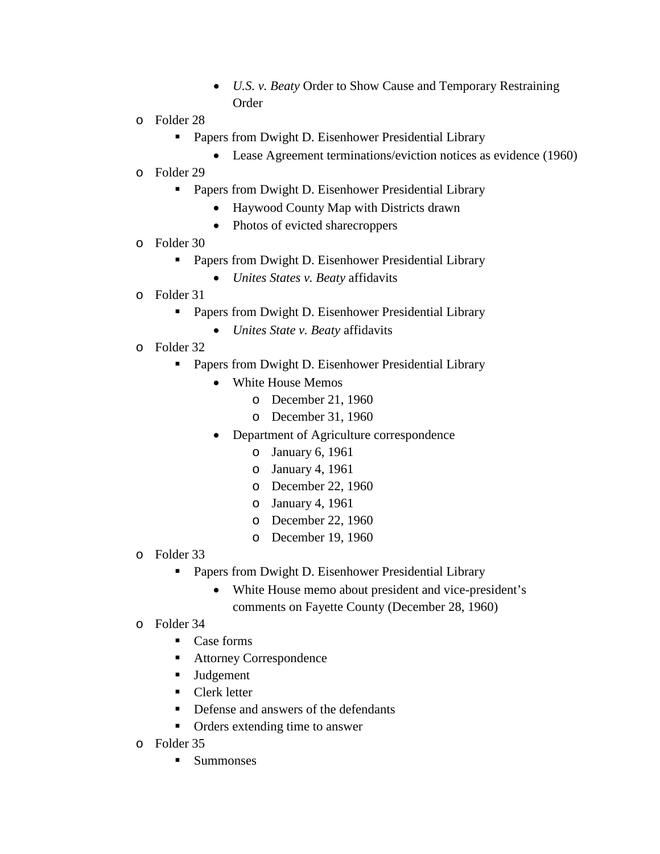- *U.S. v. Beaty* Order to Show Cause and Temporary Restraining Order
- o Folder 28
	- **Papers from Dwight D. Eisenhower Presidential Library** 
		- Lease Agreement terminations/eviction notices as evidence (1960)
- o Folder 29
	- **Papers from Dwight D. Eisenhower Presidential Library** 
		- Haywood County Map with Districts drawn
		- Photos of evicted sharecroppers
- o Folder 30
	- **Papers from Dwight D. Eisenhower Presidential Library** 
		- *Unites States v. Beaty* affidavits
- o Folder 31
	- **Papers from Dwight D. Eisenhower Presidential Library** 
		- *Unites State v. Beaty* affidavits
- o Folder 32
	- Papers from Dwight D. Eisenhower Presidential Library
		- White House Memos
			- o December 21, 1960
			- o December 31, 1960
		- Department of Agriculture correspondence
			- o January 6, 1961
			- o January 4, 1961
			- o December 22, 1960
			- o January 4, 1961
			- o December 22, 1960
			- o December 19, 1960
- o Folder 33
	- **Papers from Dwight D. Eisenhower Presidential Library** 
		- White House memo about president and vice-president's comments on Fayette County (December 28, 1960)
- o Folder 34
	- $\blacksquare$  Case forms
	- Attorney Correspondence
	- **Judgement**
	- **Clerk letter**
	- Defense and answers of the defendants
	- Orders extending time to answer
- o Folder 35
	- **Summonses**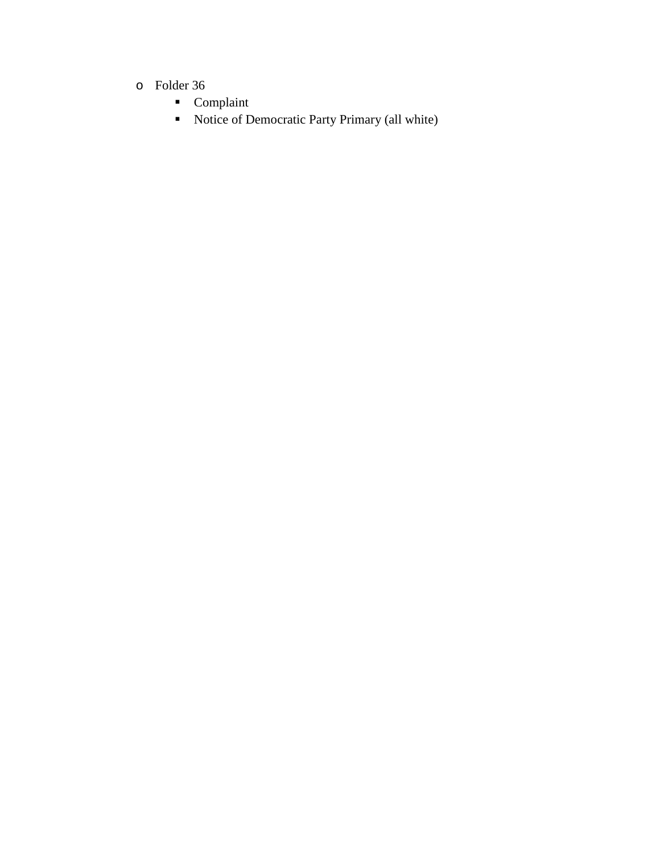- o Folder 36
	- **Complaint**
	- Notice of Democratic Party Primary (all white)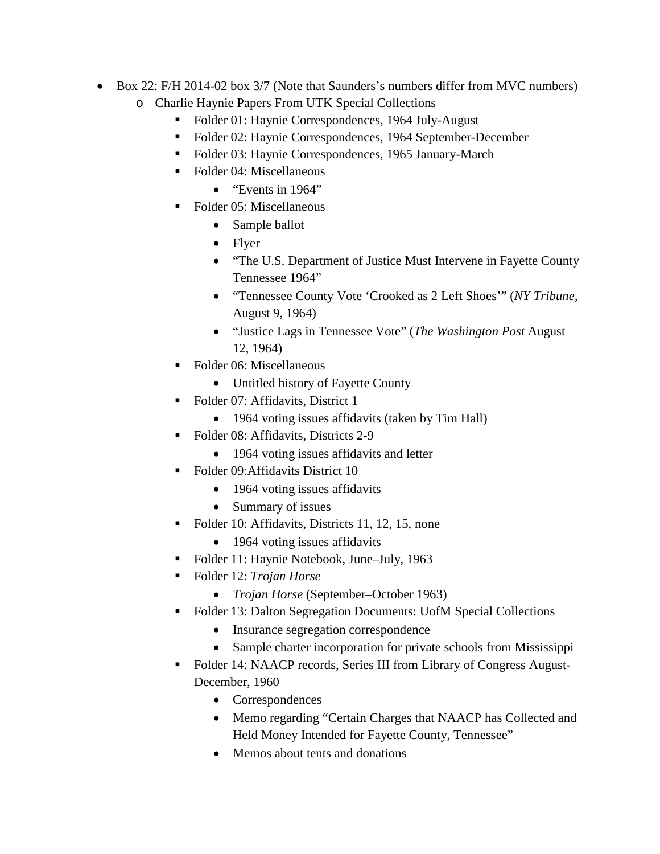- Box 22: F/H 2014-02 box 3/7 (Note that Saunders's numbers differ from MVC numbers)
	- o Charlie Haynie Papers From UTK Special Collections
		- Folder 01: Haynie Correspondences, 1964 July-August
		- Folder 02: Haynie Correspondences, 1964 September-December
		- Folder 03: Haynie Correspondences, 1965 January-March
		- Folder 04: Miscellaneous
			- "Events in 1964"
		- Folder 05: Miscellaneous
			- Sample ballot
			- Flyer
			- "The U.S. Department of Justice Must Intervene in Fayette County Tennessee 1964"
			- "Tennessee County Vote 'Crooked as 2 Left Shoes'" (*NY Tribune,* August 9, 1964)
			- "Justice Lags in Tennessee Vote" (*The Washington Post* August 12, 1964)
		- Folder 06: Miscellaneous
			- Untitled history of Fayette County
		- Folder 07: Affidavits, District 1
			- 1964 voting issues affidavits (taken by Tim Hall)
		- Folder 08: Affidavits, Districts 2-9
			- 1964 voting issues affidavits and letter
		- Folder 09: Affidavits District 10
			- 1964 voting issues affidavits
			- Summary of issues
		- Folder 10: Affidavits, Districts 11, 12, 15, none
			- 1964 voting issues affidavits
		- Folder 11: Haynie Notebook, June–July, 1963
		- Folder 12: *Trojan Horse*
			- *Trojan Horse* (September–October 1963)
		- Folder 13: Dalton Segregation Documents: UofM Special Collections
			- Insurance segregation correspondence
			- Sample charter incorporation for private schools from Mississippi
		- Folder 14: NAACP records, Series III from Library of Congress August-December, 1960
			- Correspondences
			- Memo regarding "Certain Charges that NAACP has Collected and Held Money Intended for Fayette County, Tennessee"
			- Memos about tents and donations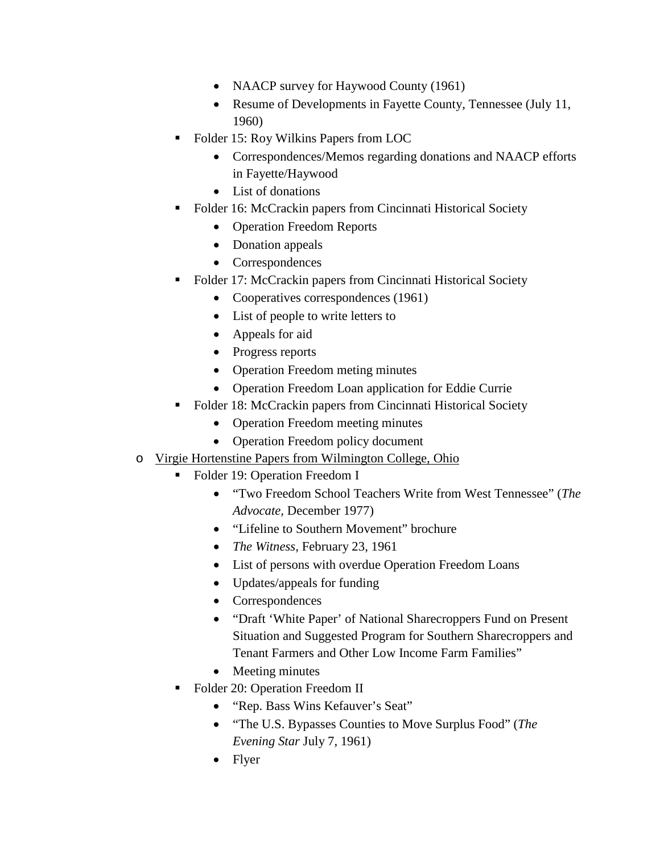- NAACP survey for Haywood County (1961)
- Resume of Developments in Fayette County, Tennessee (July 11, 1960)
- Folder 15: Roy Wilkins Papers from LOC
	- Correspondences/Memos regarding donations and NAACP efforts in Fayette/Haywood
	- List of donations
- Folder 16: McCrackin papers from Cincinnati Historical Society
	- Operation Freedom Reports
	- Donation appeals
	- Correspondences
- Folder 17: McCrackin papers from Cincinnati Historical Society
	- Cooperatives correspondences (1961)
	- List of people to write letters to
	- Appeals for aid
	- Progress reports
	- Operation Freedom meting minutes
	- Operation Freedom Loan application for Eddie Currie
- Folder 18: McCrackin papers from Cincinnati Historical Society
	- Operation Freedom meeting minutes
	- Operation Freedom policy document
- o Virgie Hortenstine Papers from Wilmington College, Ohio
	- Folder 19: Operation Freedom I
		- "Two Freedom School Teachers Write from West Tennessee" (*The Advocate,* December 1977)
		- "Lifeline to Southern Movement" brochure
		- *The Witness,* February 23, 1961
		- List of persons with overdue Operation Freedom Loans
		- Updates/appeals for funding
		- Correspondences
		- "Draft 'White Paper' of National Sharecroppers Fund on Present Situation and Suggested Program for Southern Sharecroppers and Tenant Farmers and Other Low Income Farm Families"
		- Meeting minutes
	- Folder 20: Operation Freedom II
		- "Rep. Bass Wins Kefauver's Seat"
		- "The U.S. Bypasses Counties to Move Surplus Food" (*The Evening Star* July 7, 1961)
		- Flyer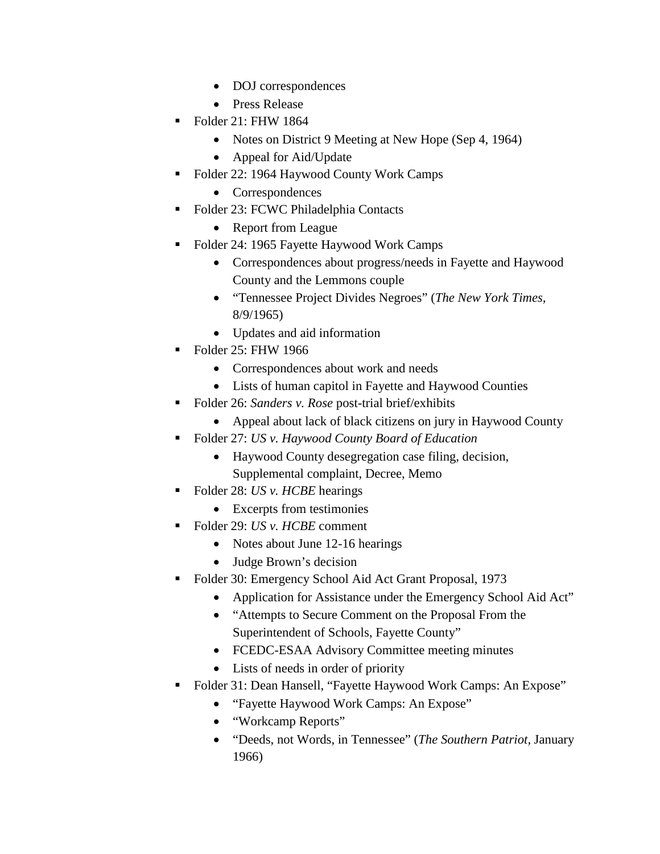- DOJ correspondences
- Press Release
- Folder 21: FHW 1864
	- Notes on District 9 Meeting at New Hope (Sep 4, 1964)
	- Appeal for Aid/Update
- Folder 22: 1964 Haywood County Work Camps
	- Correspondences
- Folder 23: FCWC Philadelphia Contacts
	- Report from League
- Folder 24: 1965 Fayette Haywood Work Camps
	- Correspondences about progress/needs in Fayette and Haywood County and the Lemmons couple
	- "Tennessee Project Divides Negroes" (*The New York Times,*  8/9/1965)
	- Updates and aid information
- Folder 25: FHW 1966
	- Correspondences about work and needs
	- Lists of human capitol in Fayette and Haywood Counties
- Folder 26: *Sanders v. Rose* post-trial brief/exhibits
	- Appeal about lack of black citizens on jury in Haywood County
- Folder 27: *US v. Haywood County Board of Education*
	- Haywood County desegregation case filing, decision, Supplemental complaint, Decree, Memo
- Folder 28: *US v. HCBE* hearings
	- Excerpts from testimonies
- Folder 29: *US v. HCBE* comment
	- Notes about June 12-16 hearings
	- Judge Brown's decision
- Folder 30: Emergency School Aid Act Grant Proposal, 1973
	- Application for Assistance under the Emergency School Aid Act"
	- "Attempts to Secure Comment on the Proposal From the Superintendent of Schools, Fayette County"
	- FCEDC-ESAA Advisory Committee meeting minutes
	- Lists of needs in order of priority
- Folder 31: Dean Hansell, "Fayette Haywood Work Camps: An Expose"
	- "Fayette Haywood Work Camps: An Expose"
	- "Workcamp Reports"
	- "Deeds, not Words, in Tennessee" (*The Southern Patriot,* January 1966)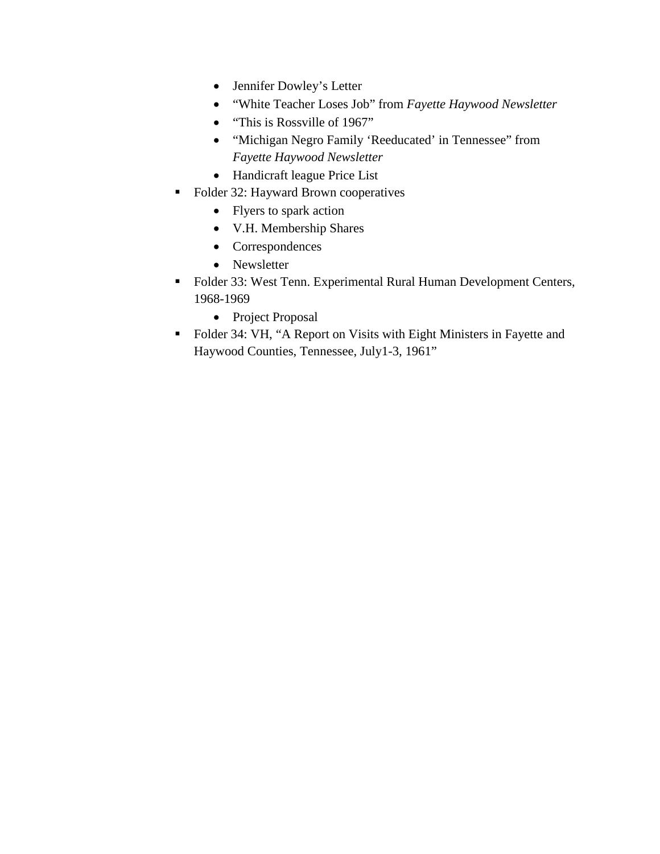- Jennifer Dowley's Letter
- "White Teacher Loses Job" from *Fayette Haywood Newsletter*
- "This is Rossville of 1967"
- "Michigan Negro Family 'Reeducated' in Tennessee" from *Fayette Haywood Newsletter*
- Handicraft league Price List
- Folder 32: Hayward Brown cooperatives
	- Flyers to spark action
	- V.H. Membership Shares
	- Correspondences
	- Newsletter
- Folder 33: West Tenn. Experimental Rural Human Development Centers, 1968-1969
	- Project Proposal
- Folder 34: VH, "A Report on Visits with Eight Ministers in Fayette and Haywood Counties, Tennessee, July1-3, 1961"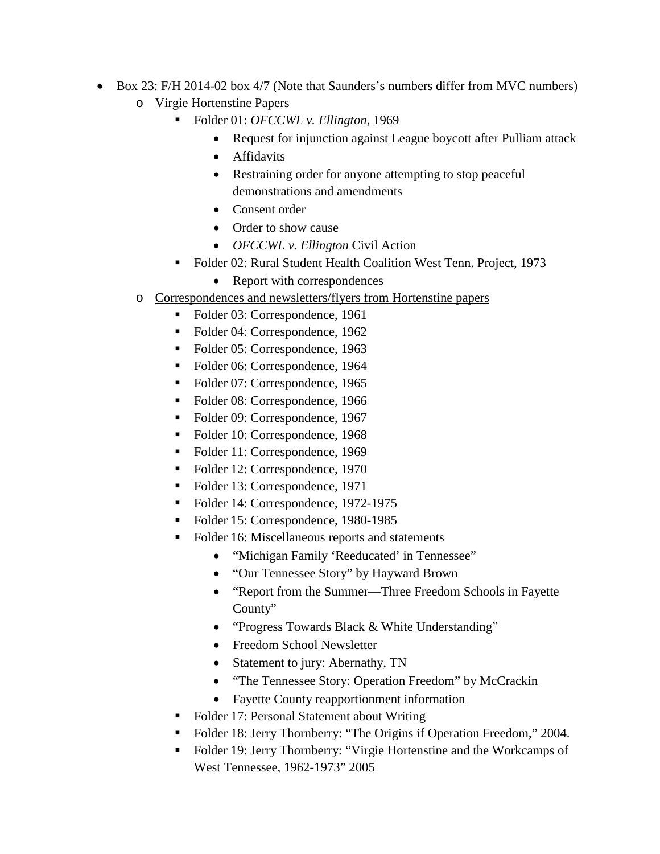- Box 23: F/H 2014-02 box 4/7 (Note that Saunders's numbers differ from MVC numbers) o Virgie Hortenstine Papers
	- Folder 01: *OFCCWL v. Ellington,* 1969
		- Request for injunction against League boycott after Pulliam attack
		- Affidavits
		- Restraining order for anyone attempting to stop peaceful demonstrations and amendments
		- Consent order
		- Order to show cause
		- *OFCCWL v. Ellington* Civil Action
	- Folder 02: Rural Student Health Coalition West Tenn. Project, 1973
		- Report with correspondences
	- o Correspondences and newsletters/flyers from Hortenstine papers
		- Folder 03: Correspondence, 1961
		- Folder 04: Correspondence, 1962
		- Folder 05: Correspondence, 1963
		- Folder 06: Correspondence, 1964
		- Folder 07: Correspondence, 1965
		- Folder 08: Correspondence, 1966
		- Folder 09: Correspondence, 1967
		- Folder 10: Correspondence, 1968
		- Folder 11: Correspondence, 1969
		- Folder 12: Correspondence, 1970
		- Folder 13: Correspondence, 1971
		- Folder 14: Correspondence, 1972-1975
		- Folder 15: Correspondence, 1980-1985
		- Folder 16: Miscellaneous reports and statements
			- "Michigan Family 'Reeducated' in Tennessee"
			- "Our Tennessee Story" by Hayward Brown
			- "Report from the Summer—Three Freedom Schools in Fayette County"
			- "Progress Towards Black & White Understanding"
			- Freedom School Newsletter
			- Statement to jury: Abernathy, TN
			- "The Tennessee Story: Operation Freedom" by McCrackin
			- Fayette County reapportionment information
		- Folder 17: Personal Statement about Writing
		- Folder 18: Jerry Thornberry: "The Origins if Operation Freedom," 2004.
		- Folder 19: Jerry Thornberry: "Virgie Hortenstine and the Workcamps of West Tennessee, 1962-1973" 2005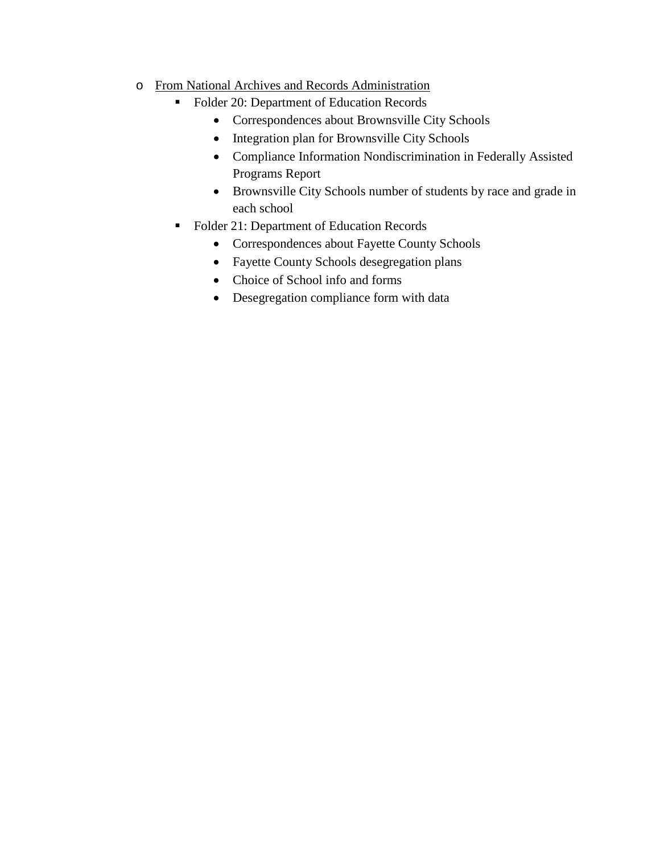## o From National Archives and Records Administration

- Folder 20: Department of Education Records
	- Correspondences about Brownsville City Schools
	- Integration plan for Brownsville City Schools
	- Compliance Information Nondiscrimination in Federally Assisted Programs Report
	- Brownsville City Schools number of students by race and grade in each school
- Folder 21: Department of Education Records
	- Correspondences about Fayette County Schools
	- Fayette County Schools desegregation plans
	- Choice of School info and forms
	- Desegregation compliance form with data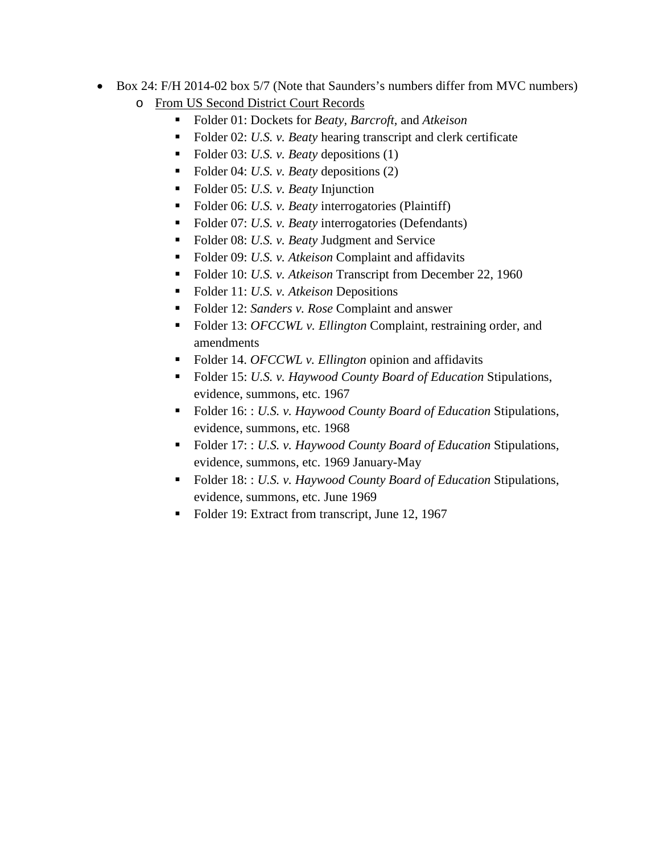- Box 24: F/H 2014-02 box 5/7 (Note that Saunders's numbers differ from MVC numbers) o From US Second District Court Records
	- Folder 01: Dockets for *Beaty, Barcroft,* and *Atkeison*
	- Folder 02: *U.S. v. Beaty* hearing transcript and clerk certificate
	- Folder 03: *U.S. v. Beaty* depositions (1)
	- Folder 04: *U.S. v. Beaty* depositions (2)
	- Folder 05: *U.S. v. Beaty* Injunction
	- Folder 06: *U.S. v. Beaty* interrogatories (Plaintiff)
	- Folder 07: *U.S. v. Beaty* interrogatories (Defendants)
	- Folder 08: *U.S. v. Beaty* Judgment and Service
	- Folder 09: *U.S. v. Atkeison* Complaint and affidavits
	- Folder 10: *U.S. v. Atkeison* Transcript from December 22, 1960
	- Folder 11: *U.S. v. Atkeison* Depositions
	- Folder 12: *Sanders v. Rose* Complaint and answer
	- Folder 13: *OFCCWL v. Ellington* Complaint, restraining order, and amendments
	- Folder 14. *OFCCWL v. Ellington* opinion and affidavits
	- Folder 15: *U.S. v. Haywood County Board of Education* Stipulations, evidence, summons, etc. 1967
	- Folder 16: : *U.S. v. Haywood County Board of Education* Stipulations, evidence, summons, etc. 1968
	- Folder 17: : *U.S. v. Haywood County Board of Education* Stipulations, evidence, summons, etc. 1969 January-May
	- Folder 18: : *U.S. v. Haywood County Board of Education* Stipulations, evidence, summons, etc. June 1969
	- Folder 19: Extract from transcript, June 12, 1967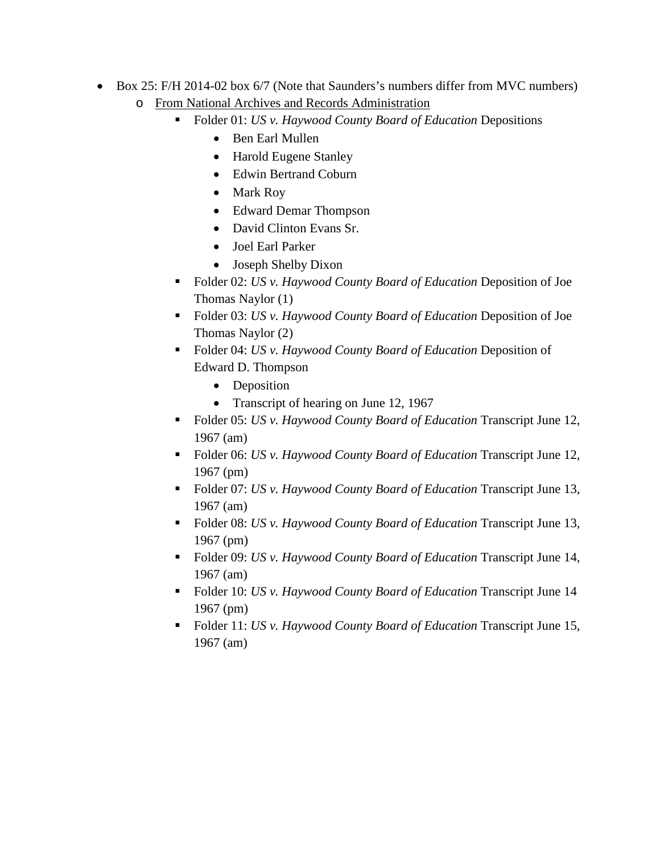- Box 25: F/H 2014-02 box 6/7 (Note that Saunders's numbers differ from MVC numbers) o From National Archives and Records Administration
	- Folder 01: *US v. Haywood County Board of Education* Depositions
		- Ben Earl Mullen
		- Harold Eugene Stanley
		- Edwin Bertrand Coburn
		- Mark Roy
		- Edward Demar Thompson
		- David Clinton Evans Sr.
		- Joel Earl Parker
		- Joseph Shelby Dixon
	- Folder 02: *US v. Haywood County Board of Education* Deposition of Joe Thomas Naylor (1)
	- Folder 03: *US v. Haywood County Board of Education* Deposition of Joe Thomas Naylor (2)
	- Folder 04: *US v. Haywood County Board of Education* Deposition of Edward D. Thompson
		- Deposition
		- Transcript of hearing on June 12, 1967
	- Folder 05: *US v. Haywood County Board of Education* Transcript June 12, 1967 (am)
	- Folder 06: *US v. Haywood County Board of Education* Transcript June 12, 1967 (pm)
	- Folder 07: *US v. Haywood County Board of Education* Transcript June 13, 1967 (am)
	- Folder 08: *US v. Haywood County Board of Education* Transcript June 13, 1967 (pm)
	- Folder 09: *US v. Haywood County Board of Education* Transcript June 14, 1967 (am)
	- Folder 10: *US v. Haywood County Board of Education* Transcript June 14 1967 (pm)
	- Folder 11: *US v. Haywood County Board of Education* Transcript June 15, 1967 (am)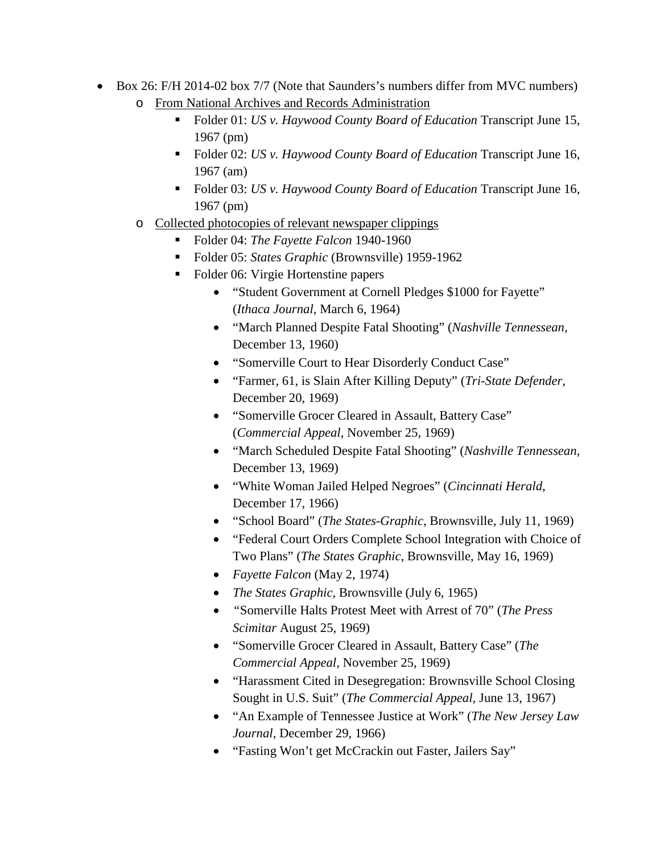- Box 26: F/H 2014-02 box 7/7 (Note that Saunders's numbers differ from MVC numbers) o From National Archives and Records Administration
	- Folder 01: *US v. Haywood County Board of Education* Transcript June 15, 1967 (pm)
	- Folder 02: *US v. Haywood County Board of Education* Transcript June 16, 1967 (am)
	- Folder 03: *US v. Haywood County Board of Education* Transcript June 16, 1967 (pm)
	- o Collected photocopies of relevant newspaper clippings
		- Folder 04: *The Fayette Falcon* 1940-1960
		- Folder 05: *States Graphic* (Brownsville) 1959-1962
		- Folder 06: Virgie Hortenstine papers
			- "Student Government at Cornell Pledges \$1000 for Fayette" (*Ithaca Journal,* March 6, 1964)
			- "March Planned Despite Fatal Shooting" (*Nashville Tennessean,* December 13, 1960)
			- "Somerville Court to Hear Disorderly Conduct Case"
			- "Farmer, 61, is Slain After Killing Deputy" (*Tri-State Defender,* December 20, 1969)
			- "Somerville Grocer Cleared in Assault, Battery Case" (*Commercial Appeal,* November 25, 1969)
			- "March Scheduled Despite Fatal Shooting" (*Nashville Tennessean,* December 13, 1969)
			- "White Woman Jailed Helped Negroes" (*Cincinnati Herald,* December 17, 1966)
			- "School Board" (*The States-Graphic,* Brownsville, July 11, 1969)
			- "Federal Court Orders Complete School Integration with Choice of Two Plans" (*The States Graphic*, Brownsville, May 16, 1969)
			- *Fayette Falcon* (May 2, 1974)
			- *The States Graphic*, Brownsville (July 6, 1965)
			- *"*Somerville Halts Protest Meet with Arrest of 70" (*The Press Scimitar* August 25, 1969)
			- "Somerville Grocer Cleared in Assault, Battery Case" (*The Commercial Appeal,* November 25, 1969)
			- "Harassment Cited in Desegregation: Brownsville School Closing Sought in U.S. Suit" (*The Commercial Appeal,* June 13, 1967)
			- "An Example of Tennessee Justice at Work" (*The New Jersey Law Journal,* December 29, 1966)
			- "Fasting Won't get McCrackin out Faster, Jailers Say"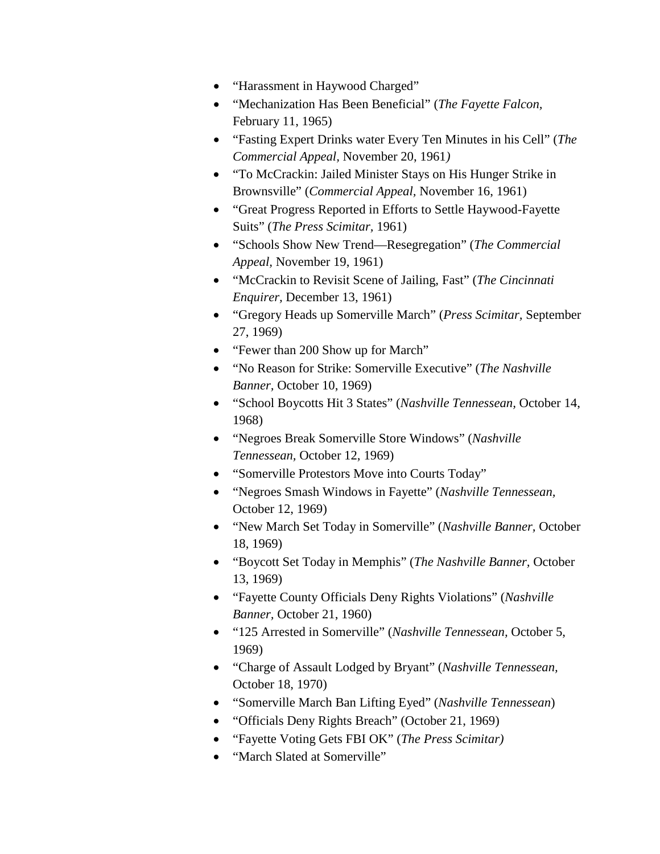- "Harassment in Haywood Charged"
- "Mechanization Has Been Beneficial" (*The Fayette Falcon,* February 11, 1965)
- "Fasting Expert Drinks water Every Ten Minutes in his Cell" (*The Commercial Appeal,* November 20, 1961*)*
- "To McCrackin: Jailed Minister Stays on His Hunger Strike in Brownsville" (*Commercial Appeal,* November 16, 1961)
- "Great Progress Reported in Efforts to Settle Haywood-Fayette Suits" (*The Press Scimitar,* 1961)
- "Schools Show New Trend—Resegregation" (*The Commercial Appeal,* November 19, 1961)
- "McCrackin to Revisit Scene of Jailing, Fast" (*The Cincinnati Enquirer,* December 13, 1961)
- "Gregory Heads up Somerville March" (*Press Scimitar,* September 27, 1969)
- "Fewer than 200 Show up for March"
- "No Reason for Strike: Somerville Executive" (*The Nashville Banner,* October 10, 1969)
- "School Boycotts Hit 3 States" (*Nashville Tennessean,* October 14, 1968)
- "Negroes Break Somerville Store Windows" (*Nashville Tennessean,* October 12, 1969)
- "Somerville Protestors Move into Courts Today"
- "Negroes Smash Windows in Fayette" (*Nashville Tennessean,* October 12, 1969)
- "New March Set Today in Somerville" (*Nashville Banner,* October 18, 1969)
- "Boycott Set Today in Memphis" (*The Nashville Banner,* October 13, 1969)
- "Fayette County Officials Deny Rights Violations" (*Nashville Banner,* October 21, 1960)
- "125 Arrested in Somerville" (*Nashville Tennessean,* October 5, 1969)
- "Charge of Assault Lodged by Bryant" (*Nashville Tennessean,* October 18, 1970)
- "Somerville March Ban Lifting Eyed" (*Nashville Tennessean*)
- "Officials Deny Rights Breach" (October 21, 1969)
- "Fayette Voting Gets FBI OK" (*The Press Scimitar)*
- "March Slated at Somerville"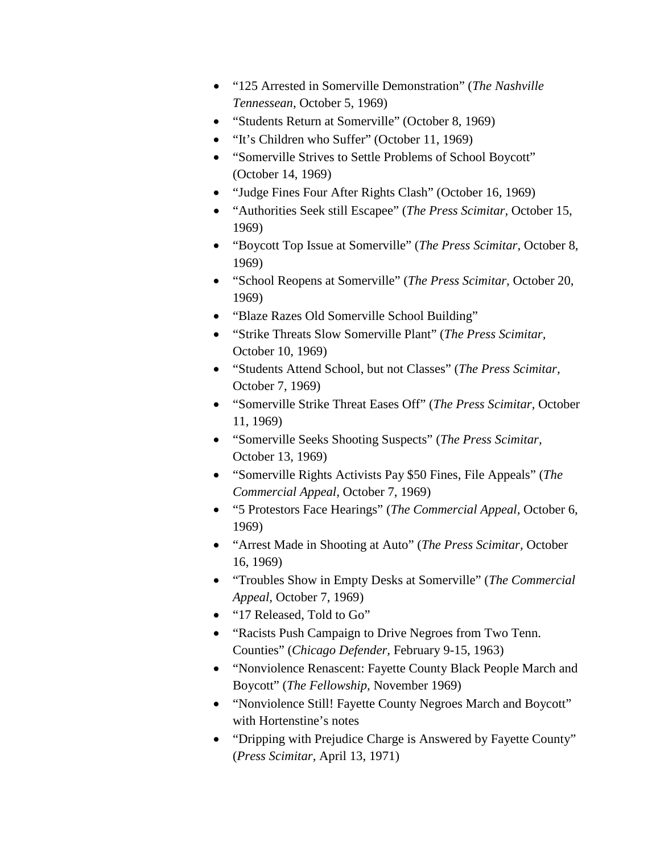- "125 Arrested in Somerville Demonstration" (*The Nashville Tennessean,* October 5, 1969)
- "Students Return at Somerville" (October 8, 1969)
- "It's Children who Suffer" (October 11, 1969)
- "Somerville Strives to Settle Problems of School Boycott" (October 14, 1969)
- "Judge Fines Four After Rights Clash" (October 16, 1969)
- "Authorities Seek still Escapee" (*The Press Scimitar,* October 15, 1969)
- "Boycott Top Issue at Somerville" (*The Press Scimitar,* October 8, 1969)
- "School Reopens at Somerville" (*The Press Scimitar,* October 20, 1969)
- "Blaze Razes Old Somerville School Building"
- "Strike Threats Slow Somerville Plant" (*The Press Scimitar,* October 10, 1969)
- "Students Attend School, but not Classes" (*The Press Scimitar,* October 7, 1969)
- "Somerville Strike Threat Eases Off" (*The Press Scimitar,* October 11, 1969)
- "Somerville Seeks Shooting Suspects" (*The Press Scimitar,* October 13, 1969)
- "Somerville Rights Activists Pay \$50 Fines, File Appeals" (*The Commercial Appeal,* October 7, 1969)
- "5 Protestors Face Hearings" (*The Commercial Appeal,* October 6, 1969)
- "Arrest Made in Shooting at Auto" (*The Press Scimitar,* October 16, 1969)
- "Troubles Show in Empty Desks at Somerville" (*The Commercial Appeal,* October 7, 1969)
- "17 Released, Told to Go"
- "Racists Push Campaign to Drive Negroes from Two Tenn. Counties" (*Chicago Defender,* February 9-15, 1963)
- "Nonviolence Renascent: Fayette County Black People March and Boycott" (*The Fellowship,* November 1969)
- "Nonviolence Still! Fayette County Negroes March and Boycott" with Hortenstine's notes
- "Dripping with Prejudice Charge is Answered by Fayette County" (*Press Scimitar,* April 13, 1971)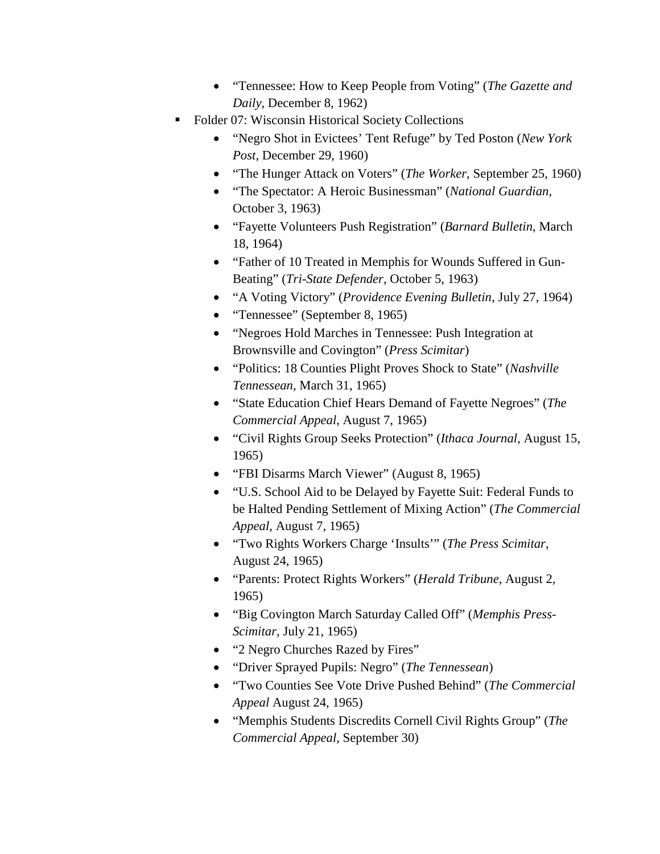- "Tennessee: How to Keep People from Voting" (*The Gazette and Daily,* December 8, 1962)
- Folder 07: Wisconsin Historical Society Collections
	- "Negro Shot in Evictees' Tent Refuge" by Ted Poston (*New York Post*, December 29, 1960)
	- "The Hunger Attack on Voters" (*The Worker*, September 25, 1960)
	- "The Spectator: A Heroic Businessman" (*National Guardian,*  October 3, 1963)
	- "Fayette Volunteers Push Registration" (*Barnard Bulletin*, March 18, 1964)
	- "Father of 10 Treated in Memphis for Wounds Suffered in Gun-Beating" (*Tri-State Defender*, October 5, 1963)
	- "A Voting Victory" (*Providence Evening Bulletin*, July 27, 1964)
	- "Tennessee" (September 8, 1965)
	- "Negroes Hold Marches in Tennessee: Push Integration at Brownsville and Covington" (*Press Scimitar*)
	- "Politics: 18 Counties Plight Proves Shock to State" (*Nashville Tennessean*, March 31, 1965)
	- "State Education Chief Hears Demand of Fayette Negroes" (*The Commercial Appeal*, August 7, 1965)
	- "Civil Rights Group Seeks Protection" (*Ithaca Journal*, August 15, 1965)
	- "FBI Disarms March Viewer" (August 8, 1965)
	- "U.S. School Aid to be Delayed by Fayette Suit: Federal Funds to be Halted Pending Settlement of Mixing Action" (*The Commercial Appeal*, August 7, 1965)
	- "Two Rights Workers Charge 'Insults'" (*The Press Scimitar*, August 24, 1965)
	- "Parents: Protect Rights Workers" (*Herald Tribune*, August 2, 1965)
	- "Big Covington March Saturday Called Off" (*Memphis Press-Scimitar*, July 21, 1965)
	- "2 Negro Churches Razed by Fires"
	- "Driver Sprayed Pupils: Negro" (*The Tennessean*)
	- "Two Counties See Vote Drive Pushed Behind" (*The Commercial Appeal* August 24, 1965)
	- "Memphis Students Discredits Cornell Civil Rights Group" (*The Commercial Appeal*, September 30)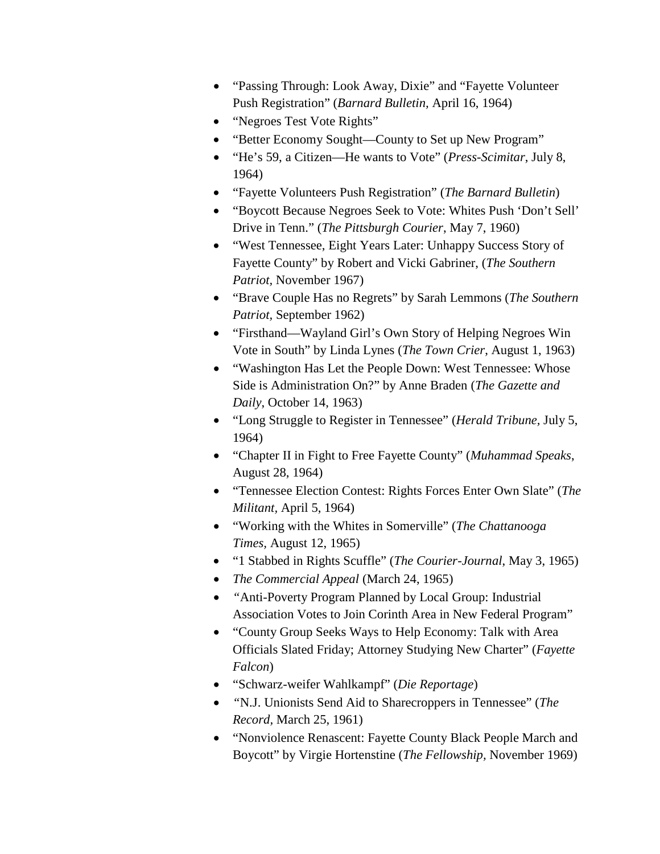- "Passing Through: Look Away, Dixie" and "Fayette Volunteer Push Registration" (*Barnard Bulletin,* April 16, 1964)
- "Negroes Test Vote Rights"
- "Better Economy Sought—County to Set up New Program"
- "He's 59, a Citizen—He wants to Vote" (*Press-Scimitar*, July 8, 1964)
- "Fayette Volunteers Push Registration" (*The Barnard Bulletin*)
- "Boycott Because Negroes Seek to Vote: Whites Push 'Don't Sell' Drive in Tenn." (*The Pittsburgh Courier*, May 7, 1960)
- "West Tennessee, Eight Years Later: Unhappy Success Story of Fayette County" by Robert and Vicki Gabriner, (*The Southern Patriot,* November 1967)
- "Brave Couple Has no Regrets" by Sarah Lemmons (*The Southern Patriot,* September 1962)
- "Firsthand—Wayland Girl's Own Story of Helping Negroes Win Vote in South" by Linda Lynes (*The Town Crier*, August 1, 1963)
- "Washington Has Let the People Down: West Tennessee: Whose Side is Administration On?" by Anne Braden (*The Gazette and Daily*, October 14, 1963)
- "Long Struggle to Register in Tennessee" (*Herald Tribune,* July 5, 1964)
- "Chapter II in Fight to Free Fayette County" (*Muhammad Speaks*, August 28, 1964)
- "Tennessee Election Contest: Rights Forces Enter Own Slate" (*The Militant,* April 5, 1964)
- "Working with the Whites in Somerville" (*The Chattanooga Times,* August 12, 1965)
- "1 Stabbed in Rights Scuffle" (*The Courier-Journal*, May 3, 1965)
- *The Commercial Appeal* (March 24, 1965)
- *"*Anti-Poverty Program Planned by Local Group: Industrial Association Votes to Join Corinth Area in New Federal Program"
- "County Group Seeks Ways to Help Economy: Talk with Area Officials Slated Friday; Attorney Studying New Charter" (*Fayette Falcon*)
- "Schwarz-weifer Wahlkampf" (*Die Reportage*)
- *"*N.J. Unionists Send Aid to Sharecroppers in Tennessee" (*The Record,* March 25, 1961)
- "Nonviolence Renascent: Fayette County Black People March and Boycott" by Virgie Hortenstine (*The Fellowship,* November 1969)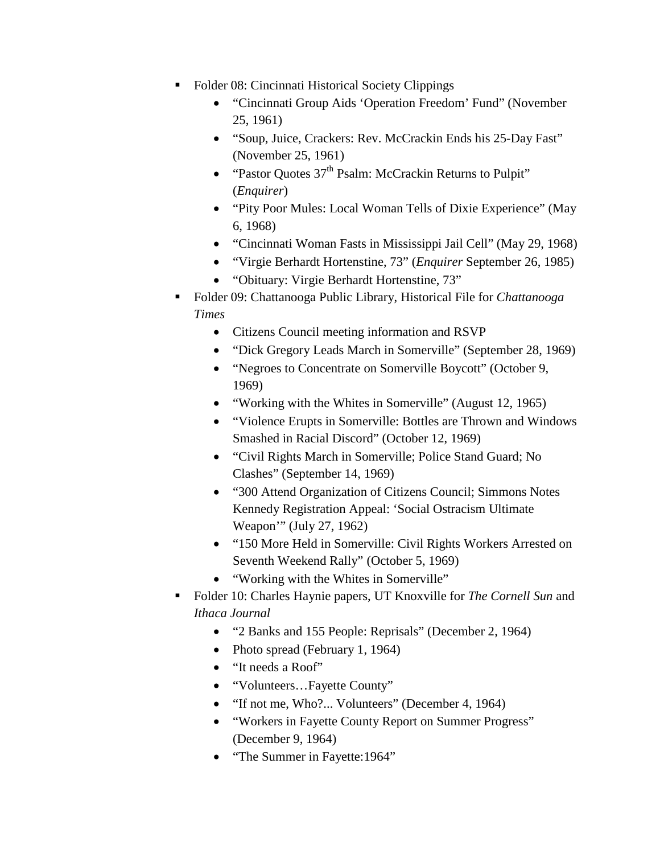- Folder 08: Cincinnati Historical Society Clippings
	- "Cincinnati Group Aids 'Operation Freedom' Fund" (November 25, 1961)
	- "Soup, Juice, Crackers: Rev. McCrackin Ends his 25-Day Fast" (November 25, 1961)
	- "Pastor Quotes  $37<sup>th</sup>$  Psalm: McCrackin Returns to Pulpit" (*Enquirer*)
	- "Pity Poor Mules: Local Woman Tells of Dixie Experience" (May 6, 1968)
	- "Cincinnati Woman Fasts in Mississippi Jail Cell" (May 29, 1968)
	- "Virgie Berhardt Hortenstine, 73" (*Enquirer* September 26, 1985)
	- "Obituary: Virgie Berhardt Hortenstine, 73"
- Folder 09: Chattanooga Public Library, Historical File for *Chattanooga Times*
	- Citizens Council meeting information and RSVP
	- "Dick Gregory Leads March in Somerville" (September 28, 1969)
	- "Negroes to Concentrate on Somerville Boycott" (October 9, 1969)
	- "Working with the Whites in Somerville" (August 12, 1965)
	- "Violence Erupts in Somerville: Bottles are Thrown and Windows Smashed in Racial Discord" (October 12, 1969)
	- "Civil Rights March in Somerville; Police Stand Guard; No Clashes" (September 14, 1969)
	- "300 Attend Organization of Citizens Council; Simmons Notes Kennedy Registration Appeal: 'Social Ostracism Ultimate Weapon'" (July 27, 1962)
	- "150 More Held in Somerville: Civil Rights Workers Arrested on Seventh Weekend Rally" (October 5, 1969)
	- "Working with the Whites in Somerville"
- Folder 10: Charles Haynie papers, UT Knoxville for *The Cornell Sun* and *Ithaca Journal*
	- "2 Banks and 155 People: Reprisals" (December 2, 1964)
	- Photo spread (February 1, 1964)
	- "It needs a Roof"
	- "Volunteers...Fayette County"
	- "If not me, Who?... Volunteers" (December 4, 1964)
	- "Workers in Fayette County Report on Summer Progress" (December 9, 1964)
	- "The Summer in Fayette: 1964"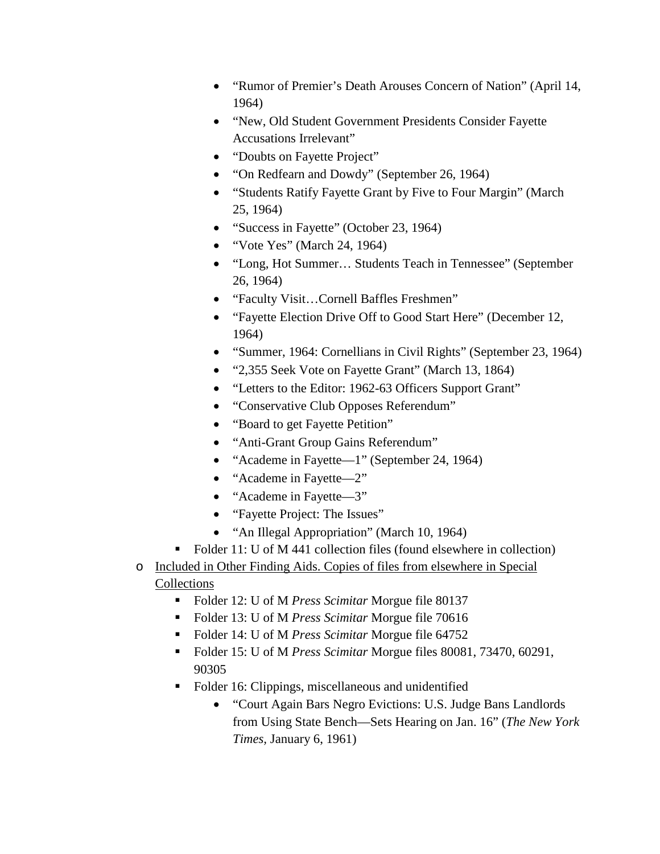- "Rumor of Premier's Death Arouses Concern of Nation" (April 14, 1964)
- "New, Old Student Government Presidents Consider Fayette Accusations Irrelevant"
- "Doubts on Fayette Project"
- "On Redfearn and Dowdy" (September 26, 1964)
- "Students Ratify Fayette Grant by Five to Four Margin" (March 25, 1964)
- "Success in Fayette" (October 23, 1964)
- "Vote Yes" (March 24, 1964)
- "Long, Hot Summer… Students Teach in Tennessee" (September 26, 1964)
- "Faculty Visit…Cornell Baffles Freshmen"
- "Fayette Election Drive Off to Good Start Here" (December 12, 1964)
- "Summer, 1964: Cornellians in Civil Rights" (September 23, 1964)
- "2,355 Seek Vote on Fayette Grant" (March 13, 1864)
- "Letters to the Editor: 1962-63 Officers Support Grant"
- "Conservative Club Opposes Referendum"
- "Board to get Fayette Petition"
- "Anti-Grant Group Gains Referendum"
- "Academe in Fayette—1" (September 24, 1964)
- "Academe in Fayette—2"
- "Academe in Fayette—3"
- "Fayette Project: The Issues"
- "An Illegal Appropriation" (March 10, 1964)
- Folder 11: U of M 441 collection files (found elsewhere in collection)
- o Included in Other Finding Aids. Copies of files from elsewhere in Special **Collections** 
	- Folder 12: U of M *Press Scimitar* Morgue file 80137
	- Folder 13: U of M *Press Scimitar* Morgue file 70616
	- Folder 14: U of M *Press Scimitar* Morgue file 64752
	- Folder 15: U of M *Press Scimitar* Morgue files 80081, 73470, 60291, 90305
	- Folder 16: Clippings, miscellaneous and unidentified
		- "Court Again Bars Negro Evictions: U.S. Judge Bans Landlords from Using State Bench—Sets Hearing on Jan. 16" (*The New York Times,* January 6, 1961)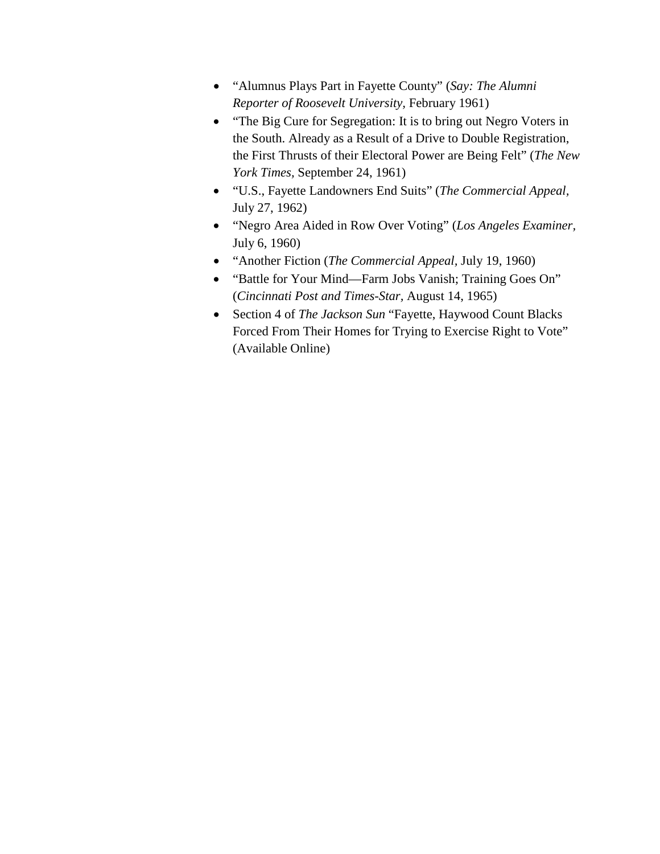- "Alumnus Plays Part in Fayette County" (*Say: The Alumni Reporter of Roosevelt University,* February 1961)
- "The Big Cure for Segregation: It is to bring out Negro Voters in the South. Already as a Result of a Drive to Double Registration, the First Thrusts of their Electoral Power are Being Felt" (*The New York Times,* September 24, 1961)
- "U.S., Fayette Landowners End Suits" (*The Commercial Appeal,* July 27, 1962)
- "Negro Area Aided in Row Over Voting" (*Los Angeles Examiner,* July 6, 1960)
- "Another Fiction (*The Commercial Appeal,* July 19, 1960)
- "Battle for Your Mind—Farm Jobs Vanish; Training Goes On" (*Cincinnati Post and Times-Star,* August 14, 1965)
- Section 4 of *The Jackson Sun* "Fayette, Haywood Count Blacks Forced From Their Homes for Trying to Exercise Right to Vote" (Available Online)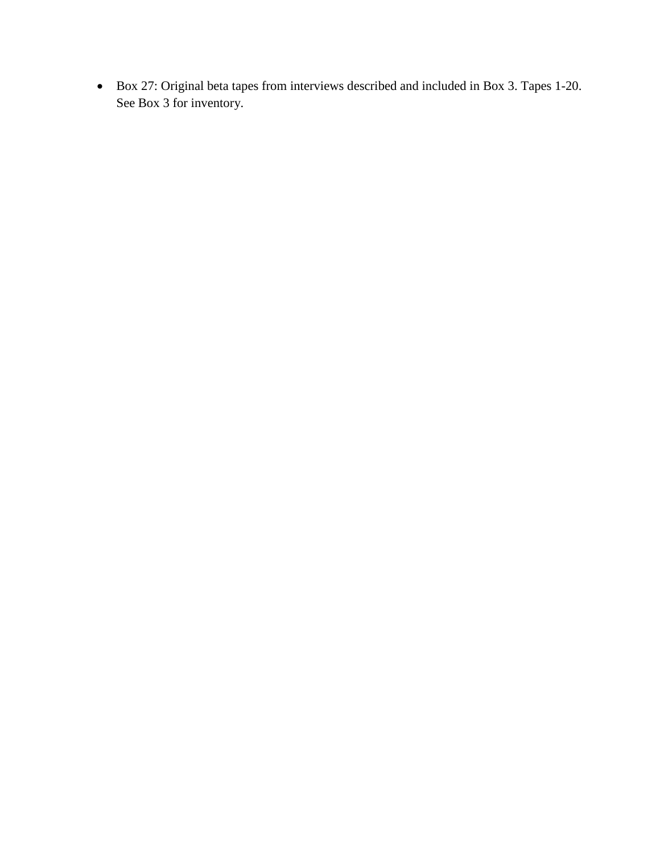• Box 27: Original beta tapes from interviews described and included in Box 3. Tapes 1-20. See Box 3 for inventory.